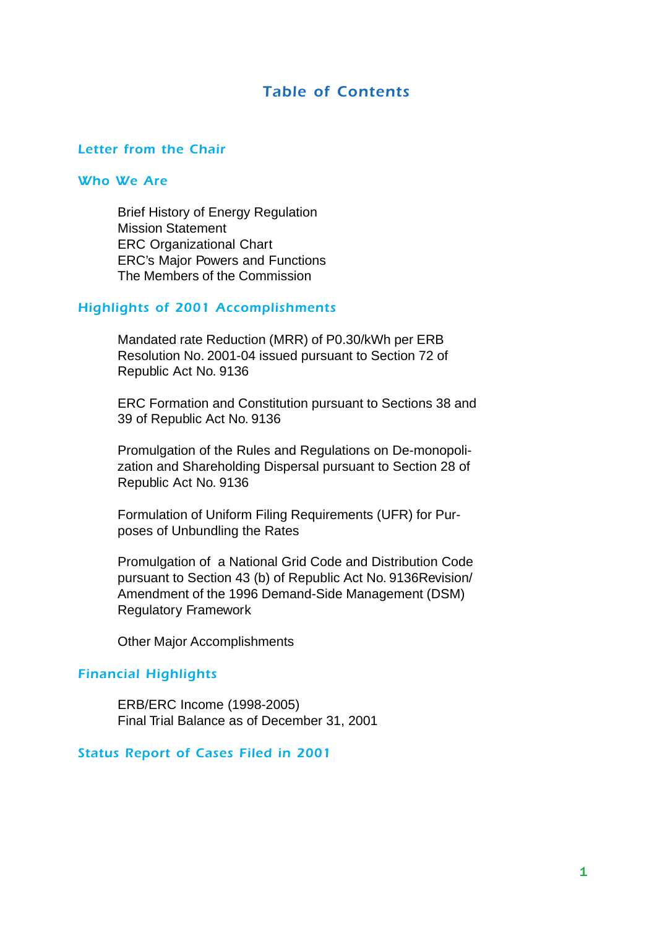#### *Table of Contents*

#### *Letter from the Chair*

#### *Who We Are*

Brief History of Energy Regulation Mission Statement ERC Organizational Chart ERC's Major Powers and Functions The Members of the Commission

#### *Highlights of 2001 Accomplishments*

Mandated rate Reduction (MRR) of P0.30/kWh per ERB Resolution No. 2001-04 issued pursuant to Section 72 of Republic Act No. 9136

ERC Formation and Constitution pursuant to Sections 38 and 39 of Republic Act No. 9136

Promulgation of the Rules and Regulations on De-monopolization and Shareholding Dispersal pursuant to Section 28 of Republic Act No. 9136

Formulation of Uniform Filing Requirements (UFR) for Purposes of Unbundling the Rates

Promulgation of a National Grid Code and Distribution Code pursuant to Section 43 (b) of Republic Act No. 9136Revision/ Amendment of the 1996 Demand-Side Management (DSM) Regulatory Framework

Other Major Accomplishments

#### *Financial Highlights*

ERB/ERC Income (1998-2005) Final Trial Balance as of December 31, 2001

#### *Status Report of Cases Filed in 2001*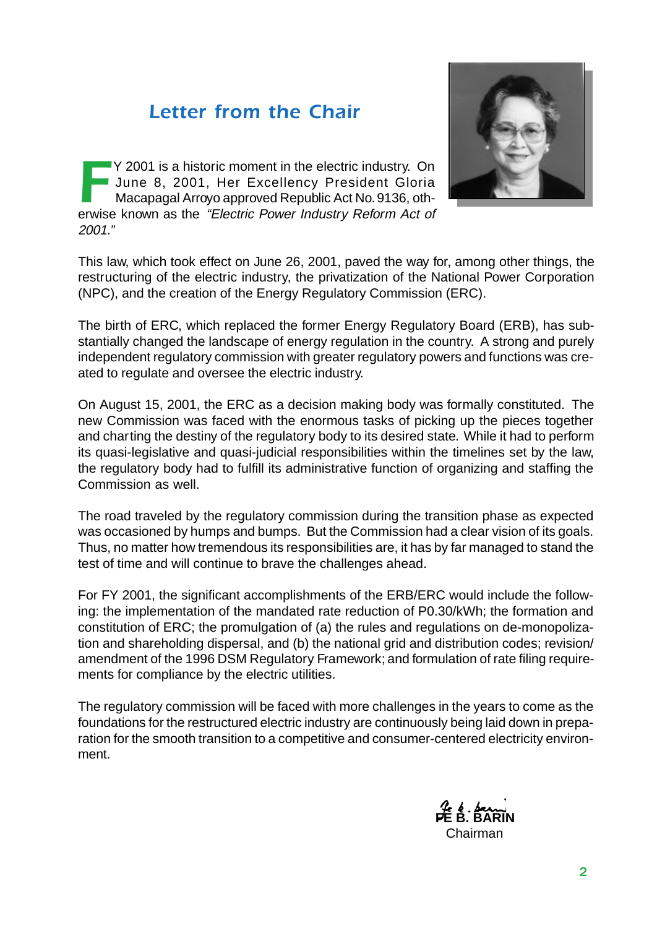#### *Letter from the Chair*

FT Y 2001 is a historic moment in the electric industry. On<br>June 8, 2001, Her Excellency President Gloria<br>Macapagal Arroyo approved Republic Act No. 9136, otherwise known as the "Electric Power Industry Reform Act of June 8, 2001, Her Excellency President Gloria Macapagal Arroyo approved Republic Act No. 9136, otherwise known as the "Electric Power Industry Reform Act of 2001."



This law, which took effect on June 26, 2001, paved the way for, among other things, the restructuring of the electric industry, the privatization of the National Power Corporation (NPC), and the creation of the Energy Regulatory Commission (ERC).

The birth of ERC, which replaced the former Energy Regulatory Board (ERB), has substantially changed the landscape of energy regulation in the country. A strong and purely independent regulatory commission with greater regulatory powers and functions was created to regulate and oversee the electric industry.

On August 15, 2001, the ERC as a decision making body was formally constituted. The new Commission was faced with the enormous tasks of picking up the pieces together and charting the destiny of the regulatory body to its desired state. While it had to perform its quasi-legislative and quasi-judicial responsibilities within the timelines set by the law, the regulatory body had to fulfill its administrative function of organizing and staffing the Commission as well.

The road traveled by the regulatory commission during the transition phase as expected was occasioned by humps and bumps. But the Commission had a clear vision of its goals. Thus, no matter how tremendous its responsibilities are, it has by far managed to stand the test of time and will continue to brave the challenges ahead.

For FY 2001, the significant accomplishments of the ERB/ERC would include the following: the implementation of the mandated rate reduction of P0.30/kWh; the formation and constitution of ERC; the promulgation of (a) the rules and regulations on de-monopolization and shareholding dispersal, and (b) the national grid and distribution codes; revision/ amendment of the 1996 DSM Regulatory Framework; and formulation of rate filing requirements for compliance by the electric utilities.

The regulatory commission will be faced with more challenges in the years to come as the foundations for the restructured electric industry are continuously being laid down in preparation for the smooth transition to a competitive and consumer-centered electricity environment.

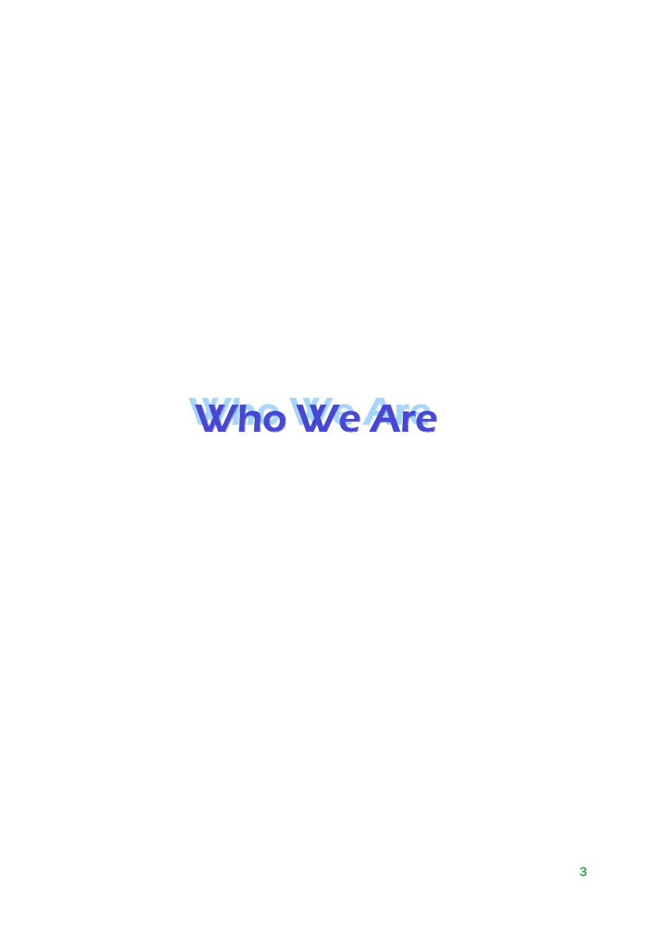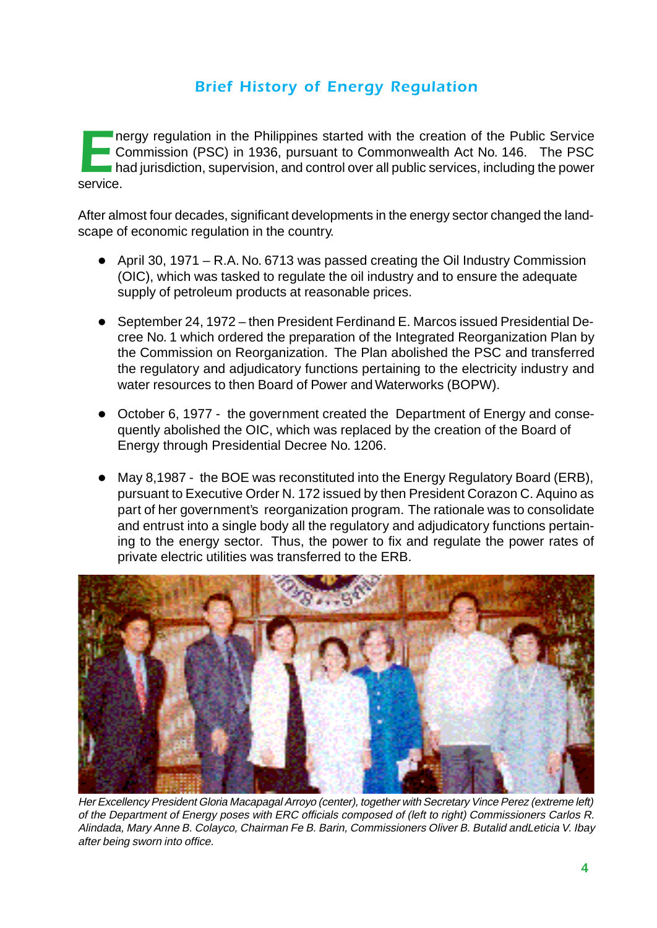#### *Brief History of Energy Regulation*

Thergy regulation in the Philippines started with the creation of the Public Service<br>
Commission (PSC) in 1936, pursuant to Commonwealth Act No. 146. The PSC<br>
had jurisdiction, supervision, and control over all public serv **Commission (PSC) in 1936, pursuant to Commonwealth Act No. 146. The PSC** had jurisdiction, supervision, and control over all public services, including the power service.

After almost four decades, significant developments in the energy sector changed the landscape of economic regulation in the country.

- April 30, 1971 R.A. No. 6713 was passed creating the Oil Industry Commission (OIC), which was tasked to regulate the oil industry and to ensure the adequate supply of petroleum products at reasonable prices.
- September 24, 1972 then President Ferdinand E. Marcos issued Presidential Decree No. 1 which ordered the preparation of the Integrated Reorganization Plan by the Commission on Reorganization. The Plan abolished the PSC and transferred the regulatory and adjudicatory functions pertaining to the electricity industry and water resources to then Board of Power and Waterworks (BOPW).
- October 6, 1977 the government created the Department of Energy and consequently abolished the OIC, which was replaced by the creation of the Board of Energy through Presidential Decree No. 1206.
- May 8,1987 the BOE was reconstituted into the Energy Regulatory Board (ERB), pursuant to Executive Order N. 172 issued by then President Corazon C. Aquino as part of her government's reorganization program. The rationale was to consolidate and entrust into a single body all the regulatory and adjudicatory functions pertaining to the energy sector. Thus, the power to fix and regulate the power rates of private electric utilities was transferred to the ERB.



Her Excellency President Gloria Macapagal Arroyo (center), together with Secretary Vince Perez (extreme left) of the Department of Energy poses with ERC officials composed of (left to right) Commissioners Carlos R. Alindada, Mary Anne B. Colayco, Chairman Fe B. Barin, Commissioners Oliver B. Butalid andLeticia V. Ibay after being sworn into office.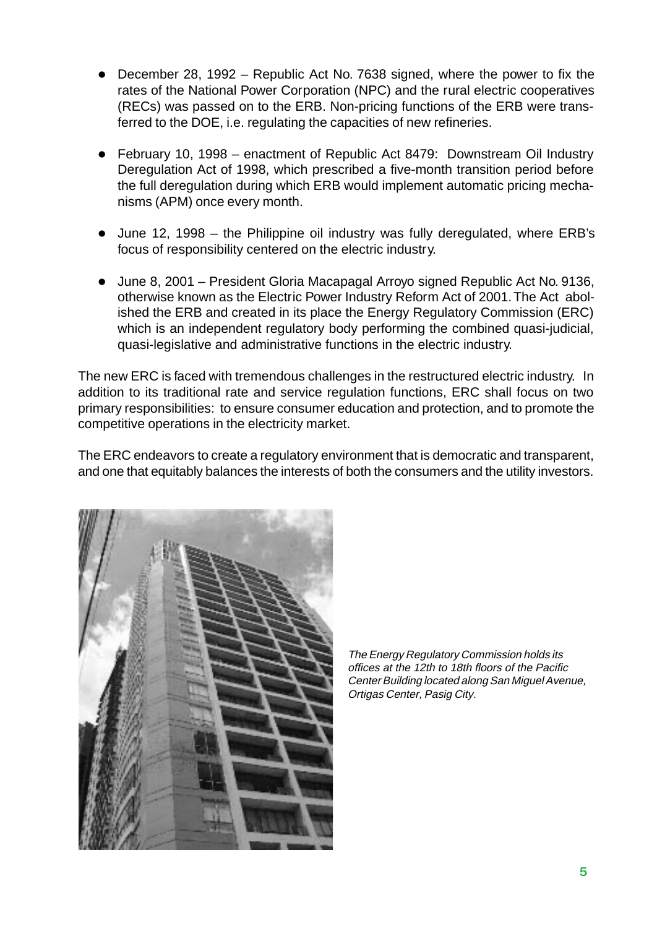- l December 28, 1992 Republic Act No. 7638 signed, where the power to fix the rates of the National Power Corporation (NPC) and the rural electric cooperatives (RECs) was passed on to the ERB. Non-pricing functions of the ERB were transferred to the DOE, i.e. regulating the capacities of new refineries.
- February 10, 1998 enactment of Republic Act 8479: Downstream Oil Industry Deregulation Act of 1998, which prescribed a five-month transition period before the full deregulation during which ERB would implement automatic pricing mechanisms (APM) once every month.
- $\bullet$  June 12, 1998 the Philippine oil industry was fully deregulated, where ERB's focus of responsibility centered on the electric industry.
- $\bullet$  June 8, 2001 President Gloria Macapagal Arroyo signed Republic Act No. 9136, otherwise known as the Electric Power Industry Reform Act of 2001. The Act abolished the ERB and created in its place the Energy Regulatory Commission (ERC) which is an independent regulatory body performing the combined quasi-judicial, quasi-legislative and administrative functions in the electric industry.

The new ERC is faced with tremendous challenges in the restructured electric industry. In addition to its traditional rate and service regulation functions, ERC shall focus on two primary responsibilities: to ensure consumer education and protection, and to promote the competitive operations in the electricity market.

The ERC endeavors to create a regulatory environment that is democratic and transparent, and one that equitably balances the interests of both the consumers and the utility investors.



The Energy Regulatory Commission holds its offices at the 12th to 18th floors of the Pacific Center Building located along San Miguel Avenue, Ortigas Center, Pasig City.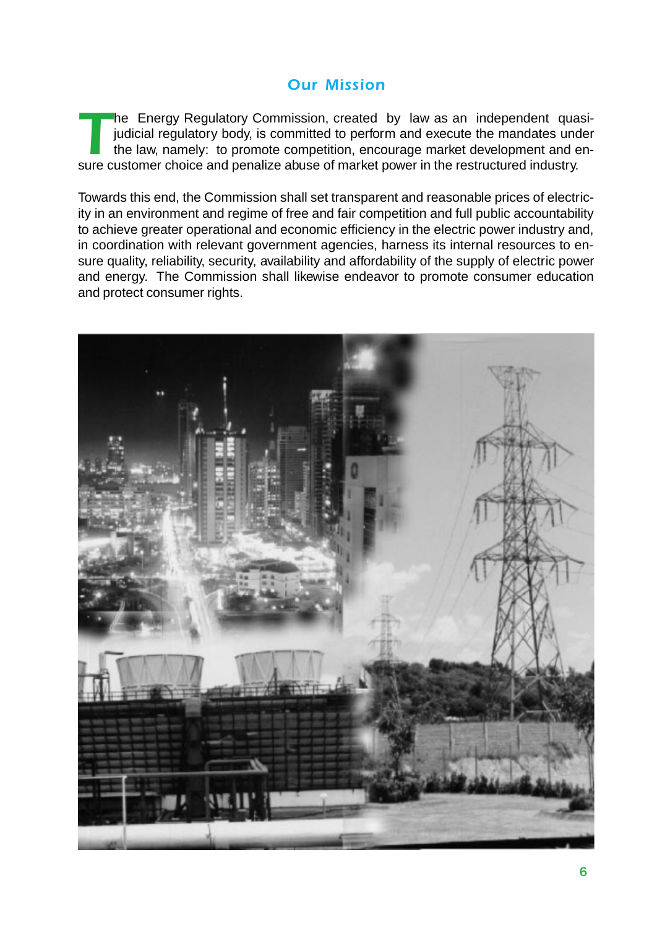#### *Our Mission*

The Energy Regulatory Commission, created by law as an independent quasi-<br>judicial regulatory body, is committed to perform and execute the mandates under<br>the law, namely: to promote competition, encourage market developme judicial regulatory body, is committed to perform and execute the mandates under the law, namely: to promote competition, encourage market development and ensure customer choice and penalize abuse of market power in the restructured industry.

Towards this end, the Commission shall set transparent and reasonable prices of electricity in an environment and regime of free and fair competition and full public accountability to achieve greater operational and economic efficiency in the electric power industry and, in coordination with relevant government agencies, harness its internal resources to ensure quality, reliability, security, availability and affordability of the supply of electric power and energy. The Commission shall likewise endeavor to promote consumer education and protect consumer rights.

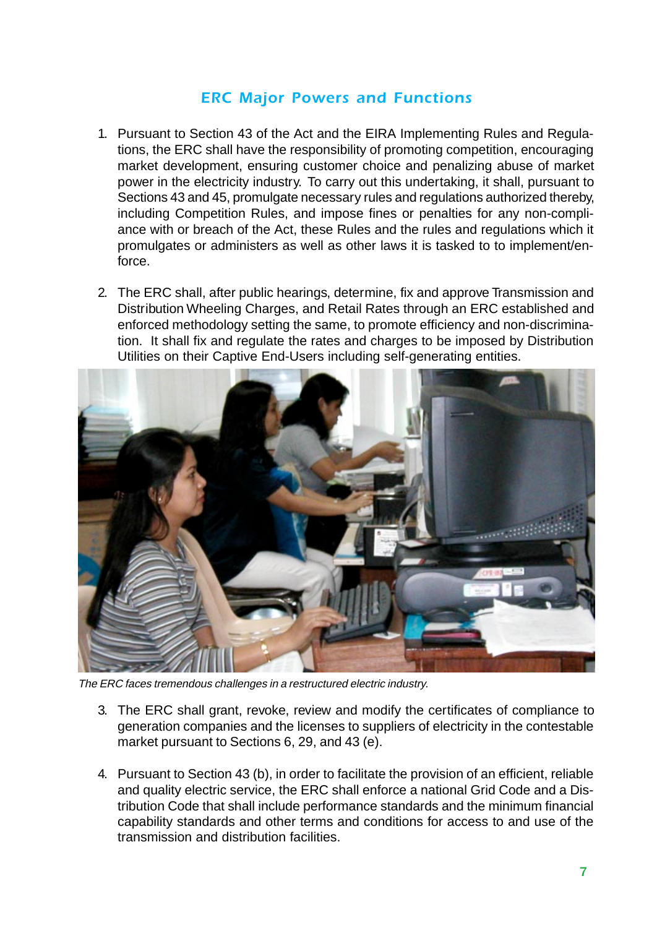#### *ERC Major Powers and Functions*

- 1. Pursuant to Section 43 of the Act and the EIRA Implementing Rules and Regulations, the ERC shall have the responsibility of promoting competition, encouraging market development, ensuring customer choice and penalizing abuse of market power in the electricity industry. To carry out this undertaking, it shall, pursuant to Sections 43 and 45, promulgate necessary rules and regulations authorized thereby, including Competition Rules, and impose fines or penalties for any non-compliance with or breach of the Act, these Rules and the rules and regulations which it promulgates or administers as well as other laws it is tasked to to implement/enforce.
- 2. The ERC shall, after public hearings, determine, fix and approve Transmission and Distribution Wheeling Charges, and Retail Rates through an ERC established and enforced methodology setting the same, to promote efficiency and non-discrimination. It shall fix and regulate the rates and charges to be imposed by Distribution Utilities on their Captive End-Users including self-generating entities.



The ERC faces tremendous challenges in a restructured electric industry.

- 3. The ERC shall grant, revoke, review and modify the certificates of compliance to generation companies and the licenses to suppliers of electricity in the contestable market pursuant to Sections 6, 29, and 43 (e).
- 4. Pursuant to Section 43 (b), in order to facilitate the provision of an efficient, reliable and quality electric service, the ERC shall enforce a national Grid Code and a Distribution Code that shall include performance standards and the minimum financial capability standards and other terms and conditions for access to and use of the transmission and distribution facilities.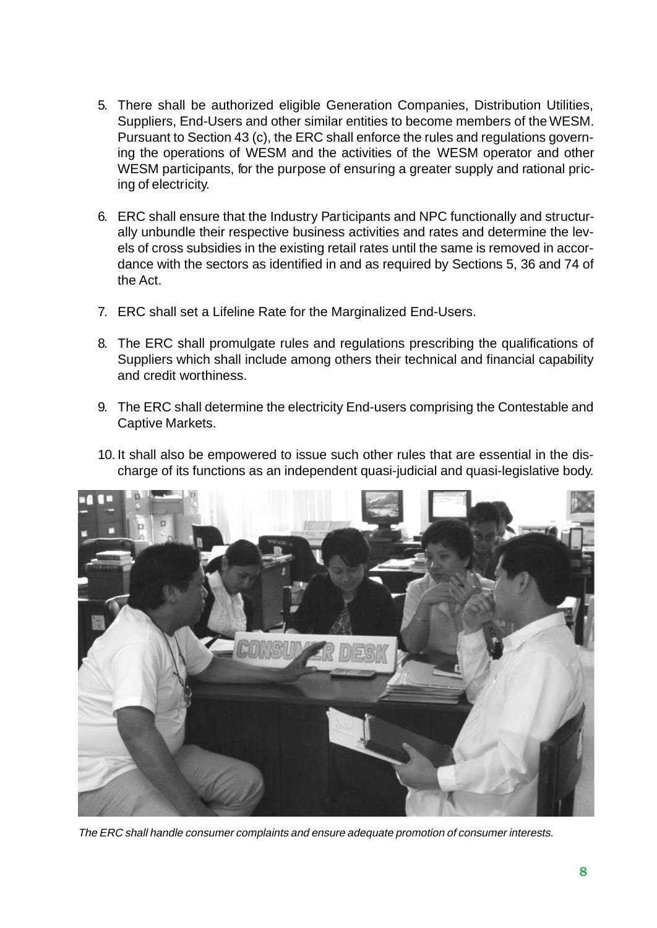- 5. There shall be authorized eligible Generation Companies, Distribution Utilities, Suppliers, End-Users and other similar entities to become members of the WESM. Pursuant to Section 43 (c), the ERC shall enforce the rules and regulations governing the operations of WESM and the activities of the WESM operator and other WESM participants, for the purpose of ensuring a greater supply and rational pricing of electricity.
- 6. ERC shall ensure that the Industry Participants and NPC functionally and structurally unbundle their respective business activities and rates and determine the levels of cross subsidies in the existing retail rates until the same is removed in accordance with the sectors as identified in and as required by Sections 5, 36 and 74 of the Act.
- 7. ERC shall set a Lifeline Rate for the Marginalized End-Users.
- 8. The ERC shall promulgate rules and regulations prescribing the qualifications of Suppliers which shall include among others their technical and financial capability and credit worthiness.
- 9. The ERC shall determine the electricity End-users comprising the Contestable and Captive Markets.
- 10. It shall also be empowered to issue such other rules that are essential in the discharge of its functions as an independent quasi-judicial and quasi-legislative body.



The ERC shall handle consumer complaints and ensure adequate promotion of consumer interests.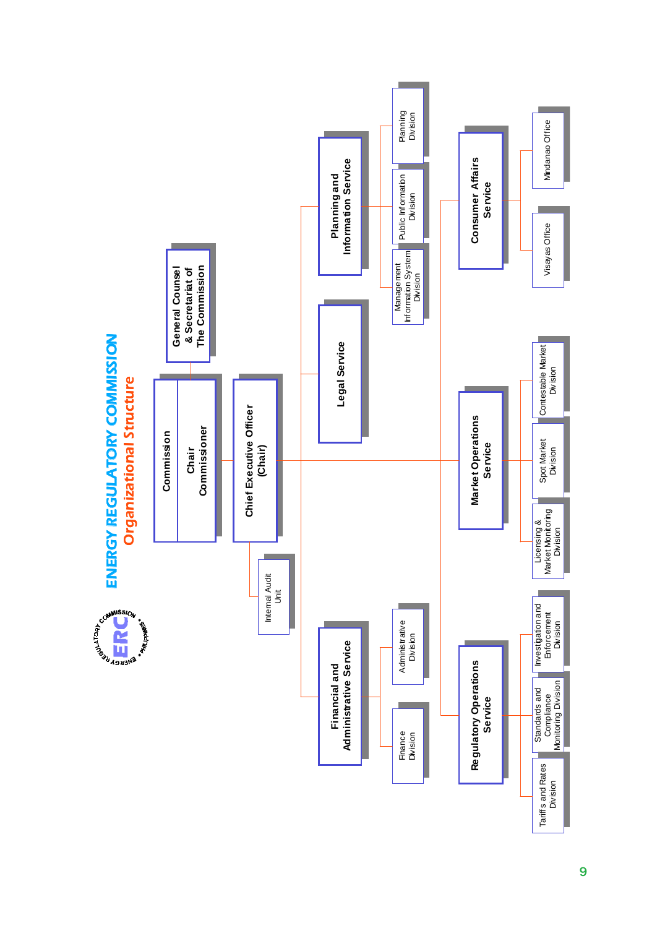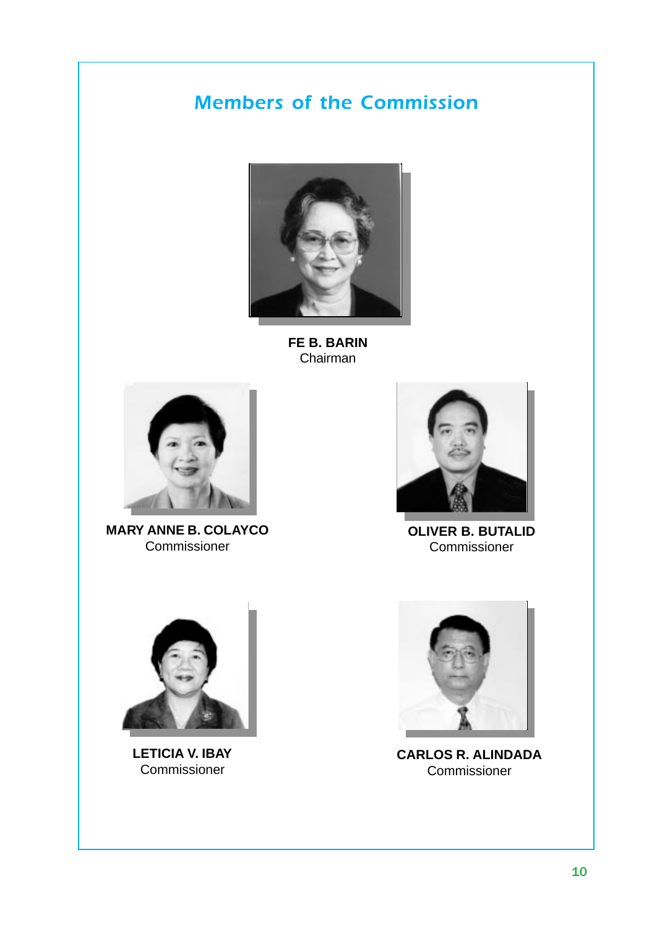#### *Members of the Commission*



**FE B. BARIN** Chairman



**MARY ANNE B. COLAYCO** Commissioner



**OLIVER B. BUTALID** Commissioner



**LETICIA V. IBAY Commissioner** 



**CARLOS R. ALINDADA** Commissioner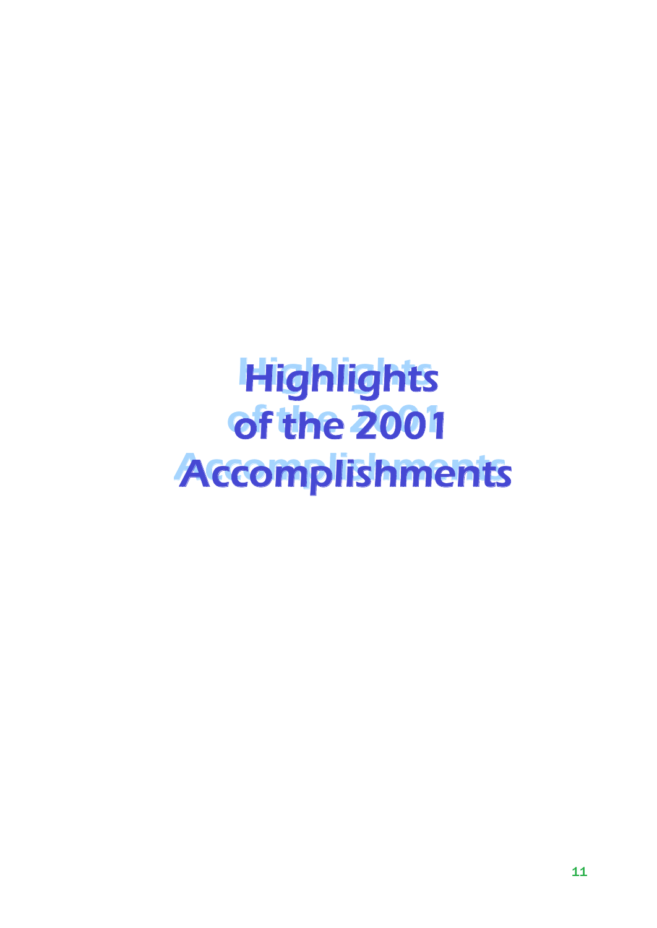# *Highlights Highlights of the 2001 of the 2001 Accomplishments Accomplishments*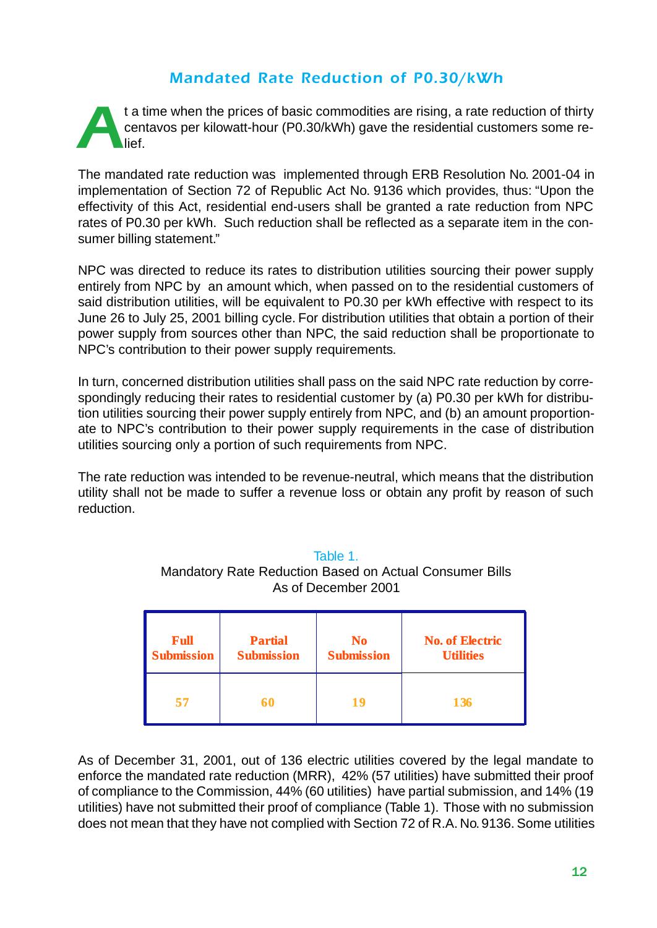#### *Mandated Rate Reduction of P0.30/kWh*

t a time when the prices of basic commodities are rising, a rate reduction of thirty<br>centavos per kilowatt-hour (P0.30/kWh) gave the residential customers some re-<br>lief. centavos per kilowatt-hour (P0.30/kWh) gave the residential customers some relief.

The mandated rate reduction was implemented through ERB Resolution No. 2001-04 in implementation of Section 72 of Republic Act No. 9136 which provides, thus: "Upon the effectivity of this Act, residential end-users shall be granted a rate reduction from NPC rates of P0.30 per kWh. Such reduction shall be reflected as a separate item in the consumer billing statement."

NPC was directed to reduce its rates to distribution utilities sourcing their power supply entirely from NPC by an amount which, when passed on to the residential customers of said distribution utilities, will be equivalent to P0.30 per kWh effective with respect to its June 26 to July 25, 2001 billing cycle. For distribution utilities that obtain a portion of their power supply from sources other than NPC, the said reduction shall be proportionate to NPC's contribution to their power supply requirements.

In turn, concerned distribution utilities shall pass on the said NPC rate reduction by correspondingly reducing their rates to residential customer by (a) P0.30 per kWh for distribution utilities sourcing their power supply entirely from NPC, and (b) an amount proportionate to NPC's contribution to their power supply requirements in the case of distribution utilities sourcing only a portion of such requirements from NPC.

The rate reduction was intended to be revenue-neutral, which means that the distribution utility shall not be made to suffer a revenue loss or obtain any profit by reason of such reduction.

| <b>Full</b>       | <b>Partial</b>    | N <sub>0</sub>    | <b>No. of Electric</b> |
|-------------------|-------------------|-------------------|------------------------|
| <b>Submission</b> | <b>Submission</b> | <b>Submission</b> | <b>Utilities</b>       |
| 57                | 60                | 19                | <b>136</b>             |

#### Table 1. Mandatory Rate Reduction Based on Actual Consumer Bills As of December 2001

As of December 31, 2001, out of 136 electric utilities covered by the legal mandate to enforce the mandated rate reduction (MRR), 42% (57 utilities) have submitted their proof of compliance to the Commission, 44% (60 utilities) have partial submission, and 14% (19 utilities) have not submitted their proof of compliance (Table 1). Those with no submission does not mean that they have not complied with Section 72 of R.A. No. 9136. Some utilities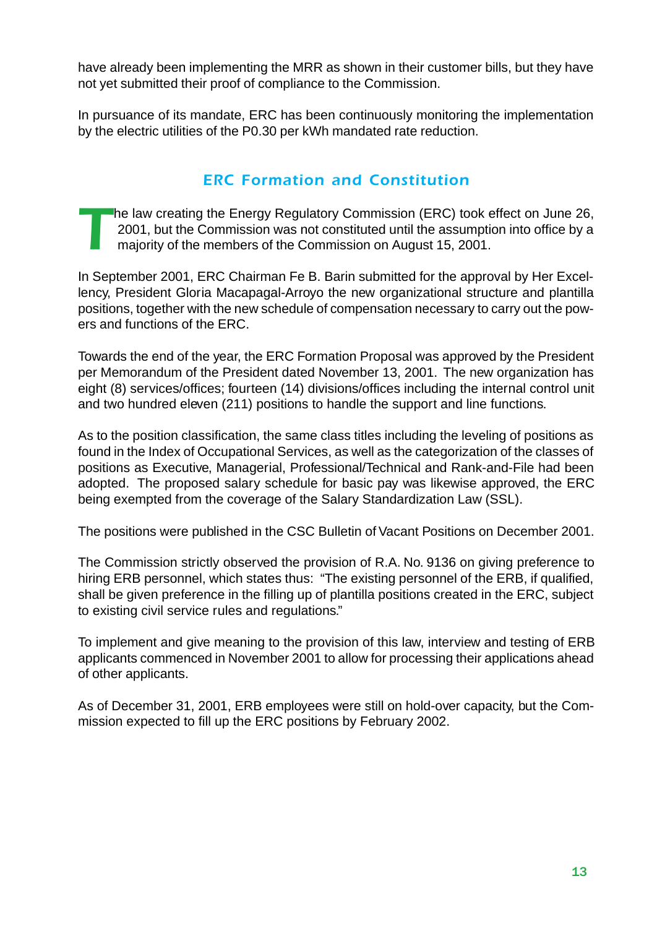have already been implementing the MRR as shown in their customer bills, but they have not yet submitted their proof of compliance to the Commission.

In pursuance of its mandate, ERC has been continuously monitoring the implementation by the electric utilities of the P0.30 per kWh mandated rate reduction.

#### *ERC Formation and Constitution*

The law creating the Energy Regulatory Commission (ERC) took effect on June 26, 2001, but the Commission was not constituted until the assumption into office by a majority of the members of the Commission on August 15, 2001.

In September 2001, ERC Chairman Fe B. Barin submitted for the approval by Her Excellency, President Gloria Macapagal-Arroyo the new organizational structure and plantilla positions, together with the new schedule of compensation necessary to carry out the powers and functions of the ERC.

Towards the end of the year, the ERC Formation Proposal was approved by the President per Memorandum of the President dated November 13, 2001. The new organization has eight (8) services/offices; fourteen (14) divisions/offices including the internal control unit and two hundred eleven (211) positions to handle the support and line functions.

As to the position classification, the same class titles including the leveling of positions as found in the Index of Occupational Services, as well as the categorization of the classes of positions as Executive, Managerial, Professional/Technical and Rank-and-File had been adopted. The proposed salary schedule for basic pay was likewise approved, the ERC being exempted from the coverage of the Salary Standardization Law (SSL).

The positions were published in the CSC Bulletin of Vacant Positions on December 2001.

The Commission strictly observed the provision of R.A. No. 9136 on giving preference to hiring ERB personnel, which states thus: "The existing personnel of the ERB, if qualified, shall be given preference in the filling up of plantilla positions created in the ERC, subject to existing civil service rules and regulations."

To implement and give meaning to the provision of this law, interview and testing of ERB applicants commenced in November 2001 to allow for processing their applications ahead of other applicants.

As of December 31, 2001, ERB employees were still on hold-over capacity, but the Commission expected to fill up the ERC positions by February 2002.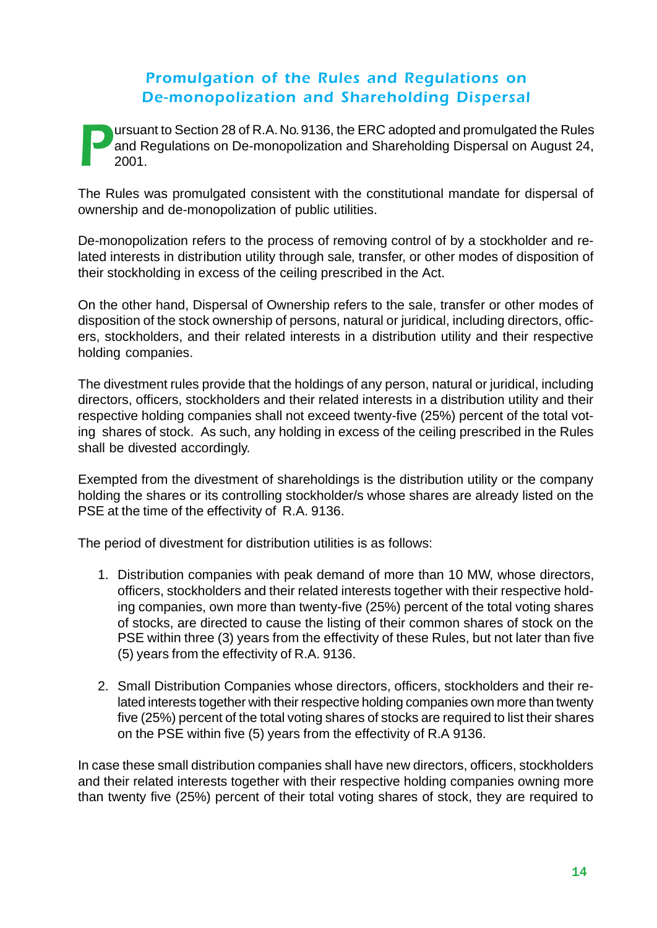#### *Promulgation of the Rules and Regulations on De-monopolization and Shareholding Dispersal*

**Pursuant to Section 28 of R.A. No. 9136, the ERC adopted and promulgated the Rules and Regulations on De-monopolization and Shareholding Dispersal on August 24, 2001.** and Regulations on De-monopolization and Shareholding Dispersal on August 24, 2001.

The Rules was promulgated consistent with the constitutional mandate for dispersal of ownership and de-monopolization of public utilities.

De-monopolization refers to the process of removing control of by a stockholder and related interests in distribution utility through sale, transfer, or other modes of disposition of their stockholding in excess of the ceiling prescribed in the Act.

On the other hand, Dispersal of Ownership refers to the sale, transfer or other modes of disposition of the stock ownership of persons, natural or juridical, including directors, officers, stockholders, and their related interests in a distribution utility and their respective holding companies.

The divestment rules provide that the holdings of any person, natural or juridical, including directors, officers, stockholders and their related interests in a distribution utility and their respective holding companies shall not exceed twenty-five (25%) percent of the total voting shares of stock. As such, any holding in excess of the ceiling prescribed in the Rules shall be divested accordingly.

Exempted from the divestment of shareholdings is the distribution utility or the company holding the shares or its controlling stockholder/s whose shares are already listed on the PSE at the time of the effectivity of R.A. 9136.

The period of divestment for distribution utilities is as follows:

- 1. Distribution companies with peak demand of more than 10 MW, whose directors, officers, stockholders and their related interests together with their respective holding companies, own more than twenty-five (25%) percent of the total voting shares of stocks, are directed to cause the listing of their common shares of stock on the PSE within three (3) years from the effectivity of these Rules, but not later than five (5) years from the effectivity of R.A. 9136.
- 2. Small Distribution Companies whose directors, officers, stockholders and their related interests together with their respective holding companies own more than twenty five (25%) percent of the total voting shares of stocks are required to list their shares on the PSE within five (5) years from the effectivity of R.A 9136.

In case these small distribution companies shall have new directors, officers, stockholders and their related interests together with their respective holding companies owning more than twenty five (25%) percent of their total voting shares of stock, they are required to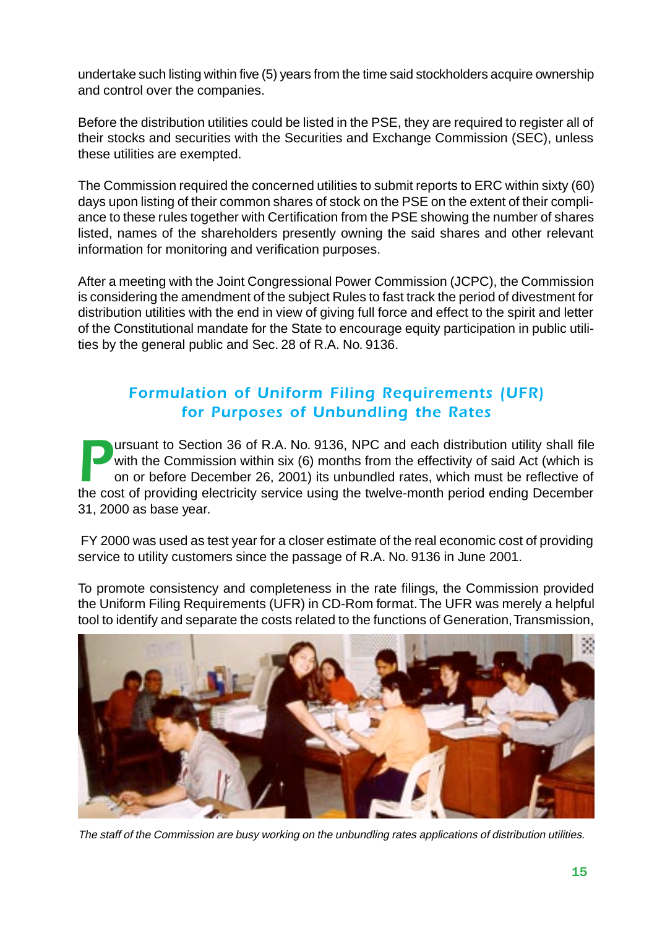undertake such listing within five (5) years from the time said stockholders acquire ownership and control over the companies.

Before the distribution utilities could be listed in the PSE, they are required to register all of their stocks and securities with the Securities and Exchange Commission (SEC), unless these utilities are exempted.

The Commission required the concerned utilities to submit reports to ERC within sixty (60) days upon listing of their common shares of stock on the PSE on the extent of their compliance to these rules together with Certification from the PSE showing the number of shares listed, names of the shareholders presently owning the said shares and other relevant information for monitoring and verification purposes.

After a meeting with the Joint Congressional Power Commission (JCPC), the Commission is considering the amendment of the subject Rules to fast track the period of divestment for distribution utilities with the end in view of giving full force and effect to the spirit and letter of the Constitutional mandate for the State to encourage equity participation in public utilities by the general public and Sec. 28 of R.A. No. 9136.

#### *Formulation of Uniform Filing Requirements (UFR) for Purposes of Unbundling the Rates*

**Pursuant to Section 36 of R.A. No. 9136, NPC and each distribution utility shall file with the Commission within six (6) months from the effectivity of said Act (which is on or before December 26, 2001) its unbundled rate** with the Commission within six (6) months from the effectivity of said Act (which is on or before December 26, 2001) its unbundled rates, which must be reflective of the cost of providing electricity service using the twelve-month period ending December 31, 2000 as base year.

 FY 2000 was used as test year for a closer estimate of the real economic cost of providing service to utility customers since the passage of R.A. No. 9136 in June 2001.

To promote consistency and completeness in the rate filings, the Commission provided the Uniform Filing Requirements (UFR) in CD-Rom format. The UFR was merely a helpful tool to identify and separate the costs related to the functions of Generation, Transmission,



The staff of the Commission are busy working on the unbundling rates applications of distribution utilities.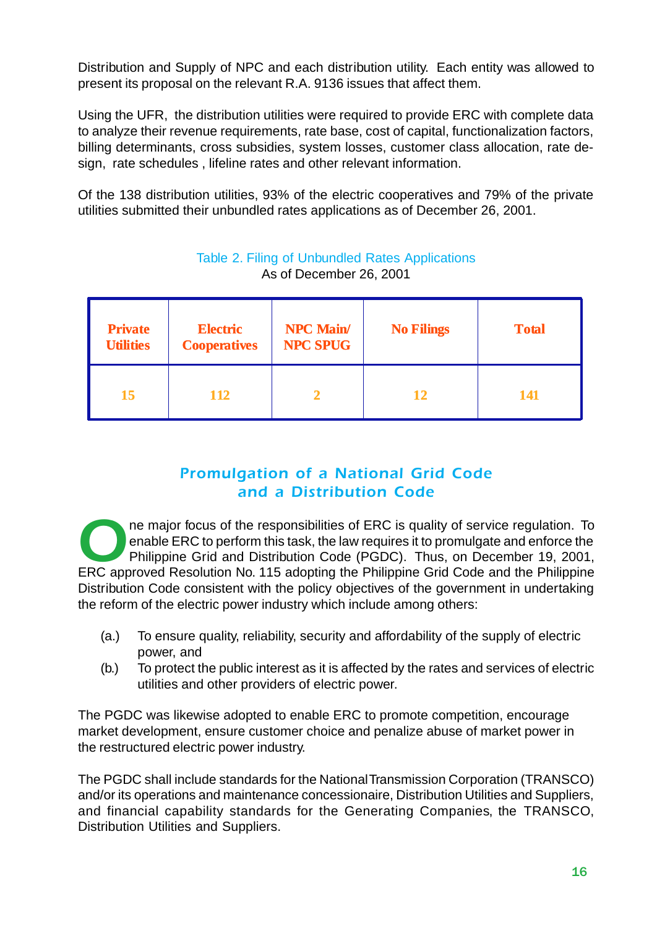Distribution and Supply of NPC and each distribution utility. Each entity was allowed to present its proposal on the relevant R.A. 9136 issues that affect them.

Using the UFR, the distribution utilities were required to provide ERC with complete data to analyze their revenue requirements, rate base, cost of capital, functionalization factors, billing determinants, cross subsidies, system losses, customer class allocation, rate design, rate schedules , lifeline rates and other relevant information.

Of the 138 distribution utilities, 93% of the electric cooperatives and 79% of the private utilities submitted their unbundled rates applications as of December 26, 2001.

| <b>Private</b><br><b>Utilities</b> | <b>Electric</b><br><b>Cooperatives</b> | <b>NPC Main/</b><br><b>NPC SPUG</b> | <b>No Filings</b> | <b>Total</b> |
|------------------------------------|----------------------------------------|-------------------------------------|-------------------|--------------|
| 15                                 | <b>112</b>                             |                                     | 12                | 141          |

#### Table 2. Filing of Unbundled Rates Applications As of December 26, 2001

#### *Promulgation of a National Grid Code and a Distribution Code*

The major focus of the responsibilities of ERC is quality of service regulation. To enable ERC to perform this task, the law requires it to promulgate and enforce the Philippine Grid and Distribution Code (PGDC). Thus, on enable ERC to perform this task, the law requires it to promulgate and enforce the Philippine Grid and Distribution Code (PGDC). Thus, on December 19, 2001, ERC approved Resolution No. 115 adopting the Philippine Grid Code and the Philippine Distribution Code consistent with the policy objectives of the government in undertaking the reform of the electric power industry which include among others:

- (a.) To ensure quality, reliability, security and affordability of the supply of electric power, and
- (b.) To protect the public interest as it is affected by the rates and services of electric utilities and other providers of electric power.

The PGDC was likewise adopted to enable ERC to promote competition, encourage market development, ensure customer choice and penalize abuse of market power in the restructured electric power industry.

The PGDC shall include standards for the National Transmission Corporation (TRANSCO) and/or its operations and maintenance concessionaire, Distribution Utilities and Suppliers, and financial capability standards for the Generating Companies, the TRANSCO, Distribution Utilities and Suppliers.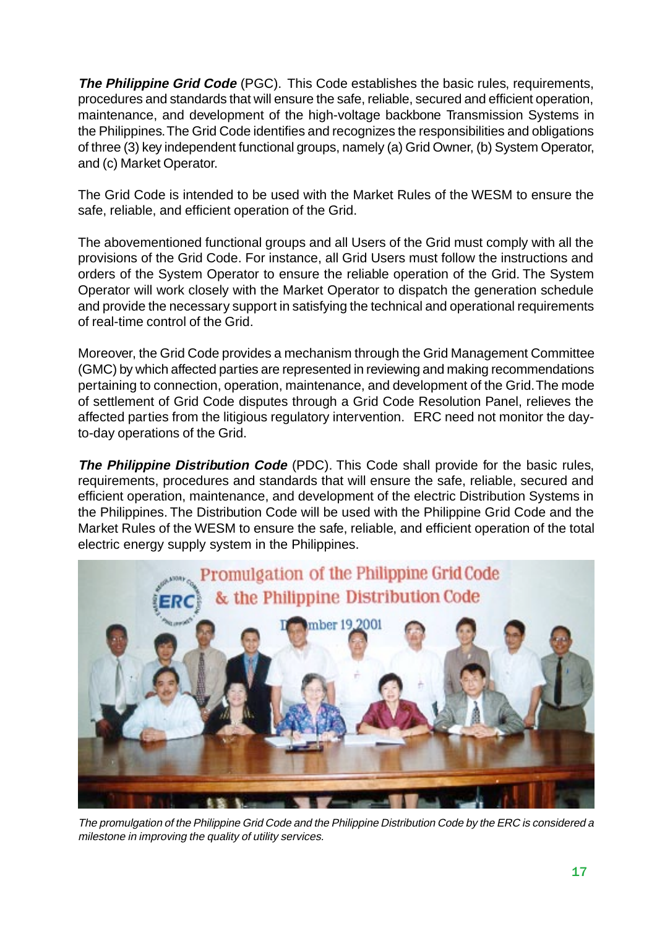**The Philippine Grid Code** (PGC). This Code establishes the basic rules, requirements, procedures and standards that will ensure the safe, reliable, secured and efficient operation, maintenance, and development of the high-voltage backbone Transmission Systems in the Philippines. The Grid Code identifies and recognizes the responsibilities and obligations of three (3) key independent functional groups, namely (a) Grid Owner, (b) System Operator, and (c) Market Operator.

The Grid Code is intended to be used with the Market Rules of the WESM to ensure the safe, reliable, and efficient operation of the Grid.

The abovementioned functional groups and all Users of the Grid must comply with all the provisions of the Grid Code. For instance, all Grid Users must follow the instructions and orders of the System Operator to ensure the reliable operation of the Grid. The System Operator will work closely with the Market Operator to dispatch the generation schedule and provide the necessary support in satisfying the technical and operational requirements of real-time control of the Grid.

Moreover, the Grid Code provides a mechanism through the Grid Management Committee (GMC) by which affected parties are represented in reviewing and making recommendations pertaining to connection, operation, maintenance, and development of the Grid. The mode of settlement of Grid Code disputes through a Grid Code Resolution Panel, relieves the affected parties from the litigious regulatory intervention. ERC need not monitor the dayto-day operations of the Grid.

**The Philippine Distribution Code** (PDC). This Code shall provide for the basic rules, requirements, procedures and standards that will ensure the safe, reliable, secured and efficient operation, maintenance, and development of the electric Distribution Systems in the Philippines. The Distribution Code will be used with the Philippine Grid Code and the Market Rules of the WESM to ensure the safe, reliable, and efficient operation of the total electric energy supply system in the Philippines.



The promulgation of the Philippine Grid Code and the Philippine Distribution Code by the ERC is considered a milestone in improving the quality of utility services.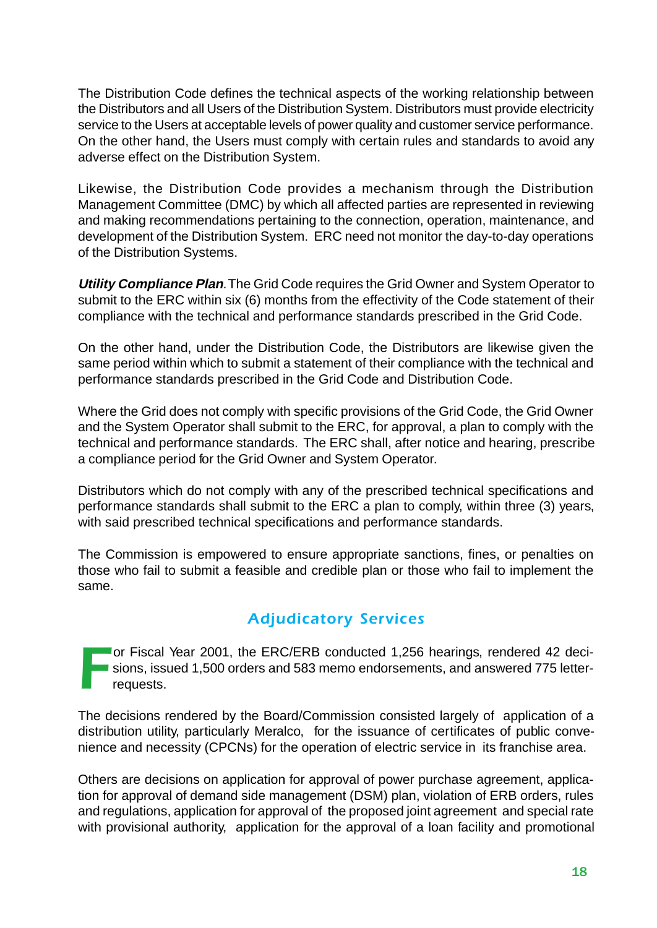The Distribution Code defines the technical aspects of the working relationship between the Distributors and all Users of the Distribution System. Distributors must provide electricity service to the Users at acceptable levels of power quality and customer service performance. On the other hand, the Users must comply with certain rules and standards to avoid any adverse effect on the Distribution System.

Likewise, the Distribution Code provides a mechanism through the Distribution Management Committee (DMC) by which all affected parties are represented in reviewing and making recommendations pertaining to the connection, operation, maintenance, and development of the Distribution System. ERC need not monitor the day-to-day operations of the Distribution Systems.

**Utility Compliance Plan**. The Grid Code requires the Grid Owner and System Operator to submit to the ERC within six (6) months from the effectivity of the Code statement of their compliance with the technical and performance standards prescribed in the Grid Code.

On the other hand, under the Distribution Code, the Distributors are likewise given the same period within which to submit a statement of their compliance with the technical and performance standards prescribed in the Grid Code and Distribution Code.

Where the Grid does not comply with specific provisions of the Grid Code, the Grid Owner and the System Operator shall submit to the ERC, for approval, a plan to comply with the technical and performance standards. The ERC shall, after notice and hearing, prescribe a compliance period for the Grid Owner and System Operator.

Distributors which do not comply with any of the prescribed technical specifications and performance standards shall submit to the ERC a plan to comply, within three (3) years, with said prescribed technical specifications and performance standards.

The Commission is empowered to ensure appropriate sanctions, fines, or penalties on those who fail to submit a feasible and credible plan or those who fail to implement the same.

#### *Adjudicatory Services*

For Fiscal Year 2001, the ERC/ERB conducted 1,256 hearings, rendered 42 deci-<br>sions, issued 1,500 orders and 583 memo endorsements, and answered 775 letter-<br>requests. sions, issued 1,500 orders and 583 memo endorsements, and answered 775 letterrequests.

The decisions rendered by the Board/Commission consisted largely of application of a distribution utility, particularly Meralco, for the issuance of certificates of public convenience and necessity (CPCNs) for the operation of electric service in its franchise area.

Others are decisions on application for approval of power purchase agreement, application for approval of demand side management (DSM) plan, violation of ERB orders, rules and regulations, application for approval of the proposed joint agreement and special rate with provisional authority, application for the approval of a loan facility and promotional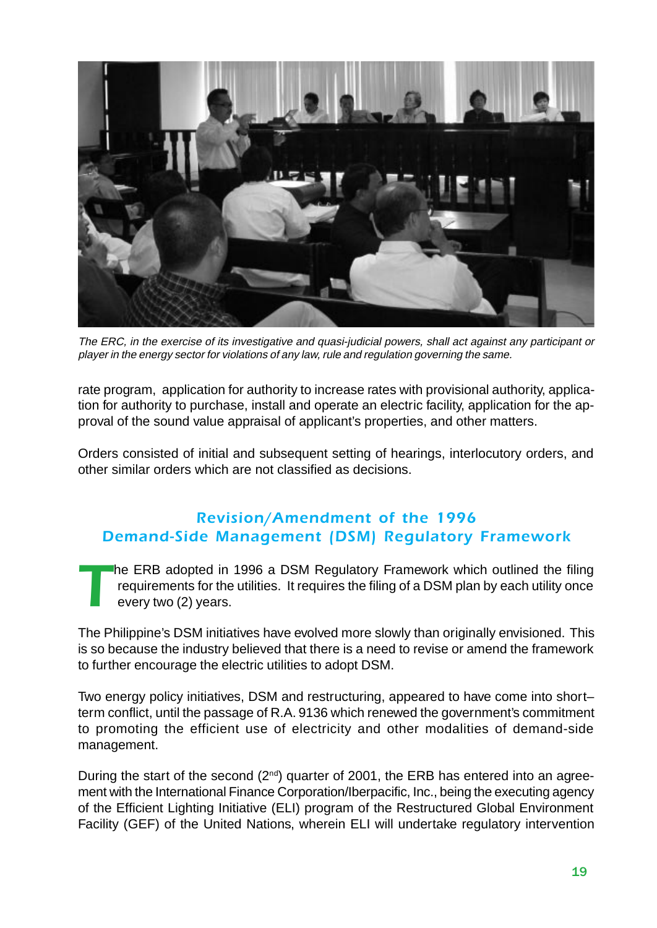

The ERC, in the exercise of its investigative and quasi-judicial powers, shall act against any participant or player in the energy sector for violations of any law, rule and regulation governing the same.

rate program, application for authority to increase rates with provisional authority, application for authority to purchase, install and operate an electric facility, application for the approval of the sound value appraisal of applicant's properties, and other matters.

Orders consisted of initial and subsequent setting of hearings, interlocutory orders, and other similar orders which are not classified as decisions.

#### *Revision/Amendment of the 1996 Demand-Side Management (DSM) Regulatory Framework*

he ERB adopted in 1996 a DSM Regulatory Framework which outlined the filing requirements for the utilities. It requires the filing of a DSM plan by each utility once every two (2) years.

The Philippine's DSM initiatives have evolved more slowly than originally envisioned. This is so because the industry believed that there is a need to revise or amend the framework to further encourage the electric utilities to adopt DSM.

Two energy policy initiatives, DSM and restructuring, appeared to have come into short– term conflict, until the passage of R.A. 9136 which renewed the government's commitment to promoting the efficient use of electricity and other modalities of demand-side management.

During the start of the second  $(2^{nd})$  quarter of 2001, the ERB has entered into an agreement with the International Finance Corporation/Iberpacific, Inc., being the executing agency of the Efficient Lighting Initiative (ELI) program of the Restructured Global Environment Facility (GEF) of the United Nations, wherein ELI will undertake regulatory intervention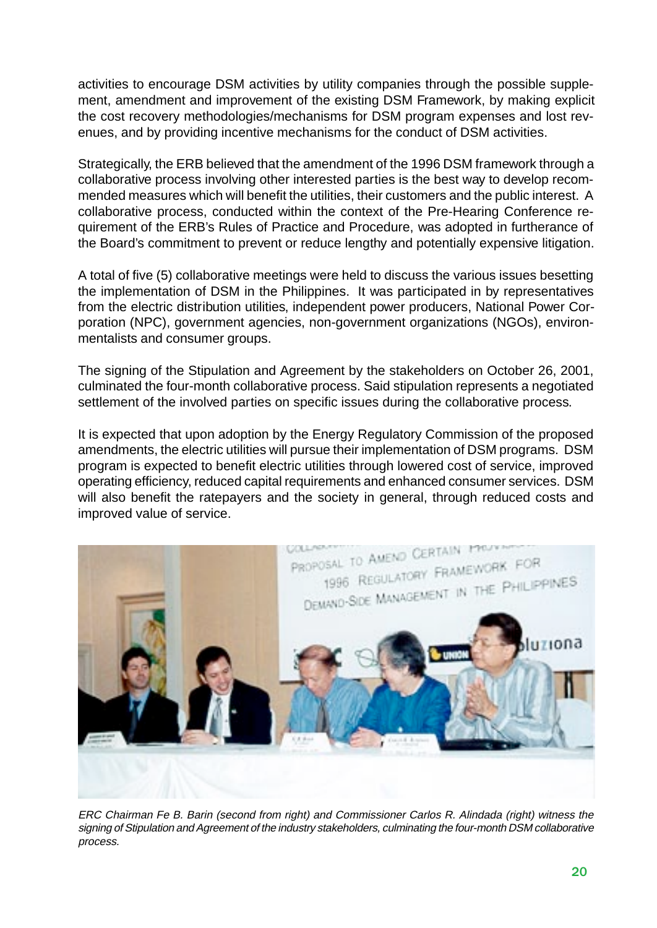activities to encourage DSM activities by utility companies through the possible supplement, amendment and improvement of the existing DSM Framework, by making explicit the cost recovery methodologies/mechanisms for DSM program expenses and lost revenues, and by providing incentive mechanisms for the conduct of DSM activities.

Strategically, the ERB believed that the amendment of the 1996 DSM framework through a collaborative process involving other interested parties is the best way to develop recommended measures which will benefit the utilities, their customers and the public interest. A collaborative process, conducted within the context of the Pre-Hearing Conference requirement of the ERB's Rules of Practice and Procedure, was adopted in furtherance of the Board's commitment to prevent or reduce lengthy and potentially expensive litigation.

A total of five (5) collaborative meetings were held to discuss the various issues besetting the implementation of DSM in the Philippines. It was participated in by representatives from the electric distribution utilities, independent power producers, National Power Corporation (NPC), government agencies, non-government organizations (NGOs), environmentalists and consumer groups.

The signing of the Stipulation and Agreement by the stakeholders on October 26, 2001, culminated the four-month collaborative process. Said stipulation represents a negotiated settlement of the involved parties on specific issues during the collaborative process.

It is expected that upon adoption by the Energy Regulatory Commission of the proposed amendments, the electric utilities will pursue their implementation of DSM programs. DSM program is expected to benefit electric utilities through lowered cost of service, improved operating efficiency, reduced capital requirements and enhanced consumer services. DSM will also benefit the ratepayers and the society in general, through reduced costs and improved value of service.



ERC Chairman Fe B. Barin (second from right) and Commissioner Carlos R. Alindada (right) witness the signing of Stipulation and Agreement of the industry stakeholders, culminating the four-month DSM collaborative process.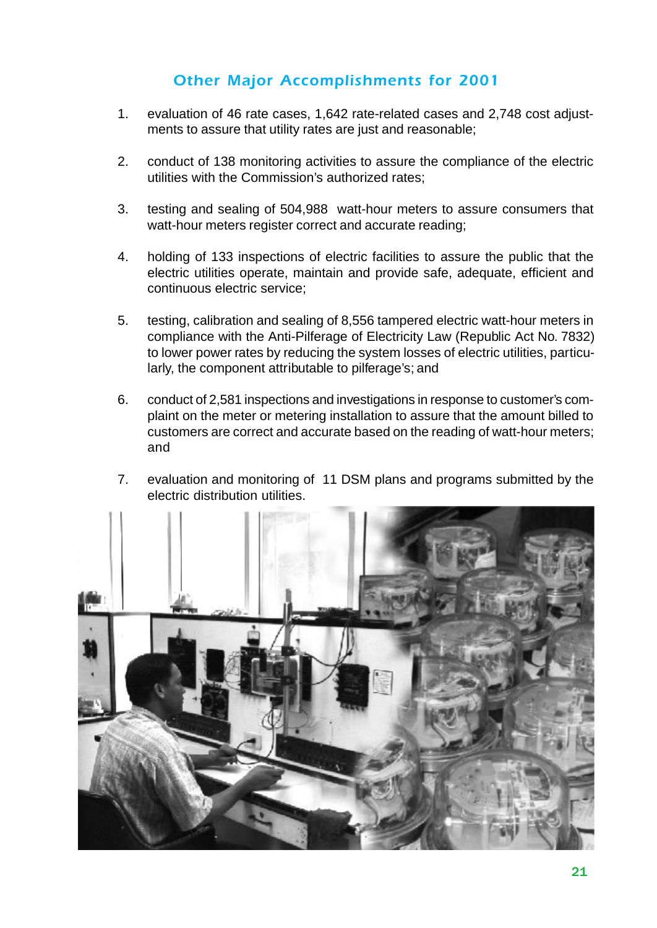#### *Other Major Accomplishments for 2001*

- 1. evaluation of 46 rate cases, 1,642 rate-related cases and 2,748 cost adjustments to assure that utility rates are just and reasonable;
- 2. conduct of 138 monitoring activities to assure the compliance of the electric utilities with the Commission's authorized rates;
- 3. testing and sealing of 504,988 watt-hour meters to assure consumers that watt-hour meters register correct and accurate reading;
- 4. holding of 133 inspections of electric facilities to assure the public that the electric utilities operate, maintain and provide safe, adequate, efficient and continuous electric service;
- 5. testing, calibration and sealing of 8,556 tampered electric watt-hour meters in compliance with the Anti-Pilferage of Electricity Law (Republic Act No. 7832) to lower power rates by reducing the system losses of electric utilities, particularly, the component attributable to pilferage's; and
- 6. conduct of 2,581 inspections and investigations in response to customer's complaint on the meter or metering installation to assure that the amount billed to customers are correct and accurate based on the reading of watt-hour meters; and
- 7. evaluation and monitoring of 11 DSM plans and programs submitted by the electric distribution utilities.

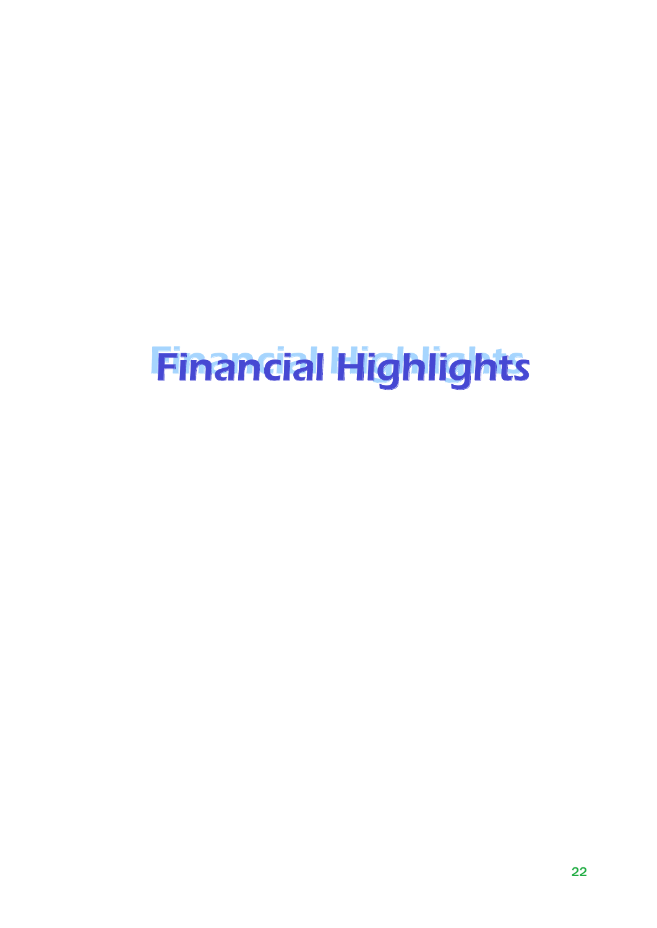# **Financial Highlights**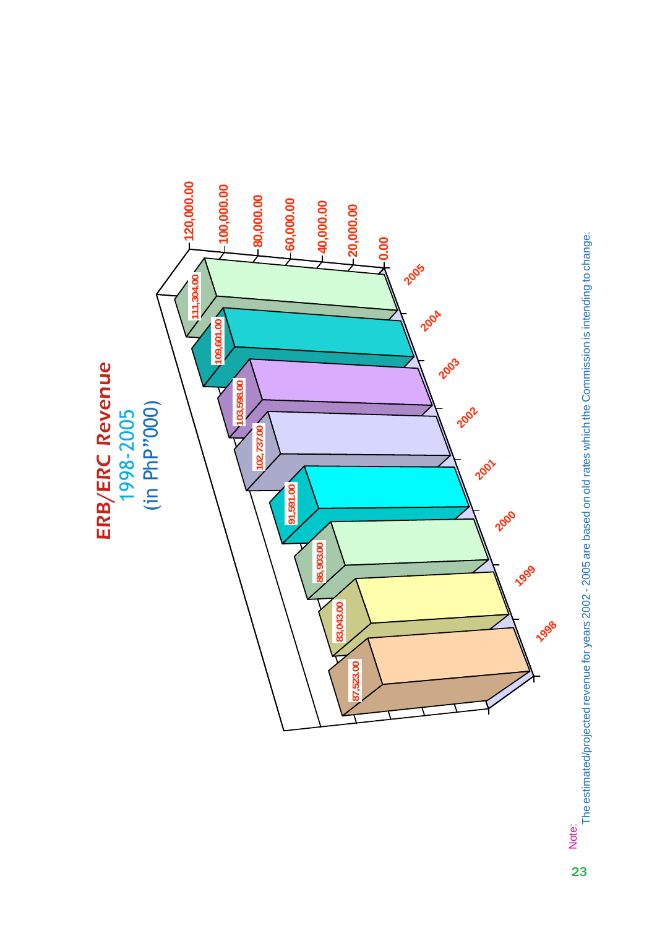

The estimated/projected revenue for years 2002 - 2005 are based on old rates which the Commission is intending to change. The estimated/projected revenue for years 2002 - 2005 are based on old rates which the Commission is intending to change.Note: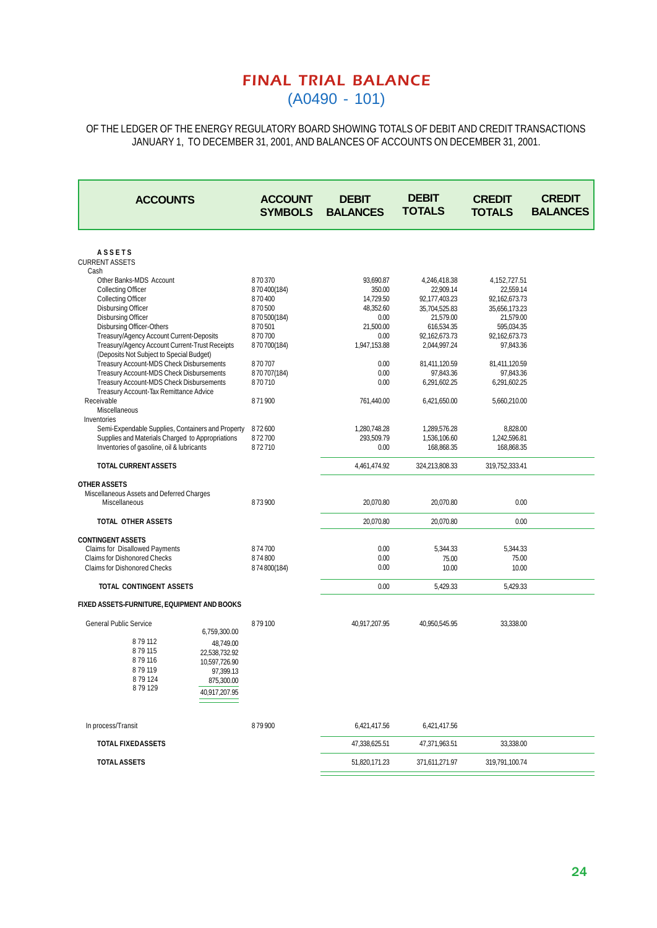#### *FINAL TRIAL BALANCE* (A0490 - 101)

OF THE LEDGER OF THE ENERGY REGULATORY BOARD SHOWING TOTALS OF DEBIT AND CREDIT TRANSACTIONS JANUARY 1, TO DECEMBER 31, 2001, AND BALANCES OF ACCOUNTS ON DECEMBER 31, 2001.

| <b>ACCOUNTS</b>                                                                      | <b>ACCOUNT</b><br><b>SYMBOLS</b> | <b>DEBIT</b><br><b>BALANCES</b> | <b>DEBIT</b><br><b>TOTALS</b> | <b>CREDIT</b><br><b>TOTALS</b> | <b>CREDIT</b><br><b>BALANCES</b> |
|--------------------------------------------------------------------------------------|----------------------------------|---------------------------------|-------------------------------|--------------------------------|----------------------------------|
|                                                                                      |                                  |                                 |                               |                                |                                  |
| <b>ASSETS</b><br><b>CURRENT ASSETS</b><br>Cash                                       |                                  |                                 |                               |                                |                                  |
| Other Banks-MDS Account                                                              | 870370                           | 93,690.87                       | 4,246,418.38                  | 4, 152, 727.51                 |                                  |
| <b>Collecting Officer</b>                                                            | 870400(184)                      | 350.00                          | 22,909.14                     | 22,559.14                      |                                  |
| <b>Collecting Officer</b>                                                            | 870400                           | 14,729.50                       | 92,177,403.23                 | 92,162,673.73                  |                                  |
| <b>Disbursing Officer</b>                                                            | 870500                           | 48,352.60                       | 35,704,525.83                 | 35,656,173.23                  |                                  |
| <b>Disbursing Officer</b>                                                            | 870500(184)                      | 0.00                            | 21,579.00                     | 21,579.00                      |                                  |
| <b>Disbursing Officer-Others</b>                                                     | 870501                           | 21,500.00                       | 616,534.35                    | 595,034.35                     |                                  |
| Treasury/Agency Account Current-Deposits                                             | 870700                           | 0.00                            | 92,162,673.73                 | 92,162,673.73                  |                                  |
| Treasury/Agency Account Current-Trust Receipts                                       | 870700(184)                      | 1,947,153.88                    | 2,044,997.24                  | 97,843.36                      |                                  |
| (Deposits Not Subject to Special Budget)                                             |                                  |                                 |                               |                                |                                  |
| Treasury Account-MDS Check Disbursements                                             | 870707                           | 0.00                            | 81,411,120.59                 | 81,411,120.59                  |                                  |
| Treasury Account-MDS Check Disbursements<br>Treasury Account-MDS Check Disbursements | 870707(184)<br>870710            | 0.00<br>0.00                    | 97,843.36                     | 97,843.36                      |                                  |
| Treasury Account-Tax Remittance Advice                                               |                                  |                                 | 6,291,602.25                  | 6,291,602.25                   |                                  |
| Receivable                                                                           | 871900                           | 761.440.00                      | 6,421,650.00                  | 5,660,210.00                   |                                  |
| <b>Miscellaneous</b>                                                                 |                                  |                                 |                               |                                |                                  |
| Inventories                                                                          |                                  |                                 |                               |                                |                                  |
| Semi-Expendable Supplies, Containers and Property                                    | 872600                           | 1,280,748.28                    | 1,289,576.28                  | 8,828.00                       |                                  |
| Supplies and Materials Charged to Appropriations                                     | 872700                           | 293,509.79                      | 1,536,106.60                  | 1,242,596.81                   |                                  |
| Inventories of gasoline, oil & lubricants                                            | 872710                           | 0.00                            | 168,868.35                    | 168,868.35                     |                                  |
| <b>TOTAL CURRENT ASSETS</b>                                                          |                                  | 4,461,474.92                    | 324,213,808.33                | 319,752,333.41                 |                                  |
|                                                                                      |                                  |                                 |                               |                                |                                  |
| <b>OTHER ASSETS</b>                                                                  |                                  |                                 |                               |                                |                                  |
| Miscellaneous Assets and Deferred Charges                                            |                                  |                                 |                               |                                |                                  |
| Miscellaneous                                                                        | 873900                           | 20,070.80                       | 20,070.80                     | 0.00                           |                                  |
| TOTAL OTHER ASSETS                                                                   |                                  | 20,070.80                       | 20,070.80                     | 0.00                           |                                  |
|                                                                                      |                                  |                                 |                               |                                |                                  |
| <b>CONTINGENT ASSETS</b>                                                             | 874700                           | 0.00                            |                               |                                |                                  |
| <b>Claims for Disallowed Payments</b><br><b>Claims for Dishonored Checks</b>         | 874800                           | 0.00                            | 5,344.33<br>75.00             | 5,344.33<br>75.00              |                                  |
| <b>Claims for Dishonored Checks</b>                                                  | 874800(184)                      | 0.00                            | 10.00                         | 10.00                          |                                  |
|                                                                                      |                                  |                                 |                               |                                |                                  |
| TOTAL CONTINGENT ASSETS                                                              |                                  | 0.00                            | 5,429.33                      | 5,429.33                       |                                  |
| FIXED ASSETS-FURNITURE, EQUIPMENT AND BOOKS                                          |                                  |                                 |                               |                                |                                  |
| <b>General Public Service</b>                                                        | 879100                           | 40,917,207.95                   | 40,950,545.95                 | 33,338.00                      |                                  |
| 6,759,300.00                                                                         |                                  |                                 |                               |                                |                                  |
| 879112<br>48,749.00                                                                  |                                  |                                 |                               |                                |                                  |
| 879115<br>22,538,732.92                                                              |                                  |                                 |                               |                                |                                  |
| 879116<br>10,597,726.90                                                              |                                  |                                 |                               |                                |                                  |
| 879119<br>97,399.13                                                                  |                                  |                                 |                               |                                |                                  |
| 879124<br>875,300.00                                                                 |                                  |                                 |                               |                                |                                  |
| 879129                                                                               |                                  |                                 |                               |                                |                                  |
| 40,917,207.95                                                                        |                                  |                                 |                               |                                |                                  |
| In process/Transit                                                                   | 879900                           | 6,421,417.56                    | 6,421,417.56                  |                                |                                  |
|                                                                                      |                                  |                                 |                               |                                |                                  |
| <b>TOTAL FIXEDASSETS</b>                                                             |                                  | 47,338,625.51                   | 47,371,963.51                 | 33,338.00                      |                                  |
| <b>TOTAL ASSETS</b>                                                                  |                                  | 51,820,171.23                   | 371,611,271.97                | 319,791,100.74                 |                                  |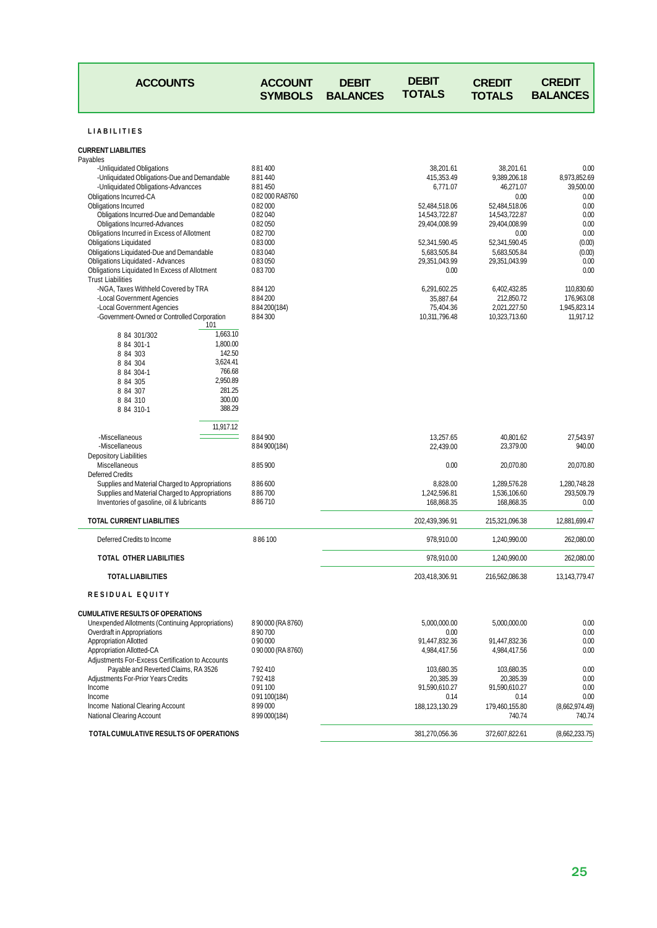| <b>ACCOUNTS</b>                                                                                                                                                                                                                                                                                                                                                                                                                                                                                                                                                                                                                                                            |                                                                                                                    | <b>ACCOUNT</b><br><b>SYMBOLS</b>                                                                                                                                        | <b>DEBIT</b><br><b>BALANCES</b> | <b>DEBIT</b><br><b>TOTALS</b>                                                                                                                                                                               | <b>CREDIT</b><br><b>TOTALS</b>                                                                                                                                                                                             | <b>CREDIT</b><br><b>BALANCES</b>                                                                                                                                       |
|----------------------------------------------------------------------------------------------------------------------------------------------------------------------------------------------------------------------------------------------------------------------------------------------------------------------------------------------------------------------------------------------------------------------------------------------------------------------------------------------------------------------------------------------------------------------------------------------------------------------------------------------------------------------------|--------------------------------------------------------------------------------------------------------------------|-------------------------------------------------------------------------------------------------------------------------------------------------------------------------|---------------------------------|-------------------------------------------------------------------------------------------------------------------------------------------------------------------------------------------------------------|----------------------------------------------------------------------------------------------------------------------------------------------------------------------------------------------------------------------------|------------------------------------------------------------------------------------------------------------------------------------------------------------------------|
| <b>LIABILITIES</b>                                                                                                                                                                                                                                                                                                                                                                                                                                                                                                                                                                                                                                                         |                                                                                                                    |                                                                                                                                                                         |                                 |                                                                                                                                                                                                             |                                                                                                                                                                                                                            |                                                                                                                                                                        |
| <b>CURRENT LIABILITIES</b>                                                                                                                                                                                                                                                                                                                                                                                                                                                                                                                                                                                                                                                 |                                                                                                                    |                                                                                                                                                                         |                                 |                                                                                                                                                                                                             |                                                                                                                                                                                                                            |                                                                                                                                                                        |
| Payables<br>-Unliquidated Obligations<br>-Unliquidated Obligations-Due and Demandable<br>-Unliquidated Obligations-Advancces<br>Obligations Incurred-CA<br>Obligations Incurred<br>Obligations Incurred-Due and Demandable<br><b>Obligations Incurred-Advances</b><br>Obligations Incurred in Excess of Allotment<br><b>Obligations Liquidated</b><br>Obligations Liquidated-Due and Demandable<br><b>Obligations Liquidated - Advances</b><br>Obligations Liquidated In Excess of Allotment<br><b>Trust Liabilities</b><br>-NGA, Taxes Withheld Covered by TRA<br>-Local Government Agencies<br>-Local Government Agencies<br>-Government-Owned or Controlled Corporation |                                                                                                                    | 881400<br>881440<br>881450<br>082000RA8760<br>082000<br>082040<br>082050<br>082700<br>083000<br>083040<br>083050<br>083700<br>884120<br>884200<br>884200(184)<br>884300 |                                 | 38,201.61<br>415.353.49<br>6,771.07<br>52,484,518.06<br>14,543,722.87<br>29,404,008.99<br>52,341,590.45<br>5,683,505.84<br>29,351,043.99<br>0.00<br>6,291,602.25<br>35,887.64<br>75,404.36<br>10,311,796.48 | 38,201.61<br>9,389,206.18<br>46,271.07<br>0.00<br>52,484,518.06<br>14,543,722.87<br>29,404,008.99<br>0.00<br>52,341,590.45<br>5,683,505.84<br>29,351,043.99<br>6,402,432.85<br>212,850.72<br>2,021,227.50<br>10,323,713.60 | 0.00<br>8,973,852.69<br>39,500.00<br>0.00<br>0.00<br>0.00<br>0.00<br>0.00<br>(0.00)<br>(0.00)<br>0.00<br>0.00<br>110,830.60<br>176,963.08<br>1,945,823.14<br>11,917.12 |
| 8 84 301/302<br>8 84 301-1<br>8 84 303<br>8 84 304<br>8 84 304-1<br>8 84 305<br>8 84 307<br>8 84 310<br>8 84 310-1                                                                                                                                                                                                                                                                                                                                                                                                                                                                                                                                                         | 101<br>1,663.10<br>1,800.00<br>142.50<br>3,624.41<br>766.68<br>2.950.89<br>281.25<br>300.00<br>388.29<br>11,917.12 |                                                                                                                                                                         |                                 |                                                                                                                                                                                                             |                                                                                                                                                                                                                            |                                                                                                                                                                        |
| -Miscellaneous<br>-Miscellaneous<br><b>Depository Liabilities</b>                                                                                                                                                                                                                                                                                                                                                                                                                                                                                                                                                                                                          |                                                                                                                    | 884900<br>884900(184)                                                                                                                                                   |                                 | 13,257.65<br>22,439.00                                                                                                                                                                                      | 40,801.62<br>23,379.00                                                                                                                                                                                                     | 27,543.97<br>940.00                                                                                                                                                    |
| Miscellaneous<br><b>Deferred Credits</b>                                                                                                                                                                                                                                                                                                                                                                                                                                                                                                                                                                                                                                   |                                                                                                                    | 885900                                                                                                                                                                  |                                 | 0.00                                                                                                                                                                                                        | 20,070.80                                                                                                                                                                                                                  | 20,070.80                                                                                                                                                              |
| Supplies and Material Charged to Appropriations<br>Supplies and Material Charged to Appropriations<br>Inventories of gasoline, oil & lubricants                                                                                                                                                                                                                                                                                                                                                                                                                                                                                                                            |                                                                                                                    | 886600<br>886700<br>886710                                                                                                                                              |                                 | 8,828.00<br>1,242,596.81<br>168,868.35                                                                                                                                                                      | 1,289,576.28<br>1,536,106.60<br>168,868.35                                                                                                                                                                                 | 1,280,748.28<br>293,509.79<br>0.00                                                                                                                                     |
| TOTAL CURRENT LIABILITIES                                                                                                                                                                                                                                                                                                                                                                                                                                                                                                                                                                                                                                                  |                                                                                                                    |                                                                                                                                                                         |                                 | 202,439,396.91                                                                                                                                                                                              | 215,321,096.38                                                                                                                                                                                                             | 12,881,699.47                                                                                                                                                          |
| Deferred Credits to Income                                                                                                                                                                                                                                                                                                                                                                                                                                                                                                                                                                                                                                                 |                                                                                                                    | 886100                                                                                                                                                                  |                                 | 978,910.00                                                                                                                                                                                                  | 1,240,990.00                                                                                                                                                                                                               | 262,080.00                                                                                                                                                             |
| TOTAL OTHER LIABILITIES                                                                                                                                                                                                                                                                                                                                                                                                                                                                                                                                                                                                                                                    |                                                                                                                    |                                                                                                                                                                         |                                 | 978,910.00                                                                                                                                                                                                  | 1,240,990.00                                                                                                                                                                                                               | 262,080.00                                                                                                                                                             |
| <b>TOTAL LIABILITIES</b>                                                                                                                                                                                                                                                                                                                                                                                                                                                                                                                                                                                                                                                   |                                                                                                                    |                                                                                                                                                                         |                                 | 203,418,306.91                                                                                                                                                                                              | 216,562,086.38                                                                                                                                                                                                             | 13, 143, 779. 47                                                                                                                                                       |
| <b>RESIDUAL EQUITY</b>                                                                                                                                                                                                                                                                                                                                                                                                                                                                                                                                                                                                                                                     |                                                                                                                    |                                                                                                                                                                         |                                 |                                                                                                                                                                                                             |                                                                                                                                                                                                                            |                                                                                                                                                                        |
| <b>CUMULATIVE RESULTS OF OPERATIONS</b><br>Unexpended Allotments (Continuing Appropriations)<br>Overdraft in Appropriations<br><b>Appropriation Allotted</b><br><b>Appropriation Allotted-CA</b><br>Adjustments For-Excess Certification to Accounts                                                                                                                                                                                                                                                                                                                                                                                                                       |                                                                                                                    | 8 90 000 (RA 8760)<br>890700<br>0 90 000<br>0 90 000 (RA 8760)                                                                                                          |                                 | 5,000,000.00<br>0.00<br>91,447,832.36<br>4,984,417.56                                                                                                                                                       | 5,000,000.00<br>91,447,832.36<br>4,984,417.56                                                                                                                                                                              | 0.00<br>0.00<br>0.00<br>0.00                                                                                                                                           |
| Payable and Reverted Claims, RA 3526<br>Adjustments For-Prior Years Credits<br>Income<br>Income<br>Income National Clearing Account<br><b>National Clearing Account</b>                                                                                                                                                                                                                                                                                                                                                                                                                                                                                                    |                                                                                                                    | 792410<br>792418<br>091100<br>091100(184)<br>899000<br>8 99 000 (184)                                                                                                   |                                 | 103,680.35<br>20,385.39<br>91,590,610.27<br>0.14<br>188,123,130.29                                                                                                                                          | 103,680.35<br>20,385.39<br>91,590,610.27<br>0.14<br>179,460,155.80<br>740.74                                                                                                                                               | 0.00<br>0.00<br>0.00<br>0.00<br>(8,662,974.49)<br>740.74                                                                                                               |
| TOTAL CUMULATIVE RESULTS OF OPERATIONS                                                                                                                                                                                                                                                                                                                                                                                                                                                                                                                                                                                                                                     |                                                                                                                    |                                                                                                                                                                         |                                 | 381,270,056.36                                                                                                                                                                                              | 372,607,822.61                                                                                                                                                                                                             | (8,662,233.75)                                                                                                                                                         |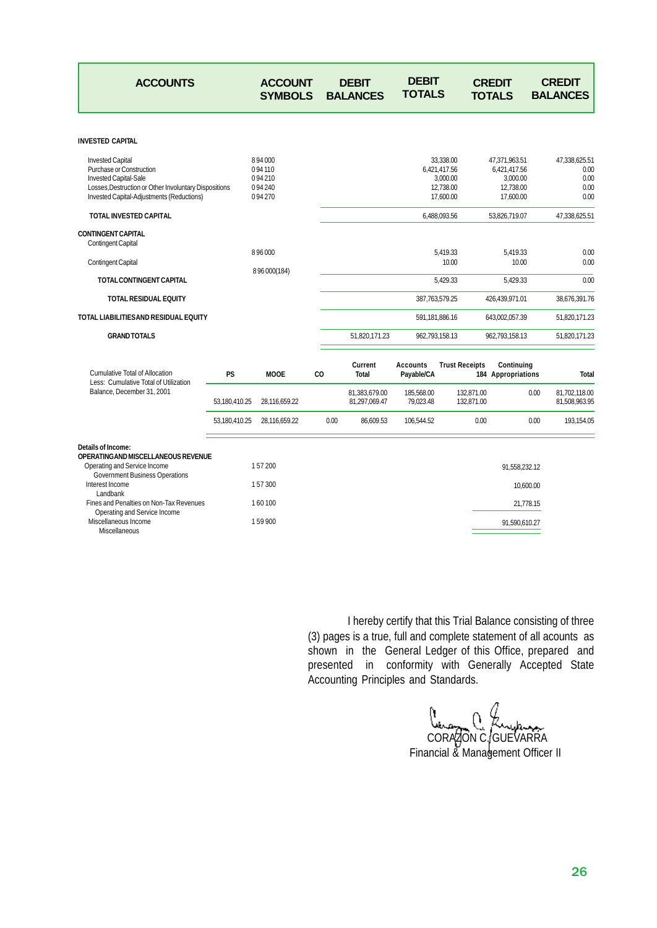| <b>ACCOUNTS</b>                                                                                                                                                                           |                | <b>ACCOUNT</b><br><b>SYMBOLS</b>               |                | <b>DEBIT</b><br><b>BALANCES</b> | <b>DEBIT</b><br><b>TOTALS</b> |                                                                 | <b>CREDIT</b><br><b>TOTALS</b>                                      | <b>CREDIT</b><br><b>BALANCES</b>              |
|-------------------------------------------------------------------------------------------------------------------------------------------------------------------------------------------|----------------|------------------------------------------------|----------------|---------------------------------|-------------------------------|-----------------------------------------------------------------|---------------------------------------------------------------------|-----------------------------------------------|
| <b>INVESTED CAPITAL</b>                                                                                                                                                                   |                |                                                |                |                                 |                               |                                                                 |                                                                     |                                               |
| <b>Invested Capital</b><br><b>Purchase or Construction</b><br>Invested Capital-Sale<br>Losses, Destruction or Other Involuntary Dispositions<br>Invested Capital-Adjustments (Reductions) |                | 894000<br>094110<br>094210<br>094240<br>094270 |                |                                 |                               | 33,338.00<br>6.421.417.56<br>3,000.00<br>12,738.00<br>17,600.00 | 47,371,963.51<br>6,421,417.56<br>3,000.00<br>12,738.00<br>17,600.00 | 47,338,625.51<br>0.00<br>0.00<br>0.00<br>0.00 |
| <b>TOTAL INVESTED CAPITAL</b>                                                                                                                                                             |                |                                                |                |                                 |                               | 6.488.093.56                                                    | 53,826,719.07                                                       | 47.338.625.51                                 |
| <b>CONTINGENT CAPITAL</b><br><b>Contingent Capital</b><br><b>Contingent Capital</b>                                                                                                       |                | 896000                                         |                |                                 |                               | 5,419.33<br>10.00                                               | 5,419.33<br>10.00                                                   | 0.00<br>0.00                                  |
| TOTAL CONTINGENT CAPITAL                                                                                                                                                                  | 8 96 000 (184) |                                                |                |                                 |                               | 5,429.33                                                        | 5,429.33                                                            | 0.00                                          |
|                                                                                                                                                                                           |                |                                                |                |                                 |                               |                                                                 |                                                                     |                                               |
| <b>TOTAL RESIDUAL EQUITY</b>                                                                                                                                                              |                |                                                |                |                                 |                               | 387,763,579.25                                                  | 426,439,971.01                                                      | 38,676,391.76                                 |
| TOTAL LIABILITIESAND RESIDUAL EQUITY                                                                                                                                                      |                |                                                |                |                                 |                               | 591,181,886.16                                                  | 643,002,057.39                                                      | 51,820,171.23                                 |
| <b>GRAND TOTALS</b>                                                                                                                                                                       |                |                                                |                | 51,820,171.23                   |                               | 962,793,158.13                                                  | 962,793,158.13                                                      | 51,820,171.23                                 |
| <b>Cumulative Total of Allocation</b><br>Less: Cumulative Total of Utilization                                                                                                            | <b>PS</b>      | <b>MOOE</b>                                    | C <sub>O</sub> | Current<br><b>Total</b>         | <b>Accounts</b><br>Payable/CA | <b>Trust Receipts</b>                                           | Continuing<br>184 Appropriations                                    | <b>Total</b>                                  |
| Balance, December 31, 2001                                                                                                                                                                | 53,180,410.25  | 28,116,659.22                                  |                | 81,383,679.00<br>81,297,069.47  | 185,568.00<br>79,023.48       | 132,871.00<br>132,871.00                                        |                                                                     | 0.00<br>81,702,118.00<br>81,508,963.95        |
|                                                                                                                                                                                           | 53,180,410.25  | 28,116,659.22                                  | 0.00           | 86,609.53                       | 106,544.52                    | 0.00                                                            |                                                                     | 0.00<br>193,154.05                            |
| Details of Income:<br>OPERATINGAND MISCELLANEOUS REVENUE<br>Operating and Service Income<br><b>Government Business Operations</b><br>Interest Income                                      |                | 157200<br>157300                               |                |                                 |                               |                                                                 | 91,558,232.12<br>10,600.00                                          |                                               |
| Landbank<br>Fines and Penalties on Non-Tax Revenues                                                                                                                                       |                | 160100                                         |                |                                 |                               |                                                                 | 21,778.15                                                           |                                               |
| Operating and Service Income<br>Miscellaneous Income<br>Miscellaneous                                                                                                                     |                | 159900                                         |                |                                 |                               |                                                                 | 91,590,610.27                                                       |                                               |

I hereby certify that this Trial Balance consisting of three (3) pages is a true, full and complete statement of all acounts as shown in the General Ledger of this Office, prepared and presented in conformity with Generally Accepted State Accounting Principles and Standards.

CORAZON C. GUEVARRA Financial & Management Officer II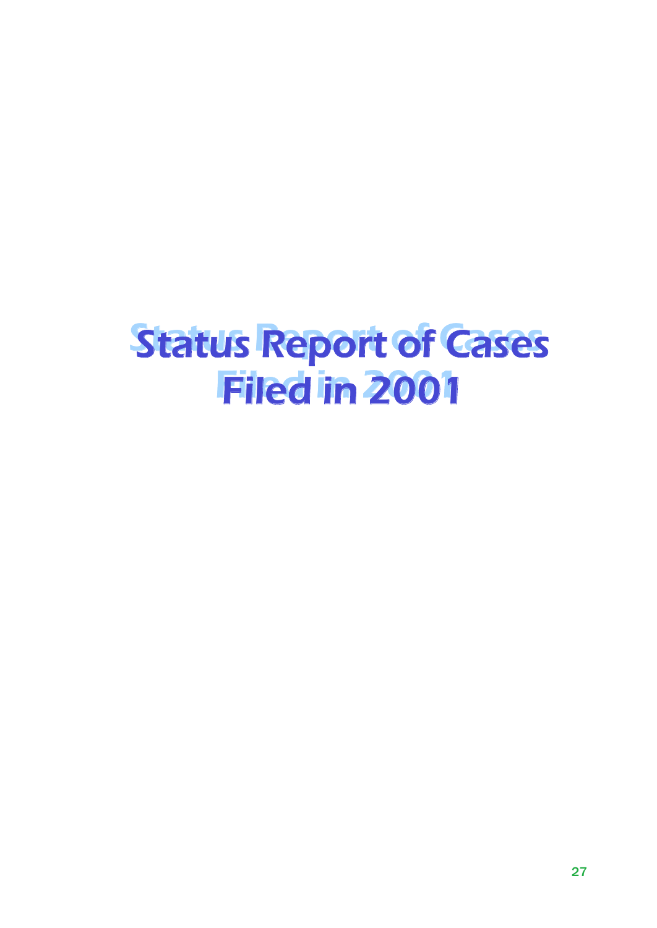# *Status Report of Cases Status Report of Cases Filed in 2001 Filed in 2001*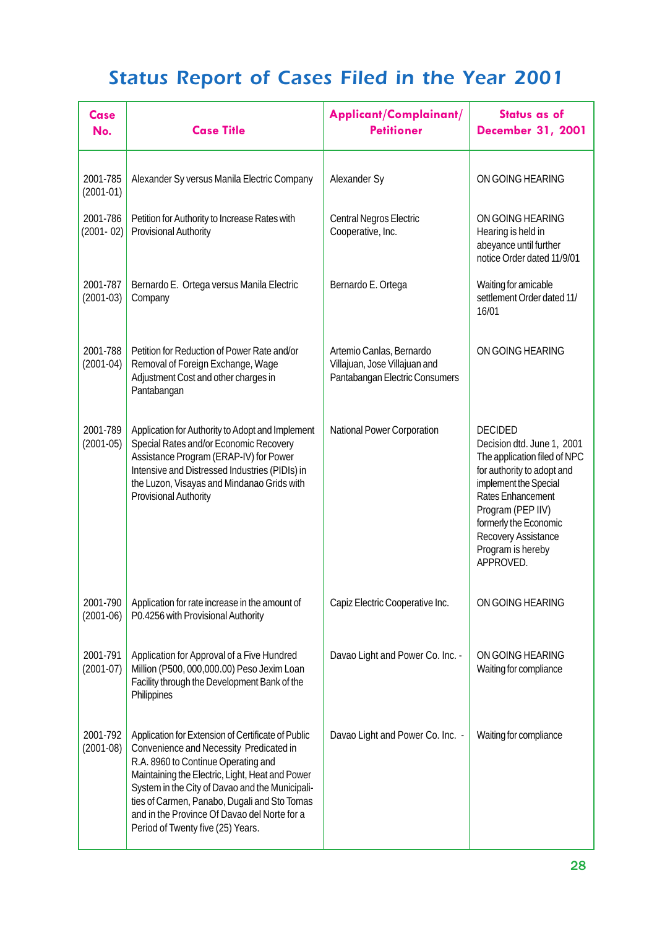| <b>Case</b><br>No.        | <b>Case Title</b>                                                                                                                                                                                                                                                                                                                                                               | Applicant/Complainant/<br><b>Petitioner</b>                                                 | <b>Status as of</b><br><b>December 31, 2001</b>                                                                                                                                                                                                                 |
|---------------------------|---------------------------------------------------------------------------------------------------------------------------------------------------------------------------------------------------------------------------------------------------------------------------------------------------------------------------------------------------------------------------------|---------------------------------------------------------------------------------------------|-----------------------------------------------------------------------------------------------------------------------------------------------------------------------------------------------------------------------------------------------------------------|
| 2001-785<br>$(2001-01)$   | Alexander Sy versus Manila Electric Company                                                                                                                                                                                                                                                                                                                                     | Alexander Sy                                                                                | ON GOING HEARING                                                                                                                                                                                                                                                |
| 2001-786<br>$(2001 - 02)$ | Petition for Authority to Increase Rates with<br><b>Provisional Authority</b>                                                                                                                                                                                                                                                                                                   | Central Negros Electric<br>Cooperative, Inc.                                                | ON GOING HEARING<br>Hearing is held in<br>abeyance until further<br>notice Order dated 11/9/01                                                                                                                                                                  |
| 2001-787<br>$(2001-03)$   | Bernardo E. Ortega versus Manila Electric<br>Company                                                                                                                                                                                                                                                                                                                            | Bernardo E. Ortega                                                                          | Waiting for amicable<br>settlement Order dated 11/<br>16/01                                                                                                                                                                                                     |
| 2001-788<br>$(2001-04)$   | Petition for Reduction of Power Rate and/or<br>Removal of Foreign Exchange, Wage<br>Adjustment Cost and other charges in<br>Pantabangan                                                                                                                                                                                                                                         | Artemio Canlas, Bernardo<br>Villajuan, Jose Villajuan and<br>Pantabangan Electric Consumers | ON GOING HEARING                                                                                                                                                                                                                                                |
| 2001-789<br>$(2001-05)$   | Application for Authority to Adopt and Implement<br>Special Rates and/or Economic Recovery<br>Assistance Program (ERAP-IV) for Power<br>Intensive and Distressed Industries (PIDIs) in<br>the Luzon, Visayas and Mindanao Grids with<br><b>Provisional Authority</b>                                                                                                            | National Power Corporation                                                                  | <b>DECIDED</b><br>Decision dtd. June 1, 2001<br>The application filed of NPC<br>for authority to adopt and<br>implement the Special<br>Rates Enhancement<br>Program (PEP IIV)<br>formerly the Economic<br>Recovery Assistance<br>Program is hereby<br>APPROVED. |
| 2001-790<br>$(2001-06)$   | Application for rate increase in the amount of<br>P0.4256 with Provisional Authority                                                                                                                                                                                                                                                                                            | Capiz Electric Cooperative Inc.                                                             | ON GOING HEARING                                                                                                                                                                                                                                                |
| 2001-791<br>$(2001-07)$   | Application for Approval of a Five Hundred<br>Million (P500, 000,000.00) Peso Jexim Loan<br>Facility through the Development Bank of the<br>Philippines                                                                                                                                                                                                                         | Davao Light and Power Co. Inc. -                                                            | ON GOING HEARING<br>Waiting for compliance                                                                                                                                                                                                                      |
| 2001-792<br>$(2001-08)$   | Application for Extension of Certificate of Public<br>Convenience and Necessity Predicated in<br>R.A. 8960 to Continue Operating and<br>Maintaining the Electric, Light, Heat and Power<br>System in the City of Davao and the Municipali-<br>ties of Carmen, Panabo, Dugali and Sto Tomas<br>and in the Province Of Davao del Norte for a<br>Period of Twenty five (25) Years. | Davao Light and Power Co. Inc. -                                                            | Waiting for compliance                                                                                                                                                                                                                                          |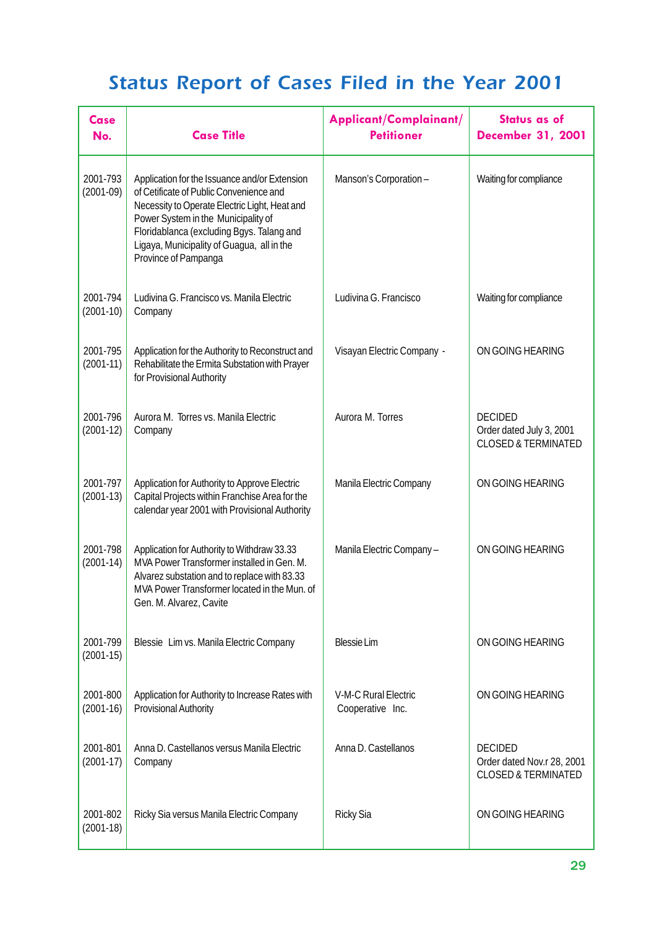| <b>Case</b><br>No.      | <b>Case Title</b>                                                                                                                                                                                                                                                                                   | Applicant/Complainant/<br><b>Petitioner</b>     | <b>Status as of</b><br><b>December 31, 2001</b>                                |
|-------------------------|-----------------------------------------------------------------------------------------------------------------------------------------------------------------------------------------------------------------------------------------------------------------------------------------------------|-------------------------------------------------|--------------------------------------------------------------------------------|
| 2001-793<br>$(2001-09)$ | Application for the Issuance and/or Extension<br>of Cetificate of Public Convenience and<br>Necessity to Operate Electric Light, Heat and<br>Power System in the Municipality of<br>Floridablanca (excluding Bgys. Talang and<br>Ligaya, Municipality of Guagua, all in the<br>Province of Pampanga | Manson's Corporation-                           | Waiting for compliance                                                         |
| 2001-794<br>$(2001-10)$ | Ludivina G. Francisco vs. Manila Electric<br>Company                                                                                                                                                                                                                                                | Ludivina G. Francisco                           | Waiting for compliance                                                         |
| 2001-795<br>$(2001-11)$ | Application for the Authority to Reconstruct and<br>Rehabilitate the Ermita Substation with Prayer<br>for Provisional Authority                                                                                                                                                                     | Visayan Electric Company -                      | ON GOING HEARING                                                               |
| 2001-796<br>$(2001-12)$ | Aurora M. Torres vs. Manila Electric<br>Company                                                                                                                                                                                                                                                     | Aurora M. Torres                                | <b>DECIDED</b><br>Order dated July 3, 2001<br><b>CLOSED &amp; TERMINATED</b>   |
| 2001-797<br>$(2001-13)$ | Application for Authority to Approve Electric<br>Capital Projects within Franchise Area for the<br>calendar year 2001 with Provisional Authority                                                                                                                                                    | Manila Electric Company                         | ON GOING HEARING                                                               |
| 2001-798<br>$(2001-14)$ | Application for Authority to Withdraw 33.33<br>MVA Power Transformer installed in Gen. M.<br>Alvarez substation and to replace with 83.33<br>MVA Power Transformer located in the Mun. of<br>Gen. M. Alvarez, Cavite                                                                                | Manila Electric Company-                        | ON GOING HEARING                                                               |
| 2001-799<br>$(2001-15)$ | Blessie Lim vs. Manila Electric Company                                                                                                                                                                                                                                                             | <b>Blessie Lim</b>                              | ON GOING HEARING                                                               |
| 2001-800<br>$(2001-16)$ | Application for Authority to Increase Rates with<br><b>Provisional Authority</b>                                                                                                                                                                                                                    | <b>V-M-C Rural Electric</b><br>Cooperative Inc. | ON GOING HEARING                                                               |
| 2001-801<br>$(2001-17)$ | Anna D. Castellanos versus Manila Electric<br>Company                                                                                                                                                                                                                                               | Anna D. Castellanos                             | <b>DECIDED</b><br>Order dated Nov.r 28, 2001<br><b>CLOSED &amp; TERMINATED</b> |
| 2001-802<br>$(2001-18)$ | Ricky Sia versus Manila Electric Company                                                                                                                                                                                                                                                            | <b>Ricky Sia</b>                                | ON GOING HEARING                                                               |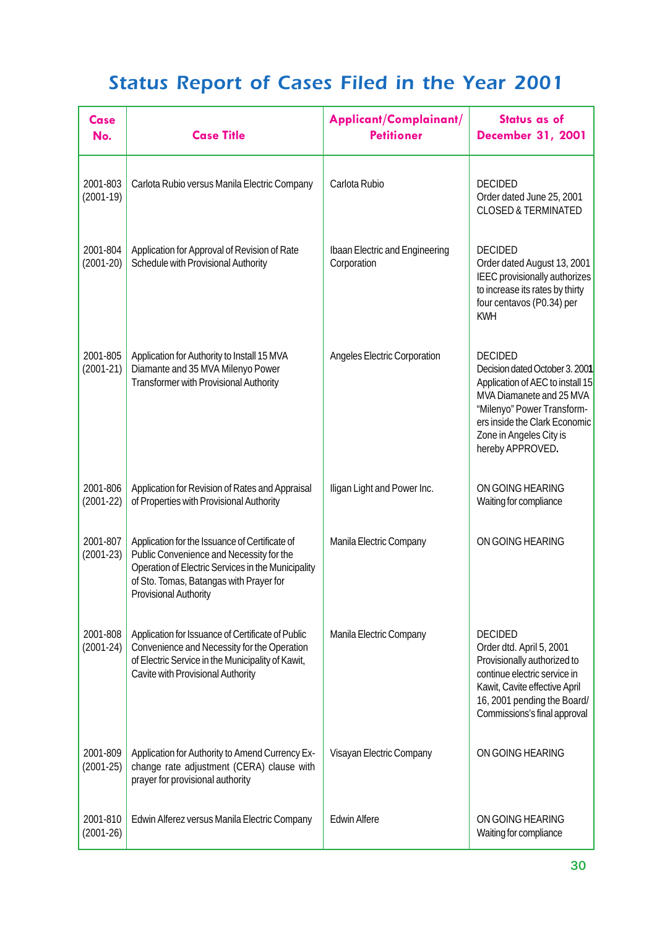| Case<br>No.             | <b>Case Title</b>                                                                                                                                                                                                           | Applicant/Complainant/<br><b>Petitioner</b>   | <b>Status as of</b><br><b>December 31, 2001</b>                                                                                                                                                                                |
|-------------------------|-----------------------------------------------------------------------------------------------------------------------------------------------------------------------------------------------------------------------------|-----------------------------------------------|--------------------------------------------------------------------------------------------------------------------------------------------------------------------------------------------------------------------------------|
| 2001-803<br>$(2001-19)$ | Carlota Rubio versus Manila Electric Company                                                                                                                                                                                | Carlota Rubio                                 | <b>DECIDED</b><br>Order dated June 25, 2001<br><b>CLOSED &amp; TERMINATED</b>                                                                                                                                                  |
| 2001-804<br>$(2001-20)$ | Application for Approval of Revision of Rate<br>Schedule with Provisional Authority                                                                                                                                         | Ibaan Electric and Engineering<br>Corporation | <b>DECIDED</b><br>Order dated August 13, 2001<br>IEEC provisionally authorizes<br>to increase its rates by thirty<br>four centavos (P0.34) per<br><b>KWH</b>                                                                   |
| 2001-805<br>$(2001-21)$ | Application for Authority to Install 15 MVA<br>Diamante and 35 MVA Milenyo Power<br><b>Transformer with Provisional Authority</b>                                                                                           | <b>Angeles Electric Corporation</b>           | <b>DECIDED</b><br>Decision dated October 3. 2001<br>Application of AEC to install 15<br>MVA Diamanete and 25 MVA<br>"Milenyo" Power Transform-<br>ers inside the Clark Economic<br>Zone in Angeles City is<br>hereby APPROVED. |
| 2001-806<br>$(2001-22)$ | Application for Revision of Rates and Appraisal<br>of Properties with Provisional Authority                                                                                                                                 | Iligan Light and Power Inc.                   | ON GOING HEARING<br>Waiting for compliance                                                                                                                                                                                     |
| 2001-807<br>$(2001-23)$ | Application for the Issuance of Certificate of<br>Public Convenience and Necessity for the<br>Operation of Electric Services in the Municipality<br>of Sto. Tomas, Batangas with Prayer for<br><b>Provisional Authority</b> | Manila Electric Company                       | ON GOING HEARING                                                                                                                                                                                                               |
| 2001-808<br>$(2001-24)$ | Application for Issuance of Certificate of Public<br>Convenience and Necessity for the Operation<br>of Electric Service in the Municipality of Kawit,<br>Cavite with Provisional Authority                                  | Manila Electric Company                       | <b>DECIDED</b><br>Order dtd. April 5, 2001<br>Provisionally authorized to<br>continue electric service in<br>Kawit, Cavite effective April<br>16, 2001 pending the Board/<br>Commissions's final approval                      |
| 2001-809<br>$(2001-25)$ | Application for Authority to Amend Currency Ex-<br>change rate adjustment (CERA) clause with<br>prayer for provisional authority                                                                                            | Visayan Electric Company                      | ON GOING HEARING                                                                                                                                                                                                               |
| 2001-810<br>$(2001-26)$ | Edwin Alferez versus Manila Electric Company                                                                                                                                                                                | <b>Edwin Alfere</b>                           | ON GOING HEARING<br>Waiting for compliance                                                                                                                                                                                     |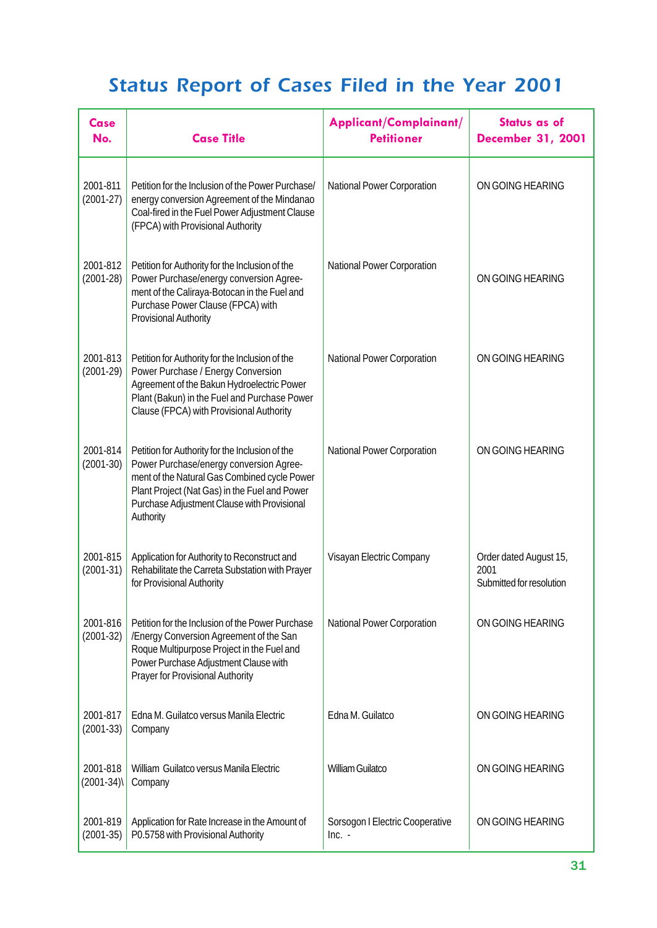| Case<br>No.             | <b>Case Title</b>                                                                                                                                                                                                                                       | Applicant/Complainant/<br><b>Petitioner</b> | <b>Status as of</b><br><b>December 31, 2001</b>            |
|-------------------------|---------------------------------------------------------------------------------------------------------------------------------------------------------------------------------------------------------------------------------------------------------|---------------------------------------------|------------------------------------------------------------|
| 2001-811<br>$(2001-27)$ | Petition for the Inclusion of the Power Purchase/<br>energy conversion Agreement of the Mindanao<br>Coal-fired in the Fuel Power Adjustment Clause<br>(FPCA) with Provisional Authority                                                                 | <b>National Power Corporation</b>           | ON GOING HEARING                                           |
| 2001-812<br>$(2001-28)$ | Petition for Authority for the Inclusion of the<br>Power Purchase/energy conversion Agree-<br>ment of the Caliraya-Botocan in the Fuel and<br>Purchase Power Clause (FPCA) with<br><b>Provisional Authority</b>                                         | <b>National Power Corporation</b>           | ON GOING HEARING                                           |
| 2001-813<br>$(2001-29)$ | Petition for Authority for the Inclusion of the<br>Power Purchase / Energy Conversion<br>Agreement of the Bakun Hydroelectric Power<br>Plant (Bakun) in the Fuel and Purchase Power<br>Clause (FPCA) with Provisional Authority                         | <b>National Power Corporation</b>           | ON GOING HEARING                                           |
| 2001-814<br>$(2001-30)$ | Petition for Authority for the Inclusion of the<br>Power Purchase/energy conversion Agree-<br>ment of the Natural Gas Combined cycle Power<br>Plant Project (Nat Gas) in the Fuel and Power<br>Purchase Adjustment Clause with Provisional<br>Authority | <b>National Power Corporation</b>           | ON GOING HEARING                                           |
| 2001-815<br>$(2001-31)$ | Application for Authority to Reconstruct and<br>Rehabilitate the Carreta Substation with Prayer<br>for Provisional Authority                                                                                                                            | Visayan Electric Company                    | Order dated August 15,<br>2001<br>Submitted for resolution |
| 2001-816<br>$(2001-32)$ | Petition for the Inclusion of the Power Purchase<br>/Energy Conversion Agreement of the San<br>Roque Multipurpose Project in the Fuel and<br>Power Purchase Adjustment Clause with<br>Prayer for Provisional Authority                                  | <b>National Power Corporation</b>           | ON GOING HEARING                                           |
| 2001-817<br>$(2001-33)$ | Edna M. Guilatco versus Manila Electric<br>Company                                                                                                                                                                                                      | Edna M. Guilatco                            | ON GOING HEARING                                           |
| 2001-818<br>$(2001-34)$ | William Guilatco versus Manila Electric<br>Company                                                                                                                                                                                                      | <b>William Guilatco</b>                     | ON GOING HEARING                                           |
| 2001-819<br>$(2001-35)$ | Application for Rate Increase in the Amount of<br>P0.5758 with Provisional Authority                                                                                                                                                                    | Sorsogon I Electric Cooperative<br>$Inc. -$ | ON GOING HEARING                                           |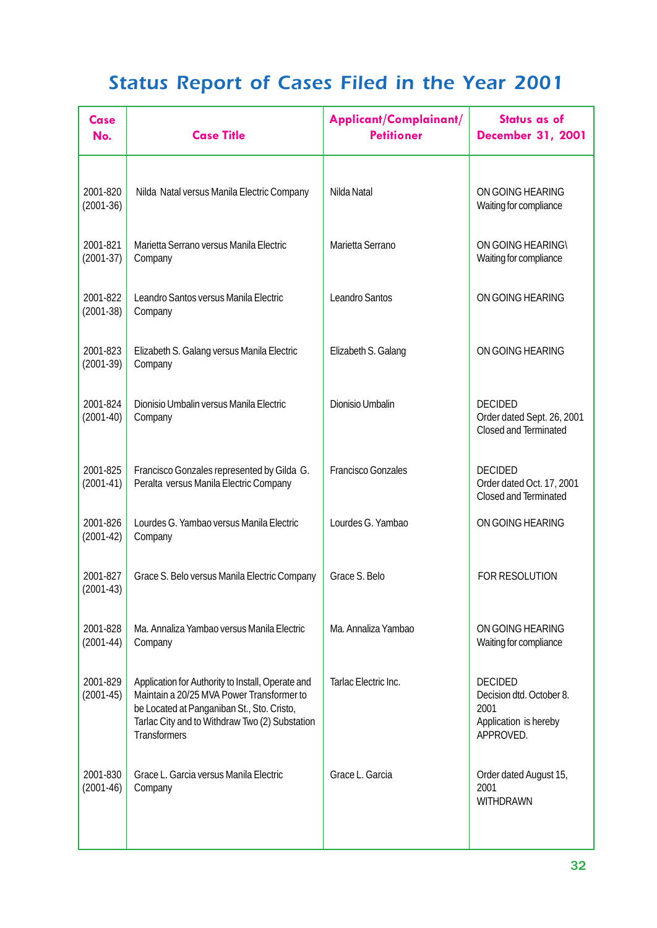| Case<br>No.             | <b>Case Title</b>                                                                                                                                                                                                     | Applicant/Complainant/<br><b>Petitioner</b> | Status as of<br><b>December 31, 2001</b>                                                 |
|-------------------------|-----------------------------------------------------------------------------------------------------------------------------------------------------------------------------------------------------------------------|---------------------------------------------|------------------------------------------------------------------------------------------|
| 2001-820<br>$(2001-36)$ | Nilda Natal versus Manila Electric Company                                                                                                                                                                            | Nilda Natal                                 | ON GOING HEARING<br>Waiting for compliance                                               |
| 2001-821<br>$(2001-37)$ | Marietta Serrano versus Manila Electric<br>Company                                                                                                                                                                    | Marietta Serrano                            | <b>ON GOING HEARING\</b><br>Waiting for compliance                                       |
| 2001-822<br>$(2001-38)$ | Leandro Santos versus Manila Electric<br>Company                                                                                                                                                                      | <b>Leandro Santos</b>                       | ON GOING HEARING                                                                         |
| 2001-823<br>$(2001-39)$ | Elizabeth S. Galang versus Manila Electric<br>Company                                                                                                                                                                 | Elizabeth S. Galang                         | ON GOING HEARING                                                                         |
| 2001-824<br>$(2001-40)$ | Dionisio Umbalin versus Manila Electric<br>Company                                                                                                                                                                    | <b>Dionisio Umbalin</b>                     | <b>DECIDED</b><br>Order dated Sept. 26, 2001<br><b>Closed and Terminated</b>             |
| 2001-825<br>$(2001-41)$ | Francisco Gonzales represented by Gilda G.<br>Peralta versus Manila Electric Company                                                                                                                                  | <b>Francisco Gonzales</b>                   | <b>DECIDED</b><br>Order dated Oct. 17, 2001<br><b>Closed and Terminated</b>              |
| 2001-826<br>$(2001-42)$ | Lourdes G. Yambao versus Manila Electric<br>Company                                                                                                                                                                   | Lourdes G. Yambao                           | ON GOING HEARING                                                                         |
| 2001-827<br>$(2001-43)$ | Grace S. Belo versus Manila Electric Company                                                                                                                                                                          | Grace S. Belo                               | <b>FOR RESOLUTION</b>                                                                    |
| 2001-828<br>$(2001-44)$ | Ma. Annaliza Yambao versus Manila Electric<br>Company                                                                                                                                                                 | Ma. Annaliza Yambao                         | ON GOING HEARING<br>Waiting for compliance                                               |
| 2001-829<br>$(2001-45)$ | Application for Authority to Install, Operate and<br>Maintain a 20/25 MVA Power Transformer to<br>be Located at Panganiban St., Sto. Cristo,<br>Tarlac City and to Withdraw Two (2) Substation<br><b>Transformers</b> | Tarlac Electric Inc.                        | <b>DECIDED</b><br>Decision dtd. October 8.<br>2001<br>Application is hereby<br>APPROVED. |
| 2001-830<br>$(2001-46)$ | Grace L. Garcia versus Manila Electric<br>Company                                                                                                                                                                     | Grace L. Garcia                             | Order dated August 15,<br>2001<br><b>WITHDRAWN</b>                                       |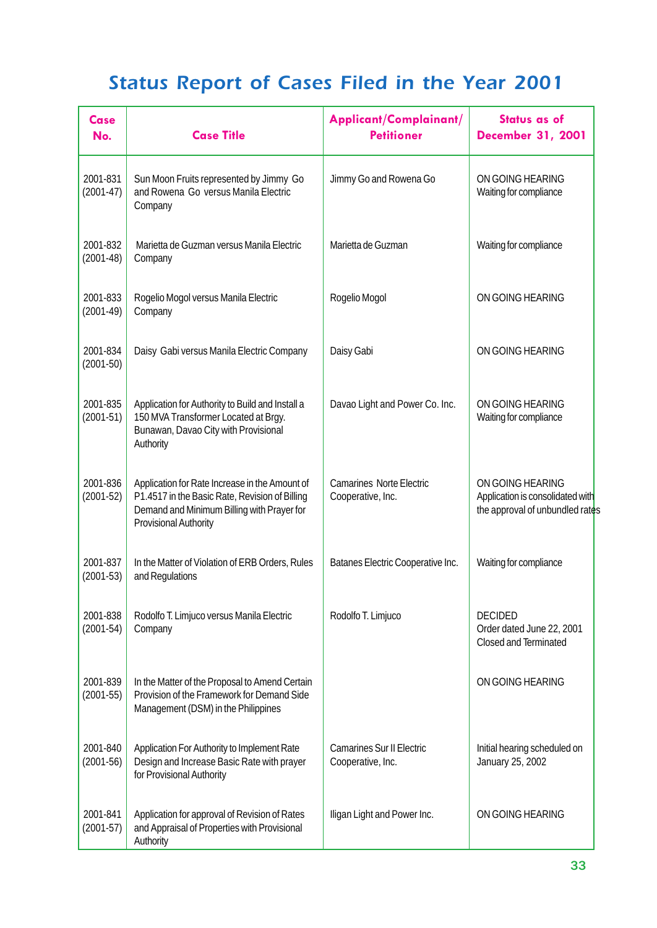| Case<br>No.             | <b>Case Title</b>                                                                                                                                                              | Applicant/Complainant/<br><b>Petitioner</b>           | <b>Status as of</b><br><b>December 31, 2001</b>                                         |
|-------------------------|--------------------------------------------------------------------------------------------------------------------------------------------------------------------------------|-------------------------------------------------------|-----------------------------------------------------------------------------------------|
| 2001-831<br>$(2001-47)$ | Sun Moon Fruits represented by Jimmy Go<br>and Rowena Go versus Manila Electric<br>Company                                                                                     | Jimmy Go and Rowena Go                                | ON GOING HEARING<br>Waiting for compliance                                              |
| 2001-832<br>$(2001-48)$ | Marietta de Guzman versus Manila Electric<br>Company                                                                                                                           | Marietta de Guzman                                    | Waiting for compliance                                                                  |
| 2001-833<br>$(2001-49)$ | Rogelio Mogol versus Manila Electric<br>Company                                                                                                                                | Rogelio Mogol                                         | ON GOING HEARING                                                                        |
| 2001-834<br>$(2001-50)$ | Daisy Gabi versus Manila Electric Company                                                                                                                                      | Daisy Gabi                                            | ON GOING HEARING                                                                        |
| 2001-835<br>$(2001-51)$ | Application for Authority to Build and Install a<br>150 MVA Transformer Located at Brgy.<br>Bunawan, Davao City with Provisional<br>Authority                                  | Davao Light and Power Co. Inc.                        | ON GOING HEARING<br>Waiting for compliance                                              |
| 2001-836<br>$(2001-52)$ | Application for Rate Increase in the Amount of<br>P1.4517 in the Basic Rate, Revision of Billing<br>Demand and Minimum Billing with Prayer for<br><b>Provisional Authority</b> | <b>Camarines Norte Electric</b><br>Cooperative, Inc.  | ON GOING HEARING<br>Application is consolidated with<br>the approval of unbundled rates |
| 2001-837<br>$(2001-53)$ | In the Matter of Violation of ERB Orders, Rules<br>and Regulations                                                                                                             | Batanes Electric Cooperative Inc.                     | Waiting for compliance                                                                  |
| 2001-838<br>$(2001-54)$ | Rodolfo T. Limjuco versus Manila Electric<br>Company                                                                                                                           | Rodolfo T. Limjuco                                    | <b>DECIDED</b><br>Order dated June 22, 2001<br><b>Closed and Terminated</b>             |
| 2001-839<br>$(2001-55)$ | In the Matter of the Proposal to Amend Certain<br>Provision of the Framework for Demand Side<br>Management (DSM) in the Philippines                                            |                                                       | ON GOING HEARING                                                                        |
| 2001-840<br>$(2001-56)$ | Application For Authority to Implement Rate<br>Design and Increase Basic Rate with prayer<br>for Provisional Authority                                                         | <b>Camarines Sur II Electric</b><br>Cooperative, Inc. | Initial hearing scheduled on<br>January 25, 2002                                        |
| 2001-841<br>$(2001-57)$ | Application for approval of Revision of Rates<br>and Appraisal of Properties with Provisional<br>Authority                                                                     | Iligan Light and Power Inc.                           | ON GOING HEARING                                                                        |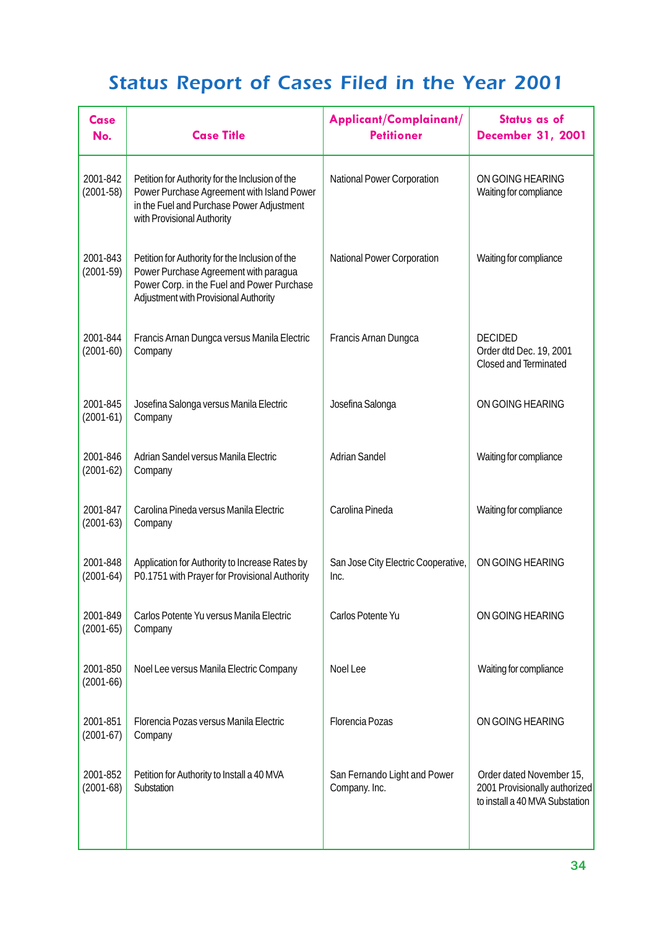| Case<br>No.             | <b>Case Title</b>                                                                                                                                                               | Applicant/Complainant/<br><b>Petitioner</b>   | Status as of<br><b>December 31, 2001</b>                                                    |
|-------------------------|---------------------------------------------------------------------------------------------------------------------------------------------------------------------------------|-----------------------------------------------|---------------------------------------------------------------------------------------------|
| 2001-842<br>$(2001-58)$ | Petition for Authority for the Inclusion of the<br>Power Purchase Agreement with Island Power<br>in the Fuel and Purchase Power Adjustment<br>with Provisional Authority        | National Power Corporation                    | ON GOING HEARING<br>Waiting for compliance                                                  |
| 2001-843<br>$(2001-59)$ | Petition for Authority for the Inclusion of the<br>Power Purchase Agreement with paragua<br>Power Corp. in the Fuel and Power Purchase<br>Adjustment with Provisional Authority | National Power Corporation                    | Waiting for compliance                                                                      |
| 2001-844<br>$(2001-60)$ | Francis Arnan Dungca versus Manila Electric<br>Company                                                                                                                          | Francis Arnan Dungca                          | <b>DECIDED</b><br>Order dtd Dec. 19, 2001<br><b>Closed and Terminated</b>                   |
| 2001-845<br>$(2001-61)$ | Josefina Salonga versus Manila Electric<br>Company                                                                                                                              | Josefina Salonga                              | ON GOING HEARING                                                                            |
| 2001-846<br>$(2001-62)$ | Adrian Sandel versus Manila Electric<br>Company                                                                                                                                 | <b>Adrian Sandel</b>                          | Waiting for compliance                                                                      |
| 2001-847<br>$(2001-63)$ | Carolina Pineda versus Manila Electric<br>Company                                                                                                                               | Carolina Pineda                               | Waiting for compliance                                                                      |
| 2001-848<br>$(2001-64)$ | Application for Authority to Increase Rates by<br>P0.1751 with Prayer for Provisional Authority                                                                                 | San Jose City Electric Cooperative,<br>Inc.   | ON GOING HEARING                                                                            |
| 2001-849<br>$(2001-65)$ | Carlos Potente Yu versus Manila Electric<br>Company                                                                                                                             | Carlos Potente Yu                             | ON GOING HEARING                                                                            |
| 2001-850<br>$(2001-66)$ | Noel Lee versus Manila Electric Company                                                                                                                                         | Noel Lee                                      | Waiting for compliance                                                                      |
| 2001-851<br>$(2001-67)$ | Florencia Pozas versus Manila Electric<br>Company                                                                                                                               | <b>Florencia Pozas</b>                        | ON GOING HEARING                                                                            |
| 2001-852<br>$(2001-68)$ | Petition for Authority to Install a 40 MVA<br>Substation                                                                                                                        | San Fernando Light and Power<br>Company. Inc. | Order dated November 15,<br>2001 Provisionally authorized<br>to install a 40 MVA Substation |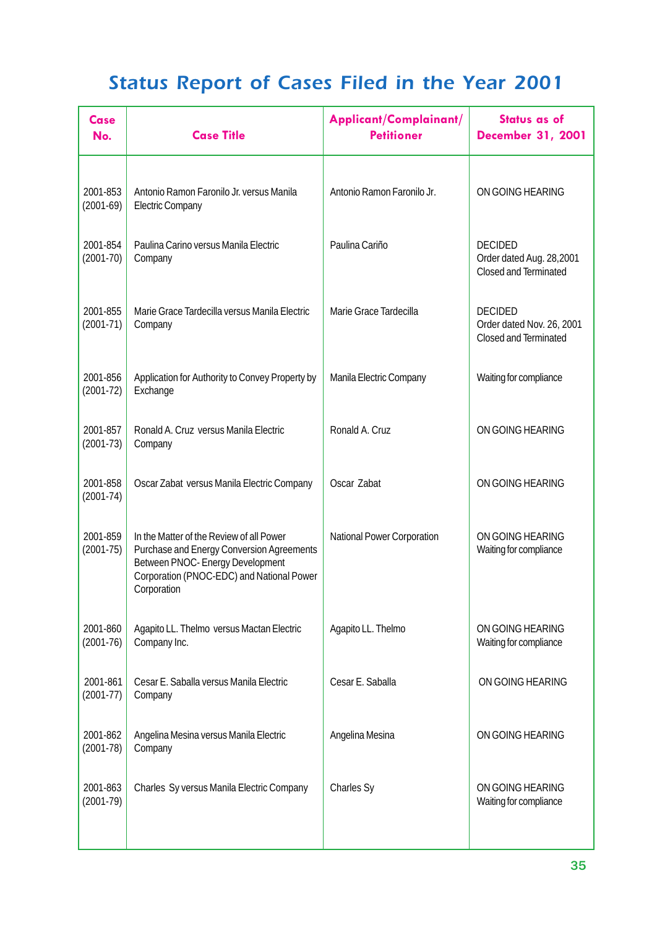| Case<br>No.               | <b>Case Title</b>                                                                                                                                                                     | Applicant/Complainant/<br><b>Petitioner</b> | Status as of<br><b>December 31, 2001</b>                                    |
|---------------------------|---------------------------------------------------------------------------------------------------------------------------------------------------------------------------------------|---------------------------------------------|-----------------------------------------------------------------------------|
| 2001-853<br>$(2001-69)$   | Antonio Ramon Faronilo Jr. versus Manila<br><b>Electric Company</b>                                                                                                                   | Antonio Ramon Faronilo Jr.                  | ON GOING HEARING                                                            |
| 2001-854<br>$(2001-70)$   | Paulina Carino versus Manila Electric<br>Company                                                                                                                                      | Paulina Cariño                              | <b>DECIDED</b><br>Order dated Aug. 28,2001<br><b>Closed and Terminated</b>  |
| 2001-855<br>$(2001-71)$   | Marie Grace Tardecilla versus Manila Electric<br>Company                                                                                                                              | Marie Grace Tardecilla                      | <b>DECIDED</b><br>Order dated Nov. 26, 2001<br><b>Closed and Terminated</b> |
| 2001-856<br>$(2001-72)$   | Application for Authority to Convey Property by<br>Exchange                                                                                                                           | Manila Electric Company                     | Waiting for compliance                                                      |
| 2001-857<br>$(2001-73)$   | Ronald A. Cruz versus Manila Electric<br>Company                                                                                                                                      | Ronald A. Cruz                              | ON GOING HEARING                                                            |
| 2001-858<br>$(2001 - 74)$ | Oscar Zabat versus Manila Electric Company                                                                                                                                            | Oscar Zabat                                 | ON GOING HEARING                                                            |
| 2001-859<br>$(2001 - 75)$ | In the Matter of the Review of all Power<br>Purchase and Energy Conversion Agreements<br>Between PNOC- Energy Development<br>Corporation (PNOC-EDC) and National Power<br>Corporation | <b>National Power Corporation</b>           | ON GOING HEARING<br>Waiting for compliance                                  |
| 2001-860<br>$(2001-76)$   | Agapito LL. Thelmo versus Mactan Electric<br>Company Inc.                                                                                                                             | Agapito LL. Thelmo                          | ON GOING HEARING<br>Waiting for compliance                                  |
| 2001-861<br>$(2001-77)$   | Cesar E. Saballa versus Manila Electric<br>Company                                                                                                                                    | Cesar E. Saballa                            | ON GOING HEARING                                                            |
| 2001-862<br>$(2001-78)$   | Angelina Mesina versus Manila Electric<br>Company                                                                                                                                     | Angelina Mesina                             | ON GOING HEARING                                                            |
| 2001-863<br>$(2001-79)$   | Charles Sy versus Manila Electric Company                                                                                                                                             | Charles Sy                                  | ON GOING HEARING<br>Waiting for compliance                                  |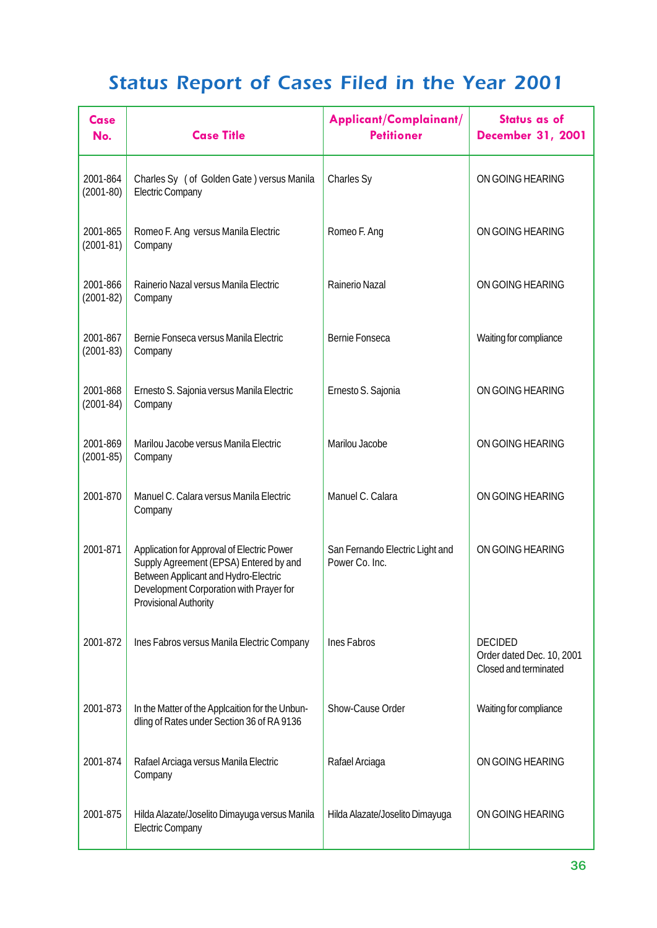| Case<br>No.               | <b>Case Title</b>                                                                                                                                                                                       | Applicant/Complainant/<br><b>Petitioner</b>       | <b>Status as of</b><br><b>December 31, 2001</b>                      |
|---------------------------|---------------------------------------------------------------------------------------------------------------------------------------------------------------------------------------------------------|---------------------------------------------------|----------------------------------------------------------------------|
| 2001-864<br>$(2001-80)$   | Charles Sy (of Golden Gate) versus Manila<br><b>Electric Company</b>                                                                                                                                    | Charles Sy                                        | ON GOING HEARING                                                     |
| 2001-865<br>$(2001-81)$   | Romeo F. Ang versus Manila Electric<br>Company                                                                                                                                                          | Romeo F. Ang                                      | ON GOING HEARING                                                     |
| 2001-866<br>$(2001-82)$   | Rainerio Nazal versus Manila Electric<br>Company                                                                                                                                                        | Rainerio Nazal                                    | ON GOING HEARING                                                     |
| 2001-867<br>$(2001-83)$   | Bernie Fonseca versus Manila Electric<br>Company                                                                                                                                                        | Bernie Fonseca                                    | Waiting for compliance                                               |
| 2001-868<br>$(2001-84)$   | Ernesto S. Sajonia versus Manila Electric<br>Company                                                                                                                                                    | Ernesto S. Sajonia                                | ON GOING HEARING                                                     |
| 2001-869<br>$(2001 - 85)$ | Marilou Jacobe versus Manila Electric<br>Company                                                                                                                                                        | Marilou Jacobe                                    | ON GOING HEARING                                                     |
| 2001-870                  | Manuel C. Calara versus Manila Electric<br>Company                                                                                                                                                      | Manuel C. Calara                                  | ON GOING HEARING                                                     |
| 2001-871                  | Application for Approval of Electric Power<br>Supply Agreement (EPSA) Entered by and<br>Between Applicant and Hydro-Electric<br>Development Corporation with Prayer for<br><b>Provisional Authority</b> | San Fernando Electric Light and<br>Power Co. Inc. | ON GOING HEARING                                                     |
| 2001-872                  | Ines Fabros versus Manila Electric Company                                                                                                                                                              | Ines Fabros                                       | <b>DECIDED</b><br>Order dated Dec. 10, 2001<br>Closed and terminated |
| 2001-873                  | In the Matter of the Applcaition for the Unbun-<br>dling of Rates under Section 36 of RA 9136                                                                                                           | Show-Cause Order                                  | Waiting for compliance                                               |
| 2001-874                  | Rafael Arciaga versus Manila Electric<br>Company                                                                                                                                                        | Rafael Arciaga                                    | ON GOING HEARING                                                     |
| 2001-875                  | Hilda Alazate/Joselito Dimayuga versus Manila<br><b>Electric Company</b>                                                                                                                                | Hilda Alazate/Joselito Dimayuga                   | ON GOING HEARING                                                     |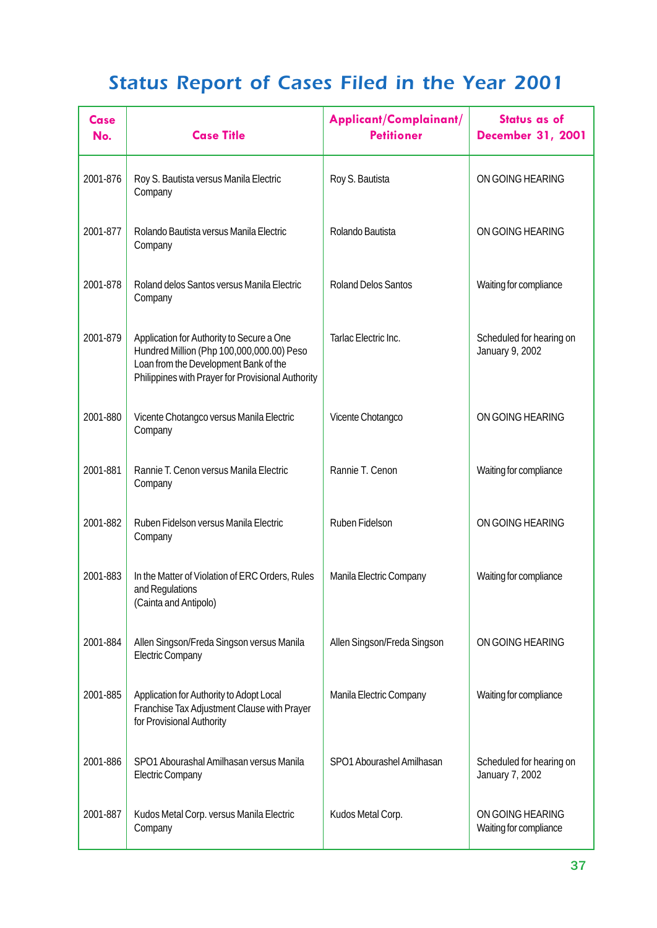| Case<br>No. | <b>Case Title</b>                                                                                                                                                                    | Applicant/Complainant/<br><b>Petitioner</b> | <b>Status as of</b><br><b>December 31, 2001</b> |
|-------------|--------------------------------------------------------------------------------------------------------------------------------------------------------------------------------------|---------------------------------------------|-------------------------------------------------|
| 2001-876    | Roy S. Bautista versus Manila Electric<br>Company                                                                                                                                    | Roy S. Bautista                             | ON GOING HEARING                                |
| 2001-877    | Rolando Bautista versus Manila Electric<br>Company                                                                                                                                   | Rolando Bautista                            | ON GOING HEARING                                |
| 2001-878    | Roland delos Santos versus Manila Electric<br>Company                                                                                                                                | <b>Roland Delos Santos</b>                  | Waiting for compliance                          |
| 2001-879    | Application for Authority to Secure a One<br>Hundred Million (Php 100,000,000.00) Peso<br>Loan from the Development Bank of the<br>Philippines with Prayer for Provisional Authority | Tarlac Electric Inc.                        | Scheduled for hearing on<br>January 9, 2002     |
| 2001-880    | Vicente Chotangco versus Manila Electric<br>Company                                                                                                                                  | Vicente Chotangco                           | ON GOING HEARING                                |
| 2001-881    | Rannie T. Cenon versus Manila Electric<br>Company                                                                                                                                    | Rannie T. Cenon                             | Waiting for compliance                          |
| 2001-882    | Ruben Fidelson versus Manila Electric<br>Company                                                                                                                                     | Ruben Fidelson                              | ON GOING HEARING                                |
| 2001-883    | In the Matter of Violation of ERC Orders, Rules<br>and Regulations<br>(Cainta and Antipolo)                                                                                          | Manila Electric Company                     | Waiting for compliance                          |
| 2001-884    | Allen Singson/Freda Singson versus Manila<br><b>Electric Company</b>                                                                                                                 | Allen Singson/Freda Singson                 | ON GOING HEARING                                |
| 2001-885    | Application for Authority to Adopt Local<br>Franchise Tax Adjustment Clause with Prayer<br>for Provisional Authority                                                                 | Manila Electric Company                     | Waiting for compliance                          |
| 2001-886    | SPO1 Abourashal Amilhasan versus Manila<br><b>Electric Company</b>                                                                                                                   | SPO1 Abourashel Amilhasan                   | Scheduled for hearing on<br>January 7, 2002     |
| 2001-887    | Kudos Metal Corp. versus Manila Electric<br>Company                                                                                                                                  | Kudos Metal Corp.                           | ON GOING HEARING<br>Waiting for compliance      |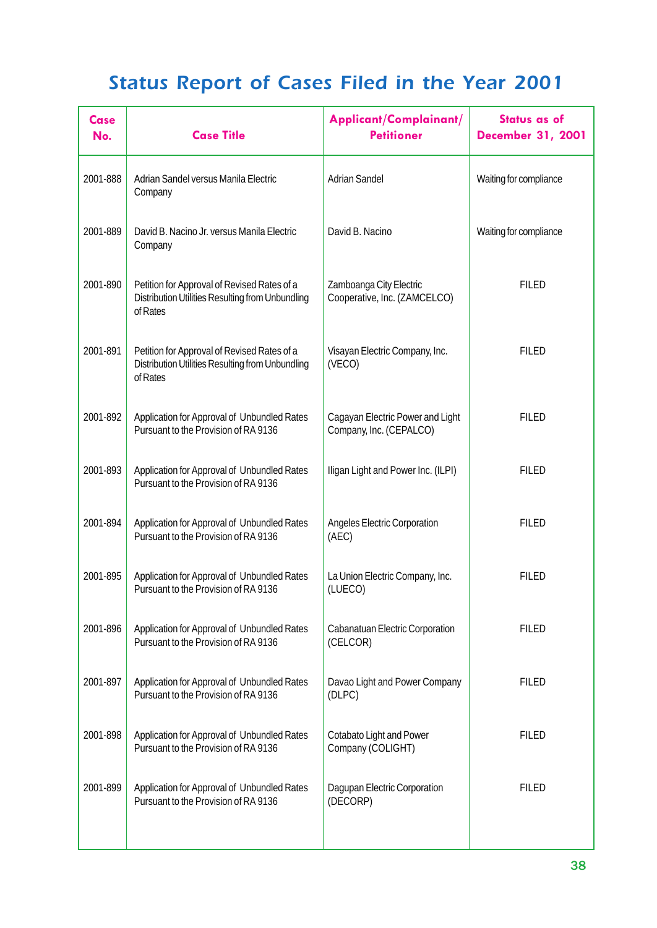| <b>Case</b><br>No. | <b>Case Title</b>                                                                                           | Applicant/Complainant/<br><b>Petitioner</b>                 | Status as of<br><b>December 31, 2001</b> |
|--------------------|-------------------------------------------------------------------------------------------------------------|-------------------------------------------------------------|------------------------------------------|
| 2001-888           | Adrian Sandel versus Manila Electric<br>Company                                                             | <b>Adrian Sandel</b>                                        | Waiting for compliance                   |
| 2001-889           | David B. Nacino Jr. versus Manila Electric<br>Company                                                       | David B. Nacino                                             | Waiting for compliance                   |
| 2001-890           | Petition for Approval of Revised Rates of a<br>Distribution Utilities Resulting from Unbundling<br>of Rates | Zamboanga City Electric<br>Cooperative, Inc. (ZAMCELCO)     | <b>FILED</b>                             |
| 2001-891           | Petition for Approval of Revised Rates of a<br>Distribution Utilities Resulting from Unbundling<br>of Rates | Visayan Electric Company, Inc.<br>(VECO)                    | <b>FILED</b>                             |
| 2001-892           | Application for Approval of Unbundled Rates<br>Pursuant to the Provision of RA 9136                         | Cagayan Electric Power and Light<br>Company, Inc. (CEPALCO) | <b>FILED</b>                             |
| 2001-893           | Application for Approval of Unbundled Rates<br>Pursuant to the Provision of RA 9136                         | Iligan Light and Power Inc. (ILPI)                          | <b>FILED</b>                             |
| 2001-894           | Application for Approval of Unbundled Rates<br>Pursuant to the Provision of RA 9136                         | <b>Angeles Electric Corporation</b><br>(AEC)                | <b>FILED</b>                             |
| 2001-895           | Application for Approval of Unbundled Rates<br>Pursuant to the Provision of RA 9136                         | La Union Electric Company, Inc.<br>(LUECO)                  | <b>FILED</b>                             |
| 2001-896           | Application for Approval of Unbundled Rates<br>Pursuant to the Provision of RA 9136                         | Cabanatuan Electric Corporation<br>(CELCOR)                 | <b>FILED</b>                             |
| 2001-897           | Application for Approval of Unbundled Rates<br>Pursuant to the Provision of RA 9136                         | Davao Light and Power Company<br>(DLPC)                     | <b>FILED</b>                             |
| 2001-898           | Application for Approval of Unbundled Rates<br>Pursuant to the Provision of RA 9136                         | Cotabato Light and Power<br>Company (COLIGHT)               | <b>FILED</b>                             |
| 2001-899           | Application for Approval of Unbundled Rates<br>Pursuant to the Provision of RA 9136                         | Dagupan Electric Corporation<br>(DECORP)                    | <b>FILED</b>                             |
|                    |                                                                                                             |                                                             |                                          |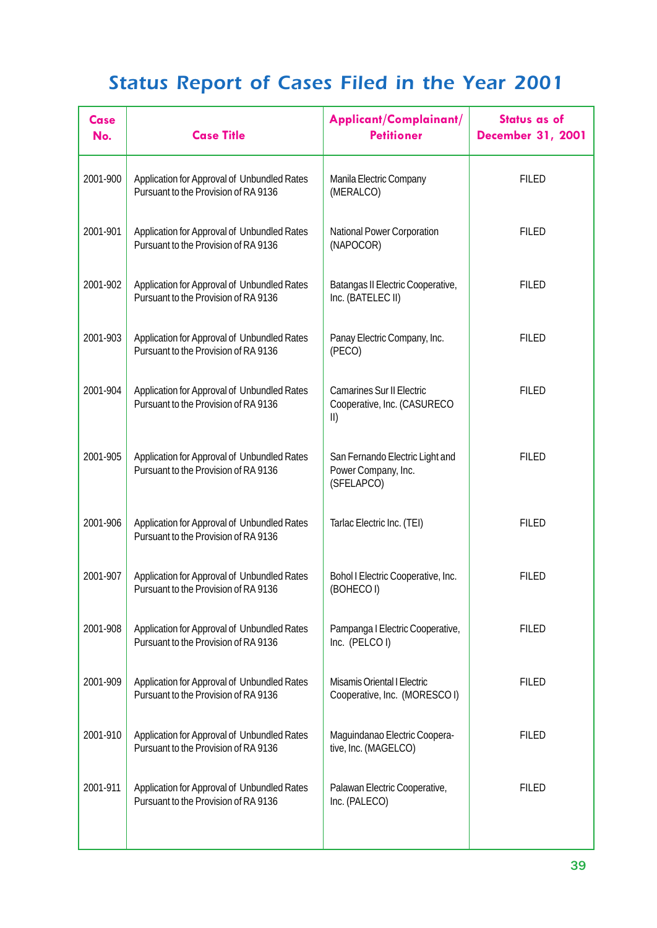| <b>Case</b><br>No. | <b>Case Title</b>                                                                   | Applicant/Complainant/<br><b>Petitioner</b>                                    | <b>Status as of</b><br><b>December 31, 2001</b> |
|--------------------|-------------------------------------------------------------------------------------|--------------------------------------------------------------------------------|-------------------------------------------------|
| 2001-900           | Application for Approval of Unbundled Rates<br>Pursuant to the Provision of RA 9136 | Manila Electric Company<br>(MERALCO)                                           | <b>FILED</b>                                    |
| 2001-901           | Application for Approval of Unbundled Rates<br>Pursuant to the Provision of RA 9136 | National Power Corporation<br>(NAPOCOR)                                        | <b>FILED</b>                                    |
| 2001-902           | Application for Approval of Unbundled Rates<br>Pursuant to the Provision of RA 9136 | Batangas II Electric Cooperative,<br>Inc. (BATELEC II)                         | <b>FILED</b>                                    |
| 2001-903           | Application for Approval of Unbundled Rates<br>Pursuant to the Provision of RA 9136 | Panay Electric Company, Inc.<br>(PECO)                                         | <b>FILED</b>                                    |
| 2001-904           | Application for Approval of Unbundled Rates<br>Pursuant to the Provision of RA 9136 | <b>Camarines Sur II Electric</b><br>Cooperative, Inc. (CASURECO<br>$\parallel$ | <b>FILED</b>                                    |
| 2001-905           | Application for Approval of Unbundled Rates<br>Pursuant to the Provision of RA 9136 | San Fernando Electric Light and<br>Power Company, Inc.<br>(SFELAPCO)           | <b>FILED</b>                                    |
| 2001-906           | Application for Approval of Unbundled Rates<br>Pursuant to the Provision of RA 9136 | Tarlac Electric Inc. (TEI)                                                     | <b>FILED</b>                                    |
| 2001-907           | Application for Approval of Unbundled Rates<br>Pursuant to the Provision of RA 9136 | Bohol I Electric Cooperative, Inc.<br>(BOHECOI)                                | <b>FILED</b>                                    |
| 2001-908           | Application for Approval of Unbundled Rates<br>Pursuant to the Provision of RA 9136 | Pampanga I Electric Cooperative,<br>Inc. (PELCOI)                              | <b>FILED</b>                                    |
| 2001-909           | Application for Approval of Unbundled Rates<br>Pursuant to the Provision of RA 9136 | <b>Misamis Oriental I Electric</b><br>Cooperative, Inc. (MORESCO I)            | <b>FILED</b>                                    |
| 2001-910           | Application for Approval of Unbundled Rates<br>Pursuant to the Provision of RA 9136 | Maguindanao Electric Coopera-<br>tive, Inc. (MAGELCO)                          | <b>FILED</b>                                    |
| 2001-911           | Application for Approval of Unbundled Rates<br>Pursuant to the Provision of RA 9136 | Palawan Electric Cooperative,<br>Inc. (PALECO)                                 | <b>FILED</b>                                    |
|                    |                                                                                     |                                                                                |                                                 |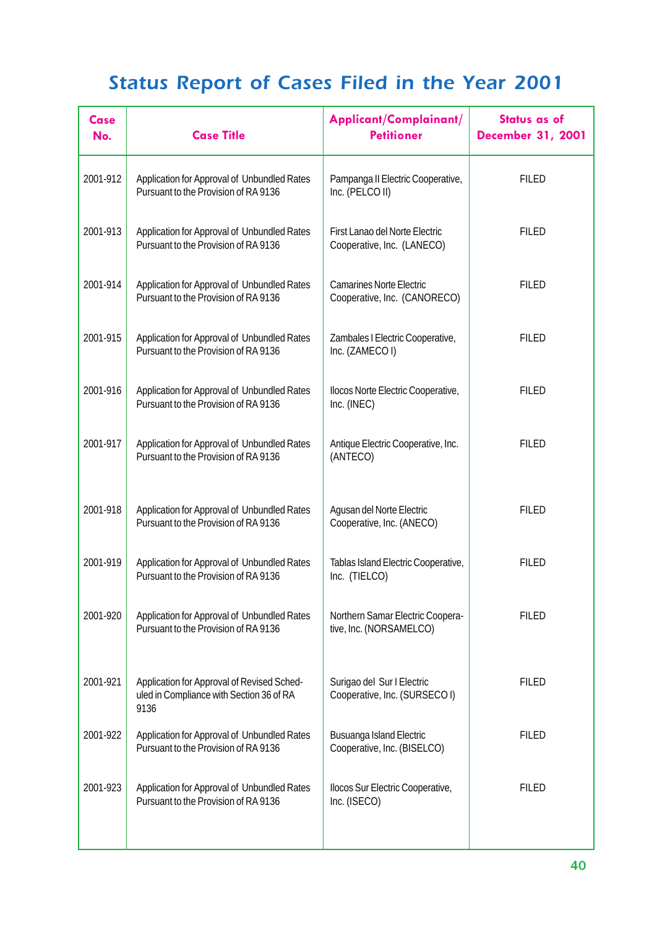| Case<br>No. | <b>Case Title</b>                                                                              | Applicant/Complainant/<br><b>Petitioner</b>                     | Status as of<br><b>December 31, 2001</b> |
|-------------|------------------------------------------------------------------------------------------------|-----------------------------------------------------------------|------------------------------------------|
| 2001-912    | Application for Approval of Unbundled Rates<br>Pursuant to the Provision of RA 9136            | Pampanga II Electric Cooperative,<br>Inc. (PELCO II)            | <b>FILED</b>                             |
| 2001-913    | Application for Approval of Unbundled Rates<br>Pursuant to the Provision of RA 9136            | First Lanao del Norte Electric<br>Cooperative, Inc. (LANECO)    | <b>FILED</b>                             |
| 2001-914    | Application for Approval of Unbundled Rates<br>Pursuant to the Provision of RA 9136            | <b>Camarines Norte Electric</b><br>Cooperative, Inc. (CANORECO) | <b>FILED</b>                             |
| 2001-915    | Application for Approval of Unbundled Rates<br>Pursuant to the Provision of RA 9136            | Zambales I Electric Cooperative,<br>Inc. (ZAMECOI)              | <b>FILED</b>                             |
| 2001-916    | Application for Approval of Unbundled Rates<br>Pursuant to the Provision of RA 9136            | Ilocos Norte Electric Cooperative,<br>Inc. (INEC)               | <b>FILED</b>                             |
| 2001-917    | Application for Approval of Unbundled Rates<br>Pursuant to the Provision of RA 9136            | Antique Electric Cooperative, Inc.<br>(ANTECO)                  | <b>FILED</b>                             |
| 2001-918    | Application for Approval of Unbundled Rates<br>Pursuant to the Provision of RA 9136            | Agusan del Norte Electric<br>Cooperative, Inc. (ANECO)          | <b>FILED</b>                             |
| 2001-919    | Application for Approval of Unbundled Rates<br>Pursuant to the Provision of RA 9136            | Tablas Island Electric Cooperative,<br>Inc. (TIELCO)            | <b>FILED</b>                             |
| 2001-920    | Application for Approval of Unbundled Rates<br>Pursuant to the Provision of RA 9136            | Northern Samar Electric Coopera-<br>tive, Inc. (NORSAMELCO)     | <b>FILED</b>                             |
| 2001-921    | Application for Approval of Revised Sched-<br>uled in Compliance with Section 36 of RA<br>9136 | Surigao del Sur I Electric<br>Cooperative, Inc. (SURSECO I)     | <b>FILED</b>                             |
| 2001-922    | Application for Approval of Unbundled Rates<br>Pursuant to the Provision of RA 9136            | <b>Busuanga Island Electric</b><br>Cooperative, Inc. (BISELCO)  | <b>FILED</b>                             |
| 2001-923    | Application for Approval of Unbundled Rates<br>Pursuant to the Provision of RA 9136            | Ilocos Sur Electric Cooperative,<br>Inc. (ISECO)                | <b>FILED</b>                             |
|             |                                                                                                |                                                                 |                                          |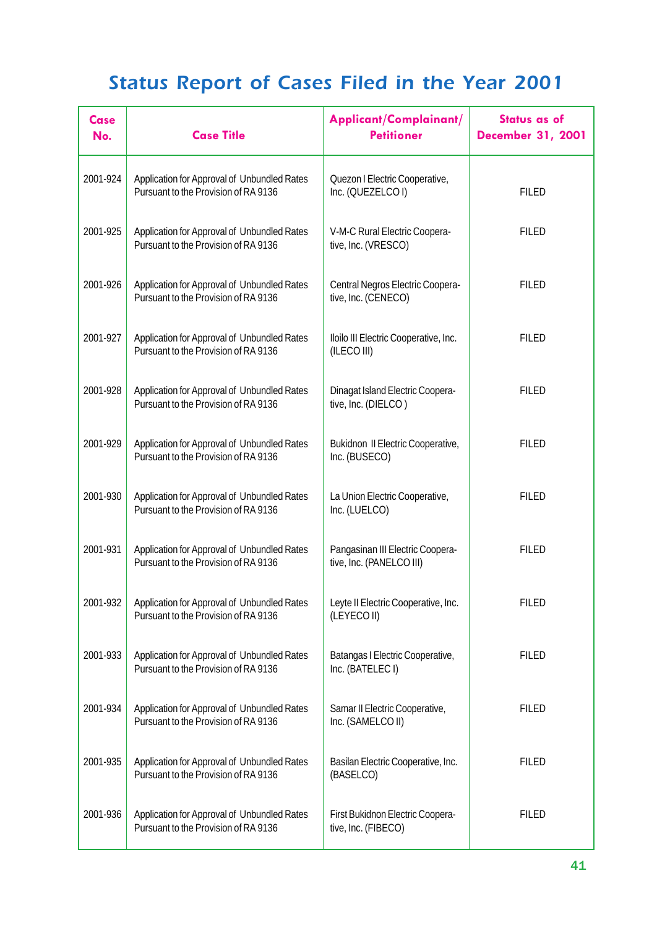| Case<br>No. | <b>Case Title</b>                                                                   | Applicant/Complainant/<br><b>Petitioner</b>                    | Status as of<br><b>December 31, 2001</b> |
|-------------|-------------------------------------------------------------------------------------|----------------------------------------------------------------|------------------------------------------|
| 2001-924    | Application for Approval of Unbundled Rates<br>Pursuant to the Provision of RA 9136 | Quezon I Electric Cooperative,<br>Inc. (QUEZELCOI)             | <b>FILED</b>                             |
| 2001-925    | Application for Approval of Unbundled Rates<br>Pursuant to the Provision of RA 9136 | V-M-C Rural Electric Coopera-<br>tive, Inc. (VRESCO)           | <b>FILED</b>                             |
| 2001-926    | Application for Approval of Unbundled Rates<br>Pursuant to the Provision of RA 9136 | Central Negros Electric Coopera-<br>tive, Inc. (CENECO)        | <b>FILED</b>                             |
| 2001-927    | Application for Approval of Unbundled Rates<br>Pursuant to the Provision of RA 9136 | Iloilo III Electric Cooperative, Inc.<br>(ILECO III)           | <b>FILED</b>                             |
| 2001-928    | Application for Approval of Unbundled Rates<br>Pursuant to the Provision of RA 9136 | <b>Dinagat Island Electric Coopera-</b><br>tive, Inc. (DIELCO) | <b>FILED</b>                             |
| 2001-929    | Application for Approval of Unbundled Rates<br>Pursuant to the Provision of RA 9136 | <b>Bukidnon II Electric Cooperative,</b><br>Inc. (BUSECO)      | <b>FILED</b>                             |
| 2001-930    | Application for Approval of Unbundled Rates<br>Pursuant to the Provision of RA 9136 | La Union Electric Cooperative,<br>Inc. (LUELCO)                | <b>FILED</b>                             |
| 2001-931    | Application for Approval of Unbundled Rates<br>Pursuant to the Provision of RA 9136 | Pangasinan III Electric Coopera-<br>tive, Inc. (PANELCO III)   | <b>FILED</b>                             |
| 2001-932    | Application for Approval of Unbundled Rates<br>Pursuant to the Provision of RA 9136 | Leyte II Electric Cooperative, Inc.<br>(LEYECOII)              | <b>FILED</b>                             |
| 2001-933    | Application for Approval of Unbundled Rates<br>Pursuant to the Provision of RA 9136 | Batangas I Electric Cooperative,<br>Inc. (BATELEC I)           | <b>FILED</b>                             |
| 2001-934    | Application for Approval of Unbundled Rates<br>Pursuant to the Provision of RA 9136 | Samar II Electric Cooperative,<br>Inc. (SAMELCO II)            | <b>FILED</b>                             |
| 2001-935    | Application for Approval of Unbundled Rates<br>Pursuant to the Provision of RA 9136 | Basilan Electric Cooperative, Inc.<br>(BASELCO)                | <b>FILED</b>                             |
| 2001-936    | Application for Approval of Unbundled Rates<br>Pursuant to the Provision of RA 9136 | First Bukidnon Electric Coopera-<br>tive, Inc. (FIBECO)        | <b>FILED</b>                             |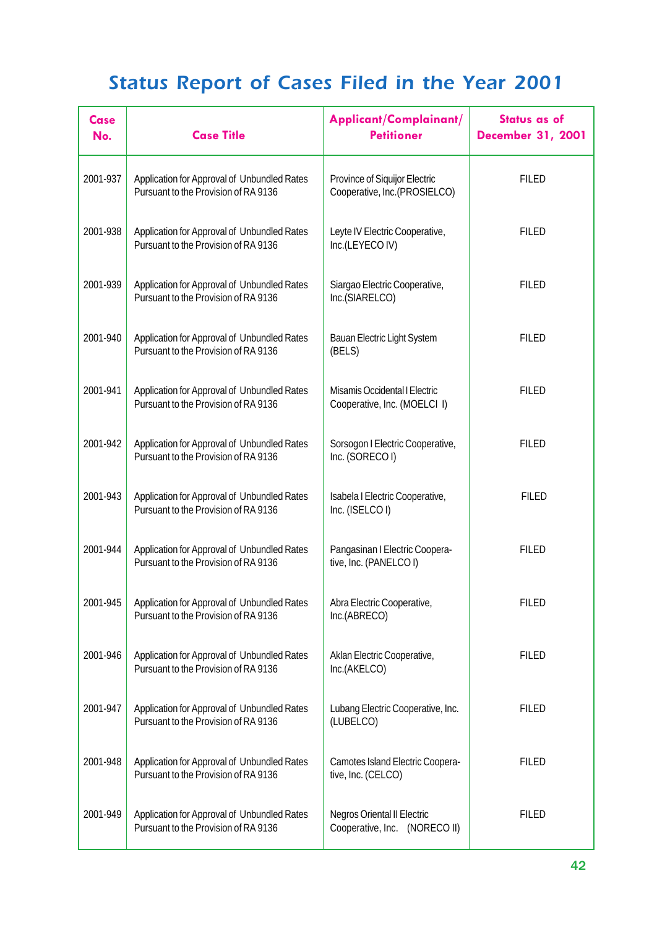| Case<br>No. | <b>Case Title</b>                                                                   | Applicant/Complainant/<br><b>Petitioner</b>                            | <b>Status as of</b><br><b>December 31, 2001</b> |
|-------------|-------------------------------------------------------------------------------------|------------------------------------------------------------------------|-------------------------------------------------|
| 2001-937    | Application for Approval of Unbundled Rates<br>Pursuant to the Provision of RA 9136 | Province of Siquijor Electric<br>Cooperative, Inc.(PROSIELCO)          | <b>FILED</b>                                    |
| 2001-938    | Application for Approval of Unbundled Rates<br>Pursuant to the Provision of RA 9136 | Leyte IV Electric Cooperative,<br>Inc.(LEYECOIV)                       | <b>FILED</b>                                    |
| 2001-939    | Application for Approval of Unbundled Rates<br>Pursuant to the Provision of RA 9136 | Siargao Electric Cooperative,<br>Inc.(SIARELCO)                        | <b>FILED</b>                                    |
| 2001-940    | Application for Approval of Unbundled Rates<br>Pursuant to the Provision of RA 9136 | <b>Bauan Electric Light System</b><br>(BELS)                           | <b>FILED</b>                                    |
| 2001-941    | Application for Approval of Unbundled Rates<br>Pursuant to the Provision of RA 9136 | Misamis Occidental I Electric<br>Cooperative, Inc. (MOELCI I)          | <b>FILED</b>                                    |
| 2001-942    | Application for Approval of Unbundled Rates<br>Pursuant to the Provision of RA 9136 | Sorsogon I Electric Cooperative,<br>Inc. (SORECOI)                     | <b>FILED</b>                                    |
| 2001-943    | Application for Approval of Unbundled Rates<br>Pursuant to the Provision of RA 9136 | Isabela I Electric Cooperative,<br>Inc. (ISELCOI)                      | <b>FILED</b>                                    |
| 2001-944    | Application for Approval of Unbundled Rates<br>Pursuant to the Provision of RA 9136 | Pangasinan I Electric Coopera-<br>tive, Inc. (PANELCO I)               | <b>FILED</b>                                    |
| 2001-945    | Application for Approval of Unbundled Rates<br>Pursuant to the Provision of RA 9136 | Abra Electric Cooperative,<br>Inc.(ABRECO)                             | <b>FILED</b>                                    |
| 2001-946    | Application for Approval of Unbundled Rates<br>Pursuant to the Provision of RA 9136 | Aklan Electric Cooperative,<br>Inc.(AKELCO)                            | <b>FILED</b>                                    |
| 2001-947    | Application for Approval of Unbundled Rates<br>Pursuant to the Provision of RA 9136 | Lubang Electric Cooperative, Inc.<br>(LUBELCO)                         | <b>FILED</b>                                    |
| 2001-948    | Application for Approval of Unbundled Rates<br>Pursuant to the Provision of RA 9136 | Camotes Island Electric Coopera-<br>tive, Inc. (CELCO)                 | <b>FILED</b>                                    |
| 2001-949    | Application for Approval of Unbundled Rates<br>Pursuant to the Provision of RA 9136 | <b>Negros Oriental II Electric</b><br>Cooperative, Inc.<br>(NORECO II) | <b>FILED</b>                                    |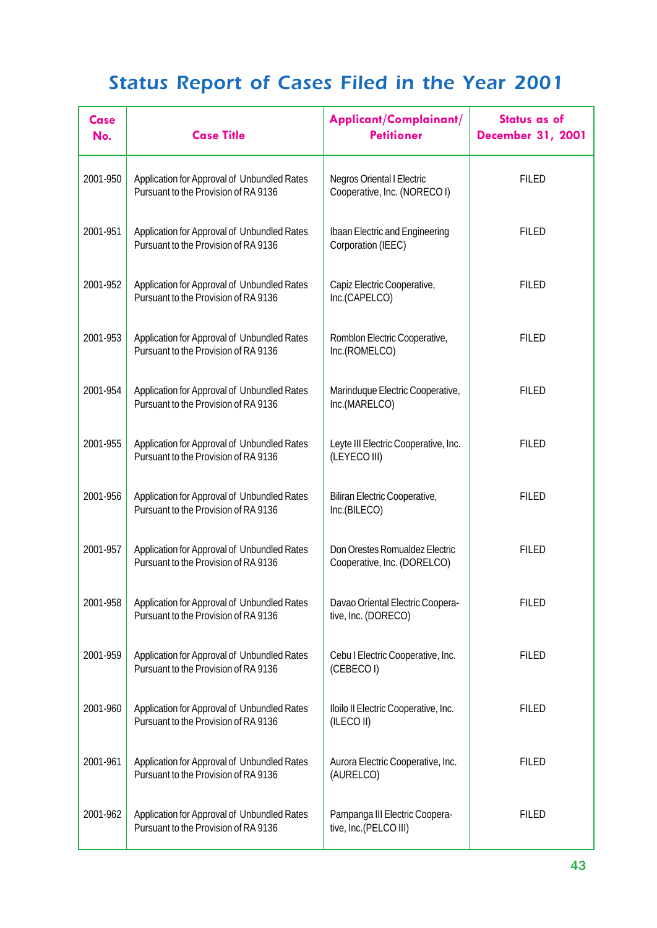| Case<br>No. | <b>Case Title</b>                                                                   | Applicant/Complainant/<br><b>Petitioner</b>                       | <b>Status as of</b><br><b>December 31, 2001</b> |
|-------------|-------------------------------------------------------------------------------------|-------------------------------------------------------------------|-------------------------------------------------|
| 2001-950    | Application for Approval of Unbundled Rates<br>Pursuant to the Provision of RA 9136 | <b>Negros Oriental I Electric</b><br>Cooperative, Inc. (NORECO I) | <b>FILED</b>                                    |
| 2001-951    | Application for Approval of Unbundled Rates<br>Pursuant to the Provision of RA 9136 | <b>Ibaan Electric and Engineering</b><br>Corporation (IEEC)       | <b>FILED</b>                                    |
| 2001-952    | Application for Approval of Unbundled Rates<br>Pursuant to the Provision of RA 9136 | Capiz Electric Cooperative,<br>Inc.(CAPELCO)                      | <b>FILED</b>                                    |
| 2001-953    | Application for Approval of Unbundled Rates<br>Pursuant to the Provision of RA 9136 | Romblon Electric Cooperative,<br>Inc.(ROMELCO)                    | <b>FILED</b>                                    |
| 2001-954    | Application for Approval of Unbundled Rates<br>Pursuant to the Provision of RA 9136 | Marinduque Electric Cooperative,<br>Inc.(MARELCO)                 | <b>FILED</b>                                    |
| 2001-955    | Application for Approval of Unbundled Rates<br>Pursuant to the Provision of RA 9136 | Leyte III Electric Cooperative, Inc.<br>(LEYECO III)              | <b>FILED</b>                                    |
| 2001-956    | Application for Approval of Unbundled Rates<br>Pursuant to the Provision of RA 9136 | Biliran Electric Cooperative,<br>Inc.(BILECO)                     | <b>FILED</b>                                    |
| 2001-957    | Application for Approval of Unbundled Rates<br>Pursuant to the Provision of RA 9136 | Don Orestes Romualdez Electric<br>Cooperative, Inc. (DORELCO)     | <b>FILED</b>                                    |
| 2001-958    | Application for Approval of Unbundled Rates<br>Pursuant to the Provision of RA 9136 | Davao Oriental Electric Coopera-<br>tive, Inc. (DORECO)           | <b>FILED</b>                                    |
| 2001-959    | Application for Approval of Unbundled Rates<br>Pursuant to the Provision of RA 9136 | Cebu I Electric Cooperative, Inc.<br>(CEBECOI)                    | <b>FILED</b>                                    |
| 2001-960    | Application for Approval of Unbundled Rates<br>Pursuant to the Provision of RA 9136 | Iloilo II Electric Cooperative, Inc.<br>(ILECO II)                | <b>FILED</b>                                    |
| 2001-961    | Application for Approval of Unbundled Rates<br>Pursuant to the Provision of RA 9136 | Aurora Electric Cooperative, Inc.<br>(AURELCO)                    | <b>FILED</b>                                    |
| 2001-962    | Application for Approval of Unbundled Rates<br>Pursuant to the Provision of RA 9136 | Pampanga III Electric Coopera-<br>tive, Inc.(PELCO III)           | <b>FILED</b>                                    |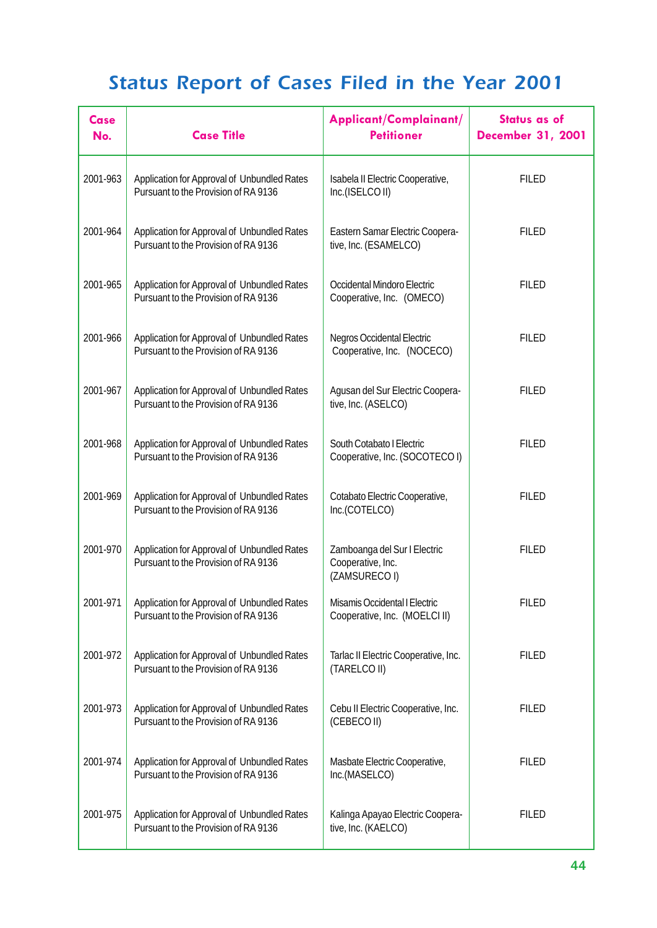| Case<br>No. | <b>Case Title</b>                                                                   | Applicant/Complainant/<br><b>Petitioner</b>                       | <b>Status as of</b><br><b>December 31, 2001</b> |
|-------------|-------------------------------------------------------------------------------------|-------------------------------------------------------------------|-------------------------------------------------|
| 2001-963    | Application for Approval of Unbundled Rates<br>Pursuant to the Provision of RA 9136 | Isabela II Electric Cooperative,<br>Inc.(ISELCO II)               | <b>FILED</b>                                    |
| 2001-964    | Application for Approval of Unbundled Rates<br>Pursuant to the Provision of RA 9136 | Eastern Samar Electric Coopera-<br>tive, Inc. (ESAMELCO)          | <b>FILED</b>                                    |
| 2001-965    | Application for Approval of Unbundled Rates<br>Pursuant to the Provision of RA 9136 | Occidental Mindoro Electric<br>Cooperative, Inc. (OMECO)          | <b>FILED</b>                                    |
| 2001-966    | Application for Approval of Unbundled Rates<br>Pursuant to the Provision of RA 9136 | <b>Negros Occidental Electric</b><br>Cooperative, Inc. (NOCECO)   | <b>FILED</b>                                    |
| 2001-967    | Application for Approval of Unbundled Rates<br>Pursuant to the Provision of RA 9136 | Agusan del Sur Electric Coopera-<br>tive, Inc. (ASELCO)           | <b>FILED</b>                                    |
| 2001-968    | Application for Approval of Unbundled Rates<br>Pursuant to the Provision of RA 9136 | South Cotabato I Electric<br>Cooperative, Inc. (SOCOTECO I)       | <b>FILED</b>                                    |
| 2001-969    | Application for Approval of Unbundled Rates<br>Pursuant to the Provision of RA 9136 | Cotabato Electric Cooperative,<br>Inc.(COTELCO)                   | <b>FILED</b>                                    |
| 2001-970    | Application for Approval of Unbundled Rates<br>Pursuant to the Provision of RA 9136 | Zamboanga del Sur I Electric<br>Cooperative, Inc.<br>(ZAMSURECOI) | <b>FILED</b>                                    |
| 2001-971    | Application for Approval of Unbundled Rates<br>Pursuant to the Provision of RA 9136 | Misamis Occidental I Electric<br>Cooperative, Inc. (MOELCI II)    | <b>FILED</b>                                    |
| 2001-972    | Application for Approval of Unbundled Rates<br>Pursuant to the Provision of RA 9136 | Tarlac II Electric Cooperative, Inc.<br>(TARELCO II)              | <b>FILED</b>                                    |
| 2001-973    | Application for Approval of Unbundled Rates<br>Pursuant to the Provision of RA 9136 | Cebu II Electric Cooperative, Inc.<br>(CEBECOII)                  | <b>FILED</b>                                    |
| 2001-974    | Application for Approval of Unbundled Rates<br>Pursuant to the Provision of RA 9136 | Masbate Electric Cooperative,<br>Inc.(MASELCO)                    | <b>FILED</b>                                    |
| 2001-975    | Application for Approval of Unbundled Rates<br>Pursuant to the Provision of RA 9136 | Kalinga Apayao Electric Coopera-<br>tive, Inc. (KAELCO)           | <b>FILED</b>                                    |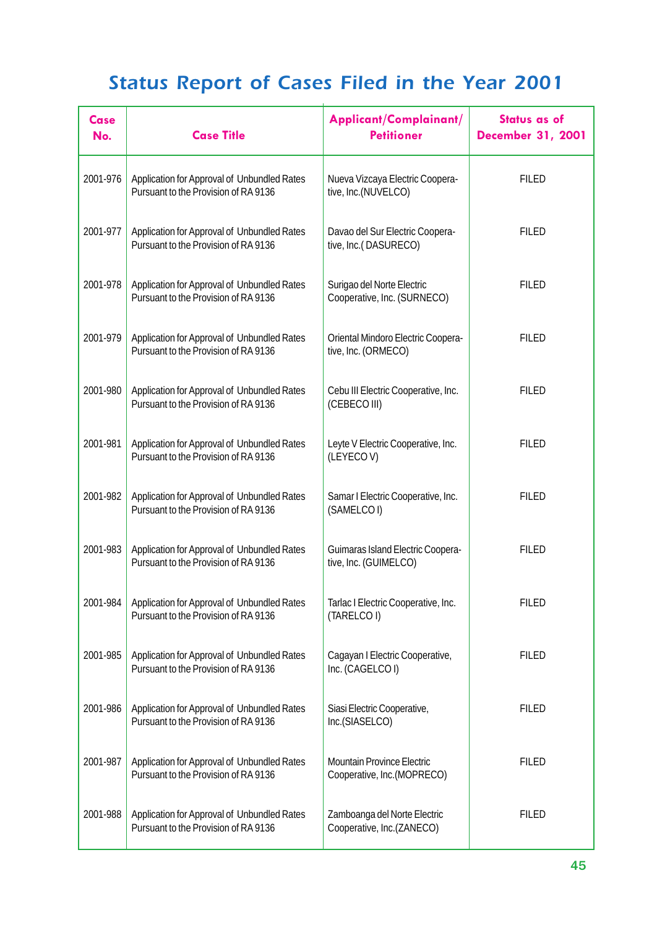| <b>Case</b><br>No. | <b>Case Title</b>                                                                   | Applicant/Complainant/<br><b>Petitioner</b>                      | <b>Status as of</b><br><b>December 31, 2001</b> |
|--------------------|-------------------------------------------------------------------------------------|------------------------------------------------------------------|-------------------------------------------------|
| 2001-976           | Application for Approval of Unbundled Rates<br>Pursuant to the Provision of RA 9136 | Nueva Vizcaya Electric Coopera-<br>tive, Inc.(NUVELCO)           | <b>FILED</b>                                    |
| 2001-977           | Application for Approval of Unbundled Rates<br>Pursuant to the Provision of RA 9136 | Davao del Sur Electric Coopera-<br>tive, Inc.(DASURECO)          | <b>FILED</b>                                    |
| 2001-978           | Application for Approval of Unbundled Rates<br>Pursuant to the Provision of RA 9136 | Surigao del Norte Electric<br>Cooperative, Inc. (SURNECO)        | <b>FILED</b>                                    |
| 2001-979           | Application for Approval of Unbundled Rates<br>Pursuant to the Provision of RA 9136 | Oriental Mindoro Electric Coopera-<br>tive, Inc. (ORMECO)        | <b>FILED</b>                                    |
| 2001-980           | Application for Approval of Unbundled Rates<br>Pursuant to the Provision of RA 9136 | Cebu III Electric Cooperative, Inc.<br>(CEBECO III)              | <b>FILED</b>                                    |
| 2001-981           | Application for Approval of Unbundled Rates<br>Pursuant to the Provision of RA 9136 | Leyte V Electric Cooperative, Inc.<br>(LEYECOV)                  | <b>FILED</b>                                    |
| 2001-982           | Application for Approval of Unbundled Rates<br>Pursuant to the Provision of RA 9136 | Samar I Electric Cooperative, Inc.<br>(SAMELCOI)                 | <b>FILED</b>                                    |
| 2001-983           | Application for Approval of Unbundled Rates<br>Pursuant to the Provision of RA 9136 | Guimaras Island Electric Coopera-<br>tive, Inc. (GUIMELCO)       | <b>FILED</b>                                    |
| 2001-984           | Application for Approval of Unbundled Rates<br>Pursuant to the Provision of RA 9136 | Tarlac I Electric Cooperative, Inc.<br>(TARELCO I)               | <b>FILED</b>                                    |
| 2001-985           | Application for Approval of Unbundled Rates<br>Pursuant to the Provision of RA 9136 | Cagayan I Electric Cooperative,<br>Inc. (CAGELCOI)               | <b>FILED</b>                                    |
| 2001-986           | Application for Approval of Unbundled Rates<br>Pursuant to the Provision of RA 9136 | Siasi Electric Cooperative,<br>Inc.(SIASELCO)                    | <b>FILED</b>                                    |
| 2001-987           | Application for Approval of Unbundled Rates<br>Pursuant to the Provision of RA 9136 | <b>Mountain Province Electric</b><br>Cooperative, Inc. (MOPRECO) | <b>FILED</b>                                    |
| 2001-988           | Application for Approval of Unbundled Rates<br>Pursuant to the Provision of RA 9136 | Zamboanga del Norte Electric<br>Cooperative, Inc.(ZANECO)        | <b>FILED</b>                                    |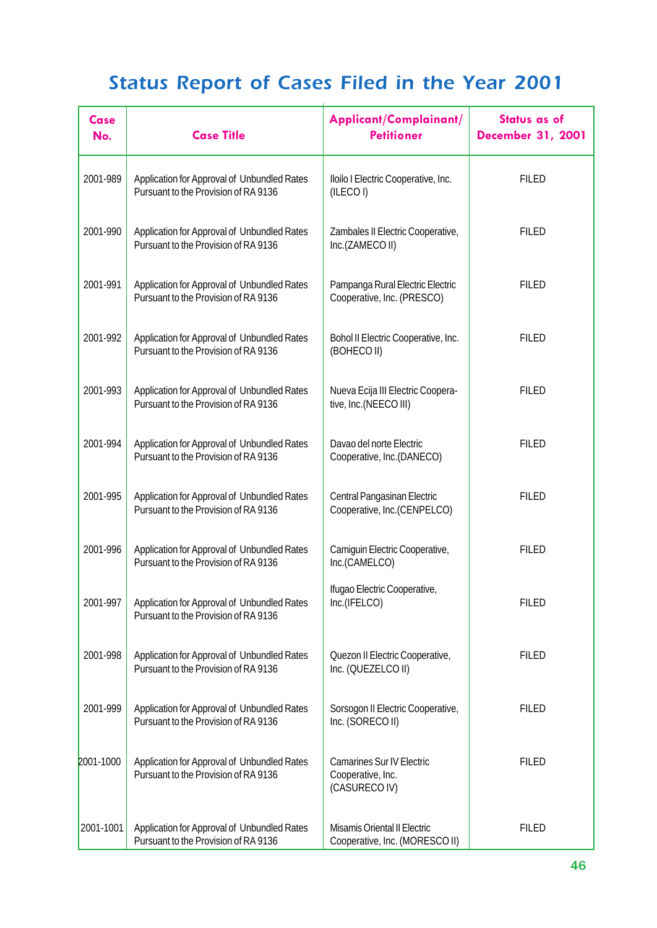| <b>Case</b><br>No. | <b>Case Title</b>                                                                   | Applicant/Complainant/<br><b>Petitioner</b>                            | Status as of<br><b>December 31, 2001</b> |
|--------------------|-------------------------------------------------------------------------------------|------------------------------------------------------------------------|------------------------------------------|
| 2001-989           | Application for Approval of Unbundled Rates<br>Pursuant to the Provision of RA 9136 | Iloilo I Electric Cooperative, Inc.<br>(ILECOI)                        | <b>FILED</b>                             |
| 2001-990           | Application for Approval of Unbundled Rates<br>Pursuant to the Provision of RA 9136 | Zambales II Electric Cooperative,<br>Inc.(ZAMECO II)                   | <b>FILED</b>                             |
| 2001-991           | Application for Approval of Unbundled Rates<br>Pursuant to the Provision of RA 9136 | Pampanga Rural Electric Electric<br>Cooperative, Inc. (PRESCO)         | <b>FILED</b>                             |
| 2001-992           | Application for Approval of Unbundled Rates<br>Pursuant to the Provision of RA 9136 | Bohol II Electric Cooperative, Inc.<br>(BOHECO II)                     | <b>FILED</b>                             |
| 2001-993           | Application for Approval of Unbundled Rates<br>Pursuant to the Provision of RA 9136 | Nueva Ecija III Electric Coopera-<br>tive, Inc.(NEECO III)             | <b>FILED</b>                             |
| 2001-994           | Application for Approval of Unbundled Rates<br>Pursuant to the Provision of RA 9136 | Davao del norte Electric<br>Cooperative, Inc.(DANECO)                  | <b>FILED</b>                             |
| 2001-995           | Application for Approval of Unbundled Rates<br>Pursuant to the Provision of RA 9136 | Central Pangasinan Electric<br>Cooperative, Inc.(CENPELCO)             | <b>FILED</b>                             |
| 2001-996           | Application for Approval of Unbundled Rates<br>Pursuant to the Provision of RA 9136 | Camiguin Electric Cooperative,<br>Inc.(CAMELCO)                        | <b>FILED</b>                             |
| 2001-997           | Application for Approval of Unbundled Rates<br>Pursuant to the Provision of RA 9136 | Ifugao Electric Cooperative,<br>Inc.(IFELCO)                           | <b>FILED</b>                             |
| 2001-998           | Application for Approval of Unbundled Rates<br>Pursuant to the Provision of RA 9136 | Quezon II Electric Cooperative,<br>Inc. (QUEZELCO II)                  | <b>FILED</b>                             |
| 2001-999           | Application for Approval of Unbundled Rates<br>Pursuant to the Provision of RA 9136 | Sorsogon II Electric Cooperative,<br>Inc. (SORECO II)                  | <b>FILED</b>                             |
| 2001-1000          | Application for Approval of Unbundled Rates<br>Pursuant to the Provision of RA 9136 | <b>Camarines Sur IV Electric</b><br>Cooperative, Inc.<br>(CASURECO IV) | <b>FILED</b>                             |
| 2001-1001          | Application for Approval of Unbundled Rates<br>Pursuant to the Provision of RA 9136 | Misamis Oriental II Electric<br>Cooperative, Inc. (MORESCO II)         | <b>FILED</b>                             |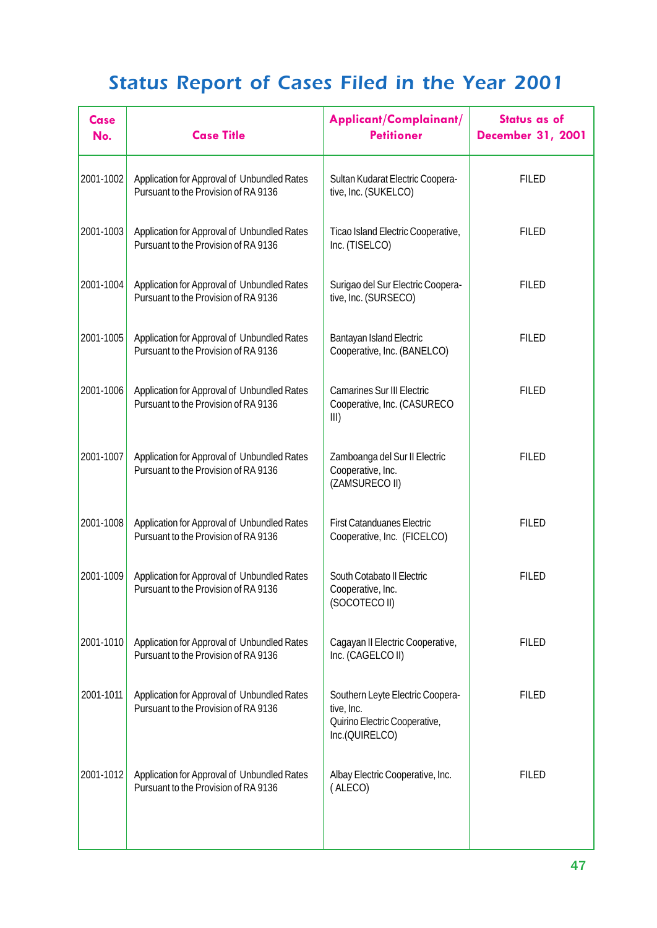| Case<br>No. | <b>Case Title</b>                                                                   | Applicant/Complainant/<br><b>Petitioner</b>                                                       | <b>Status as of</b><br><b>December 31, 2001</b> |
|-------------|-------------------------------------------------------------------------------------|---------------------------------------------------------------------------------------------------|-------------------------------------------------|
| 2001-1002   | Application for Approval of Unbundled Rates<br>Pursuant to the Provision of RA 9136 | Sultan Kudarat Electric Coopera-<br>tive, Inc. (SUKELCO)                                          | <b>FILED</b>                                    |
| 2001-1003   | Application for Approval of Unbundled Rates<br>Pursuant to the Provision of RA 9136 | Ticao Island Electric Cooperative,<br>Inc. (TISELCO)                                              | <b>FILED</b>                                    |
| 2001-1004   | Application for Approval of Unbundled Rates<br>Pursuant to the Provision of RA 9136 | Surigao del Sur Electric Coopera-<br>tive, Inc. (SURSECO)                                         | <b>FILED</b>                                    |
| 2001-1005   | Application for Approval of Unbundled Rates<br>Pursuant to the Provision of RA 9136 | <b>Bantayan Island Electric</b><br>Cooperative, Inc. (BANELCO)                                    | <b>FILED</b>                                    |
| 2001-1006   | Application for Approval of Unbundled Rates<br>Pursuant to the Provision of RA 9136 | <b>Camarines Sur III Electric</b><br>Cooperative, Inc. (CASURECO<br>III)                          | <b>FILED</b>                                    |
| 2001-1007   | Application for Approval of Unbundled Rates<br>Pursuant to the Provision of RA 9136 | Zamboanga del Sur II Electric<br>Cooperative, Inc.<br>(ZAMSURECO II)                              | <b>FILED</b>                                    |
| 2001-1008   | Application for Approval of Unbundled Rates<br>Pursuant to the Provision of RA 9136 | <b>First Catanduanes Electric</b><br>Cooperative, Inc. (FICELCO)                                  | <b>FILED</b>                                    |
| 2001-1009   | Application for Approval of Unbundled Rates<br>Pursuant to the Provision of RA 9136 | South Cotabato II Electric<br>Cooperative, Inc.<br>(SOCOTECO II)                                  | <b>FILED</b>                                    |
| 2001-1010   | Application for Approval of Unbundled Rates<br>Pursuant to the Provision of RA 9136 | Cagayan II Electric Cooperative,<br>Inc. (CAGELCO II)                                             | <b>FILED</b>                                    |
| 2001-1011   | Application for Approval of Unbundled Rates<br>Pursuant to the Provision of RA 9136 | Southern Leyte Electric Coopera-<br>tive, Inc.<br>Quirino Electric Cooperative,<br>Inc.(QUIRELCO) | <b>FILED</b>                                    |
| 2001-1012   | Application for Approval of Unbundled Rates<br>Pursuant to the Provision of RA 9136 | Albay Electric Cooperative, Inc.<br>(ALECO)                                                       | <b>FILED</b>                                    |
|             |                                                                                     |                                                                                                   |                                                 |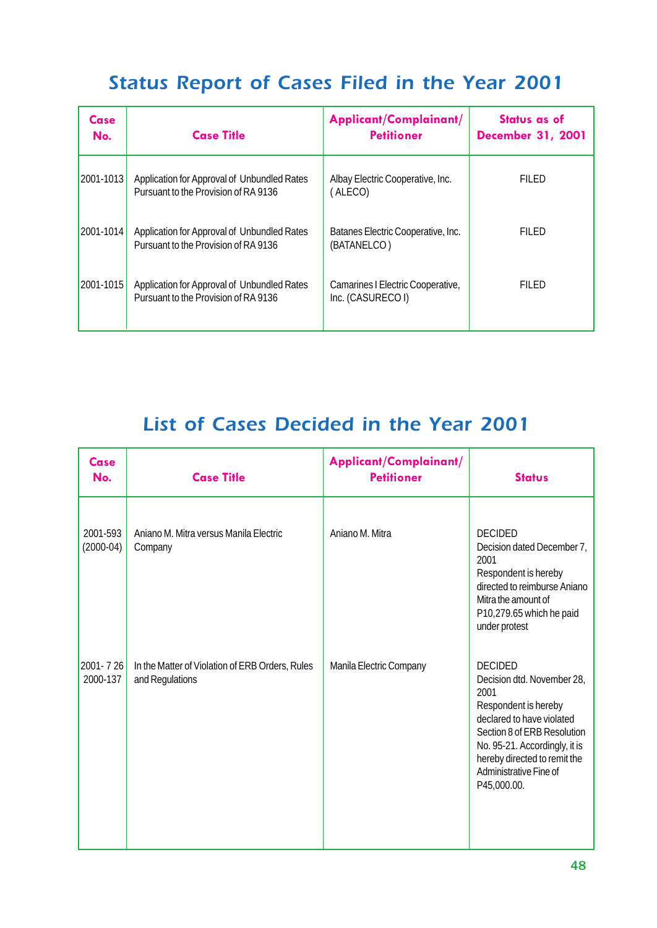| Case<br>No. | <b>Case Title</b>                                                                   | Applicant/Complainant/<br><b>Petitioner</b>            | Status as of<br><b>December 31, 2001</b> |
|-------------|-------------------------------------------------------------------------------------|--------------------------------------------------------|------------------------------------------|
| 2001-1013   | Application for Approval of Unbundled Rates<br>Pursuant to the Provision of RA 9136 | Albay Electric Cooperative, Inc.<br>(ALECO)            | FILED                                    |
| 2001-1014   | Application for Approval of Unbundled Rates<br>Pursuant to the Provision of RA 9136 | Batanes Electric Cooperative, Inc.<br>(BATANELCO)      | FILED                                    |
| 2001-1015   | Application for Approval of Unbundled Rates<br>Pursuant to the Provision of RA 9136 | Camarines I Electric Cooperative,<br>Inc. (CASURECO I) | FILED                                    |

| <b>Case</b><br>No.      | <b>Case Title</b>                                                  | Applicant/Complainant/<br><b>Petitioner</b> | <b>Status</b>                                                                                                                                                                                                                                      |
|-------------------------|--------------------------------------------------------------------|---------------------------------------------|----------------------------------------------------------------------------------------------------------------------------------------------------------------------------------------------------------------------------------------------------|
| 2001-593<br>$(2000-04)$ | Aniano M. Mitra versus Manila Electric<br>Company                  | Aniano M. Mitra                             | <b>DECIDED</b><br>Decision dated December 7,<br>2001<br>Respondent is hereby<br>directed to reimburse Aniano<br>Mitra the amount of<br>P10,279.65 which he paid<br>under protest                                                                   |
| 2001-726<br>2000-137    | In the Matter of Violation of ERB Orders, Rules<br>and Regulations | Manila Electric Company                     | <b>DECIDED</b><br>Decision dtd. November 28,<br>2001<br>Respondent is hereby<br>declared to have violated<br>Section 8 of ERB Resolution<br>No. 95-21. Accordingly, it is<br>hereby directed to remit the<br>Administrative Fine of<br>P45,000.00. |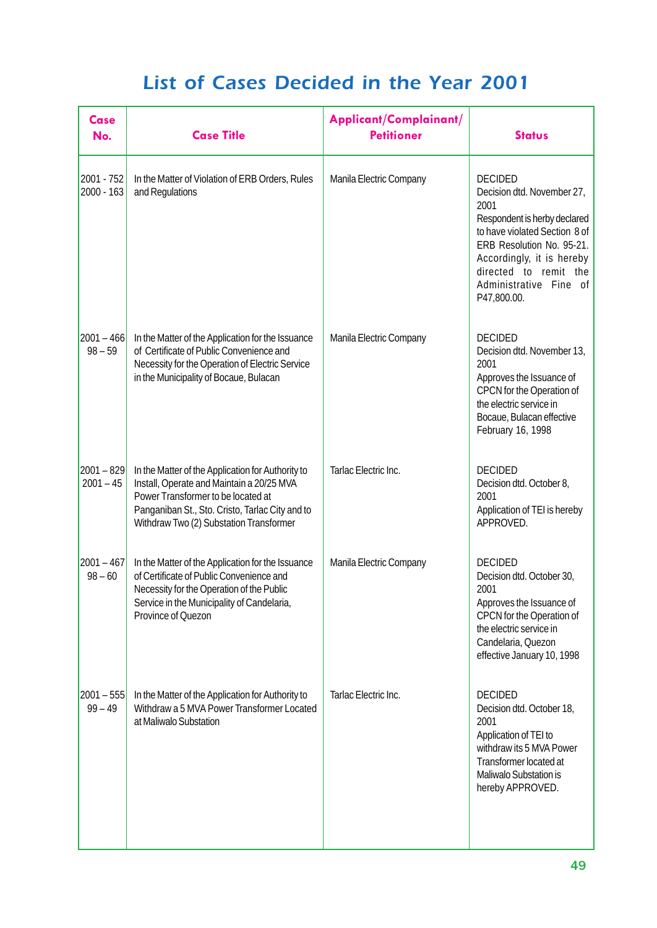| <b>Case</b><br>No.          | <b>Case Title</b>                                                                                                                                                                                                                  | Applicant/Complainant/<br><b>Petitioner</b> | <b>Status</b>                                                                                                                                                                                                                                     |
|-----------------------------|------------------------------------------------------------------------------------------------------------------------------------------------------------------------------------------------------------------------------------|---------------------------------------------|---------------------------------------------------------------------------------------------------------------------------------------------------------------------------------------------------------------------------------------------------|
| 2001 - 752<br>2000 - 163    | In the Matter of Violation of ERB Orders, Rules<br>and Regulations                                                                                                                                                                 | Manila Electric Company                     | <b>DECIDED</b><br>Decision dtd. November 27,<br>2001<br>Respondent is herby declared<br>to have violated Section 8 of<br>ERB Resolution No. 95-21.<br>Accordingly, it is hereby<br>directed to remit the<br>Administrative Fine of<br>P47,800.00. |
| $ 2001 - 466 $<br>$98 - 59$ | In the Matter of the Application for the Issuance<br>of Certificate of Public Convenience and<br>Necessity for the Operation of Electric Service<br>in the Municipality of Bocaue, Bulacan                                         | Manila Electric Company                     | <b>DECIDED</b><br>Decision dtd. November 13,<br>2001<br>Approves the Issuance of<br>CPCN for the Operation of<br>the electric service in<br>Bocaue, Bulacan effective<br>February 16, 1998                                                        |
| $2001 - 829$<br>$2001 - 45$ | In the Matter of the Application for Authority to<br>Install, Operate and Maintain a 20/25 MVA<br>Power Transformer to be located at<br>Panganiban St., Sto. Cristo, Tarlac City and to<br>Withdraw Two (2) Substation Transformer | Tarlac Electric Inc.                        | <b>DECIDED</b><br>Decision dtd. October 8,<br>2001<br>Application of TEI is hereby<br>APPROVED.                                                                                                                                                   |
| $2001 - 467$<br>$98 - 60$   | In the Matter of the Application for the Issuance<br>of Certificate of Public Convenience and<br>Necessity for the Operation of the Public<br>Service in the Municipality of Candelaria,<br>Province of Quezon                     | Manila Electric Company                     | <b>DECIDED</b><br>Decision dtd. October 30,<br>2001<br>Approves the Issuance of<br>CPCN for the Operation of<br>the electric service in<br>Candelaria, Quezon<br>effective January 10, 1998                                                       |
| $2001 - 555$<br>$99 - 49$   | In the Matter of the Application for Authority to<br>Withdraw a 5 MVA Power Transformer Located<br>at Maliwalo Substation                                                                                                          | Tarlac Electric Inc.                        | <b>DECIDED</b><br>Decision dtd. October 18,<br>2001<br>Application of TEI to<br>withdraw its 5 MVA Power<br>Transformer located at<br>Maliwalo Substation is<br>hereby APPROVED.                                                                  |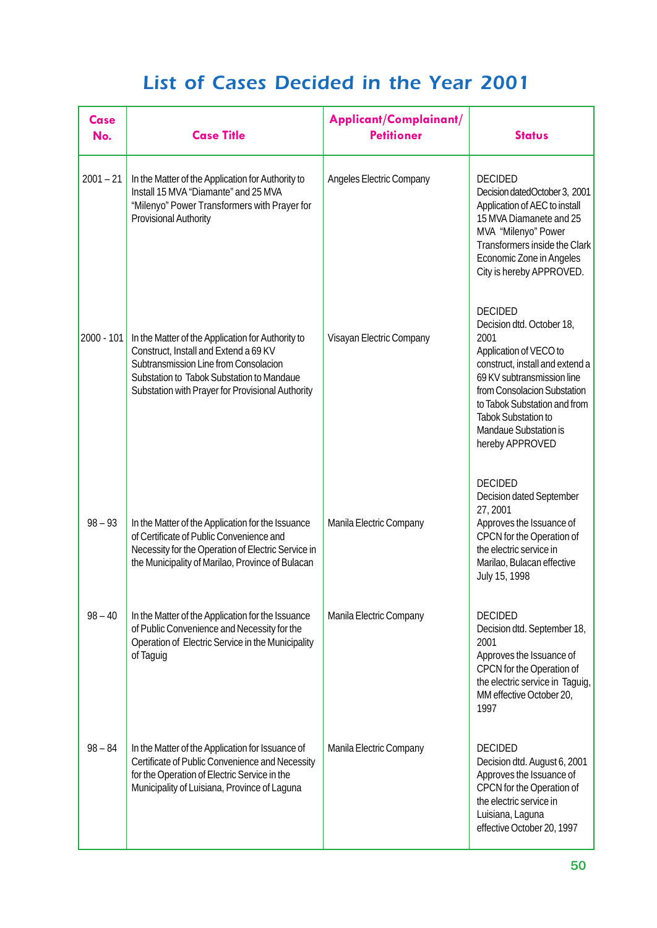| <b>Case</b><br>No. | <b>Case Title</b>                                                                                                                                                                                                                    | Applicant/Complainant/<br><b>Petitioner</b> | <b>Status</b>                                                                                                                                                                                                                                                                                  |
|--------------------|--------------------------------------------------------------------------------------------------------------------------------------------------------------------------------------------------------------------------------------|---------------------------------------------|------------------------------------------------------------------------------------------------------------------------------------------------------------------------------------------------------------------------------------------------------------------------------------------------|
| $2001 - 21$        | In the Matter of the Application for Authority to<br>Install 15 MVA "Diamante" and 25 MVA<br>"Milenyo" Power Transformers with Prayer for<br><b>Provisional Authority</b>                                                            | Angeles Electric Company                    | <b>DECIDED</b><br>Decision datedOctober 3, 2001<br>Application of AEC to install<br>15 MVA Diamanete and 25<br>MVA "Milenyo" Power<br>Transformers inside the Clark<br>Economic Zone in Angeles<br>City is hereby APPROVED.                                                                    |
| 2000 - 101         | In the Matter of the Application for Authority to<br>Construct, Install and Extend a 69 KV<br>Subtransmission Line from Consolacion<br>Substation to Tabok Substation to Mandaue<br>Substation with Prayer for Provisional Authority | Visayan Electric Company                    | <b>DECIDED</b><br>Decision dtd. October 18,<br>2001<br>Application of VECO to<br>construct, install and extend a<br>69 KV subtransmission line<br>from Consolacion Substation<br>to Tabok Substation and from<br><b>Tabok Substation to</b><br><b>Mandaue Substation is</b><br>hereby APPROVED |
| $98 - 93$          | In the Matter of the Application for the Issuance<br>of Certificate of Public Convenience and<br>Necessity for the Operation of Electric Service in<br>the Municipality of Marilao, Province of Bulacan                              | Manila Electric Company                     | <b>DECIDED</b><br>Decision dated September<br>27, 2001<br>Approves the Issuance of<br>CPCN for the Operation of<br>the electric service in<br>Marilao, Bulacan effective<br>July 15, 1998                                                                                                      |
| $98 - 40$          | In the Matter of the Application for the Issuance<br>of Public Convenience and Necessity for the<br>Operation of Electric Service in the Municipality<br>of Taguig                                                                   | Manila Electric Company                     | <b>DECIDED</b><br>Decision dtd. September 18,<br>2001<br>Approves the Issuance of<br>CPCN for the Operation of<br>the electric service in Taguig,<br>MM effective October 20,<br>1997                                                                                                          |
| $98 - 84$          | In the Matter of the Application for Issuance of<br>Certificate of Public Convenience and Necessity<br>for the Operation of Electric Service in the<br>Municipality of Luisiana, Province of Laguna                                  | Manila Electric Company                     | <b>DECIDED</b><br>Decision dtd. August 6, 2001<br>Approves the Issuance of<br>CPCN for the Operation of<br>the electric service in<br>Luisiana, Laguna<br>effective October 20, 1997                                                                                                           |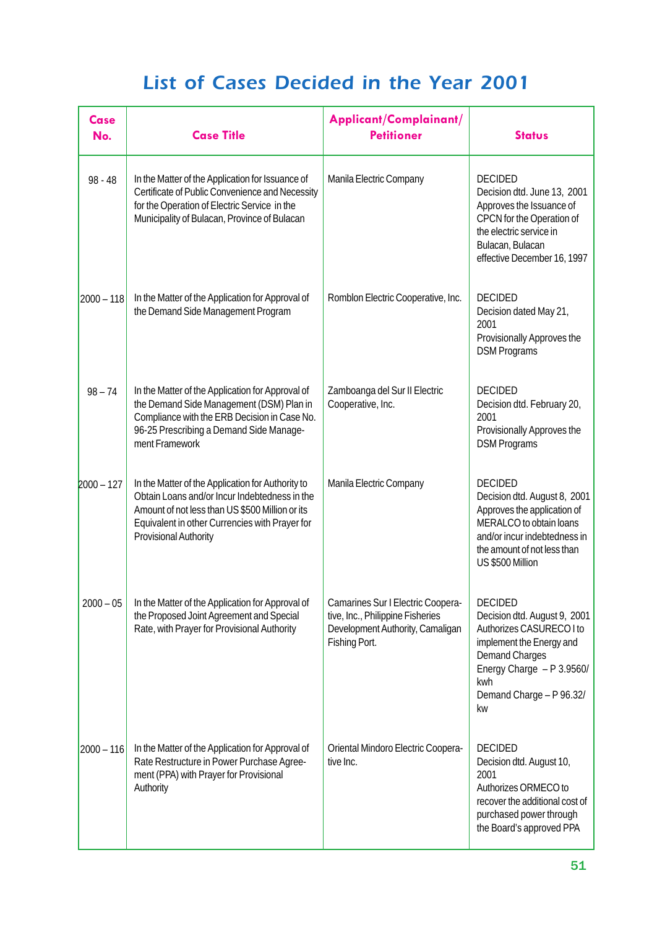| Case<br>No.  | <b>Case Title</b>                                                                                                                                                                                                                       | Applicant/Complainant/<br><b>Petitioner</b>                                                                                | <b>Status</b>                                                                                                                                                                                         |
|--------------|-----------------------------------------------------------------------------------------------------------------------------------------------------------------------------------------------------------------------------------------|----------------------------------------------------------------------------------------------------------------------------|-------------------------------------------------------------------------------------------------------------------------------------------------------------------------------------------------------|
| $98 - 48$    | In the Matter of the Application for Issuance of<br>Certificate of Public Convenience and Necessity<br>for the Operation of Electric Service in the<br>Municipality of Bulacan, Province of Bulacan                                     | Manila Electric Company                                                                                                    | <b>DECIDED</b><br>Decision dtd. June 13, 2001<br>Approves the Issuance of<br>CPCN for the Operation of<br>the electric service in<br>Bulacan, Bulacan<br>effective December 16, 1997                  |
| $2000 - 118$ | In the Matter of the Application for Approval of<br>the Demand Side Management Program                                                                                                                                                  | Romblon Electric Cooperative, Inc.                                                                                         | <b>DECIDED</b><br>Decision dated May 21,<br>2001<br>Provisionally Approves the<br><b>DSM Programs</b>                                                                                                 |
| $98 - 74$    | In the Matter of the Application for Approval of<br>the Demand Side Management (DSM) Plan in<br>Compliance with the ERB Decision in Case No.<br>96-25 Prescribing a Demand Side Manage-<br>ment Framework                               | Zamboanga del Sur II Electric<br>Cooperative, Inc.                                                                         | <b>DECIDED</b><br>Decision dtd. February 20,<br>2001<br>Provisionally Approves the<br><b>DSM Programs</b>                                                                                             |
| $2000 - 127$ | In the Matter of the Application for Authority to<br>Obtain Loans and/or Incur Indebtedness in the<br>Amount of not less than US \$500 Million or its<br>Equivalent in other Currencies with Prayer for<br><b>Provisional Authority</b> | Manila Electric Company                                                                                                    | <b>DECIDED</b><br>Decision dtd. August 8, 2001<br>Approves the application of<br>MERALCO to obtain loans<br>and/or incur indebtedness in<br>the amount of not less than<br>US \$500 Million           |
| $2000 - 05$  | In the Matter of the Application for Approval of<br>the Proposed Joint Agreement and Special<br>Rate, with Prayer for Provisional Authority                                                                                             | Camarines Sur I Electric Coopera-<br>tive, Inc., Philippine Fisheries<br>Development Authority, Camaligan<br>Fishing Port. | <b>DECIDED</b><br>Decision dtd. August 9, 2001<br>Authorizes CASURECO I to<br>implement the Energy and<br><b>Demand Charges</b><br>Energy Charge - P 3.9560/<br>kwh<br>Demand Charge - P 96.32/<br>kw |
| $2000 - 116$ | In the Matter of the Application for Approval of<br>Rate Restructure in Power Purchase Agree-<br>ment (PPA) with Prayer for Provisional<br>Authority                                                                                    | Oriental Mindoro Electric Coopera-<br>tive Inc.                                                                            | <b>DECIDED</b><br>Decision dtd. August 10,<br>2001<br>Authorizes ORMECO to<br>recover the additional cost of<br>purchased power through<br>the Board's approved PPA                                   |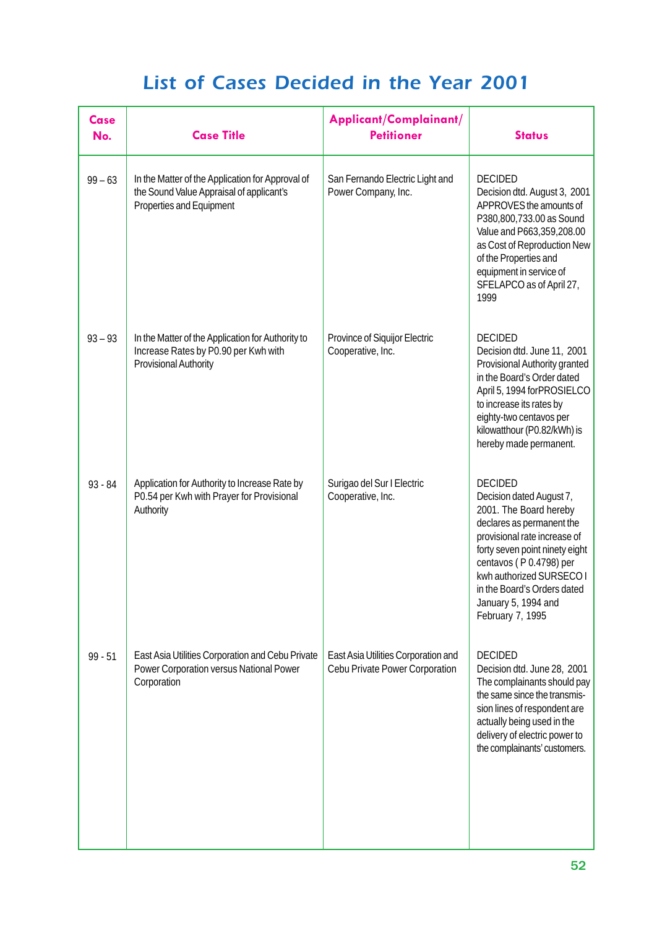| <b>Case</b><br>No. | <b>Case Title</b>                                                                                                         | Applicant/Complainant/<br><b>Petitioner</b>                           | <b>Status</b>                                                                                                                                                                                                                                                                                        |
|--------------------|---------------------------------------------------------------------------------------------------------------------------|-----------------------------------------------------------------------|------------------------------------------------------------------------------------------------------------------------------------------------------------------------------------------------------------------------------------------------------------------------------------------------------|
| $99 - 63$          | In the Matter of the Application for Approval of<br>the Sound Value Appraisal of applicant's<br>Properties and Equipment  | San Fernando Electric Light and<br>Power Company, Inc.                | <b>DECIDED</b><br>Decision dtd. August 3, 2001<br>APPROVES the amounts of<br>P380,800,733.00 as Sound<br>Value and P663,359,208.00<br>as Cost of Reproduction New<br>of the Properties and<br>equipment in service of<br>SFELAPCO as of April 27,<br>1999                                            |
| $93 - 93$          | In the Matter of the Application for Authority to<br>Increase Rates by P0.90 per Kwh with<br><b>Provisional Authority</b> | Province of Siquijor Electric<br>Cooperative, Inc.                    | <b>DECIDED</b><br>Decision dtd. June 11, 2001<br>Provisional Authority granted<br>in the Board's Order dated<br>April 5, 1994 for PROSIELCO<br>to increase its rates by<br>eighty-two centavos per<br>kilowatthour (P0.82/kWh) is<br>hereby made permanent.                                          |
| $93 - 84$          | Application for Authority to Increase Rate by<br>P0.54 per Kwh with Prayer for Provisional<br>Authority                   | Surigao del Sur I Electric<br>Cooperative, Inc.                       | <b>DECIDED</b><br>Decision dated August 7,<br>2001. The Board hereby<br>declares as permanent the<br>provisional rate increase of<br>forty seven point ninety eight<br>centavos (P 0.4798) per<br>kwh authorized SURSECO I<br>in the Board's Orders dated<br>January 5, 1994 and<br>February 7, 1995 |
| $99 - 51$          | East Asia Utilities Corporation and Cebu Private<br>Power Corporation versus National Power<br>Corporation                | East Asia Utilities Corporation and<br>Cebu Private Power Corporation | <b>DECIDED</b><br>Decision dtd. June 28, 2001<br>The complainants should pay<br>the same since the transmis-<br>sion lines of respondent are<br>actually being used in the<br>delivery of electric power to<br>the complainants' customers.                                                          |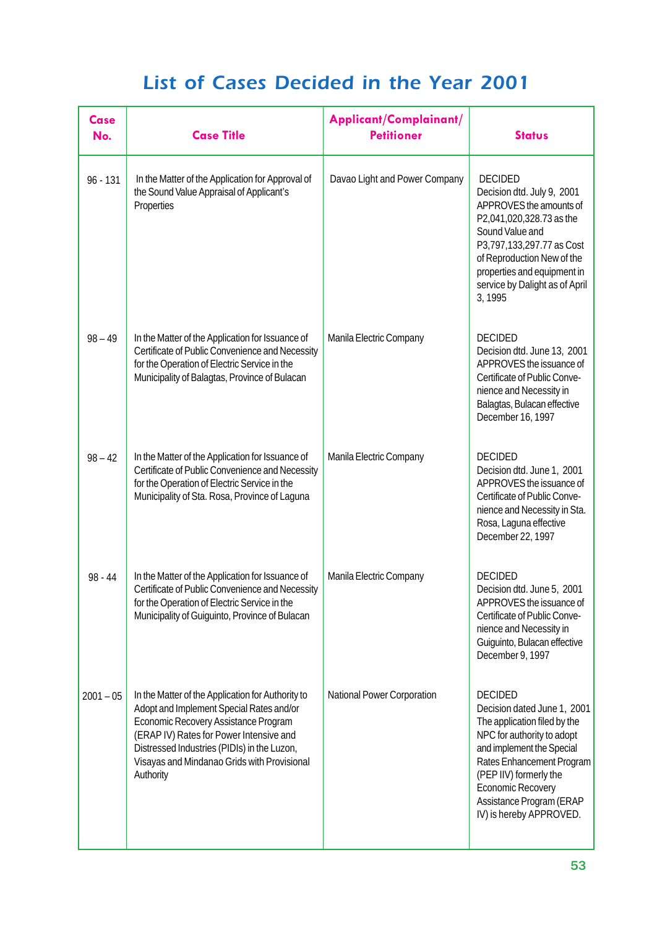| <b>Case</b><br>No. | <b>Case Title</b>                                                                                                                                                                                                                                                                           | Applicant/Complainant/<br><b>Petitioner</b> | <b>Status</b>                                                                                                                                                                                                                                                                      |
|--------------------|---------------------------------------------------------------------------------------------------------------------------------------------------------------------------------------------------------------------------------------------------------------------------------------------|---------------------------------------------|------------------------------------------------------------------------------------------------------------------------------------------------------------------------------------------------------------------------------------------------------------------------------------|
| $96 - 131$         | In the Matter of the Application for Approval of<br>the Sound Value Appraisal of Applicant's<br>Properties                                                                                                                                                                                  | Davao Light and Power Company               | <b>DECIDED</b><br>Decision dtd. July 9, 2001<br>APPROVES the amounts of<br>P2,041,020,328.73 as the<br>Sound Value and<br>P3,797,133,297.77 as Cost<br>of Reproduction New of the<br>properties and equipment in<br>service by Dalight as of April<br>3, 1995                      |
| $98 - 49$          | In the Matter of the Application for Issuance of<br>Certificate of Public Convenience and Necessity<br>for the Operation of Electric Service in the<br>Municipality of Balagtas, Province of Bulacan                                                                                        | Manila Electric Company                     | <b>DECIDED</b><br>Decision dtd. June 13, 2001<br>APPROVES the issuance of<br>Certificate of Public Conve-<br>nience and Necessity in<br>Balagtas, Bulacan effective<br>December 16, 1997                                                                                           |
| $98 - 42$          | In the Matter of the Application for Issuance of<br>Certificate of Public Convenience and Necessity<br>for the Operation of Electric Service in the<br>Municipality of Sta. Rosa, Province of Laguna                                                                                        | Manila Electric Company                     | <b>DECIDED</b><br>Decision dtd. June 1, 2001<br>APPROVES the issuance of<br>Certificate of Public Conve-<br>nience and Necessity in Sta.<br>Rosa, Laguna effective<br>December 22, 1997                                                                                            |
| 98 - 44            | In the Matter of the Application for Issuance of<br>Certificate of Public Convenience and Necessity<br>for the Operation of Electric Service in the<br>Municipality of Guiguinto, Province of Bulacan                                                                                       | Manila Electric Company                     | <b>DECIDED</b><br>Decision dtd. June 5, 2001<br>APPROVES the issuance of<br>Certificate of Public Conve-<br>nience and Necessity in<br>Guiguinto, Bulacan effective<br>December 9, 1997                                                                                            |
| $2001 - 05$        | In the Matter of the Application for Authority to<br>Adopt and Implement Special Rates and/or<br>Economic Recovery Assistance Program<br>(ERAP IV) Rates for Power Intensive and<br>Distressed Industries (PIDIs) in the Luzon,<br>Visayas and Mindanao Grids with Provisional<br>Authority | <b>National Power Corporation</b>           | <b>DECIDED</b><br>Decision dated June 1, 2001<br>The application filed by the<br>NPC for authority to adopt<br>and implement the Special<br>Rates Enhancement Program<br>(PEP IIV) formerly the<br><b>Economic Recovery</b><br>Assistance Program (ERAP<br>IV) is hereby APPROVED. |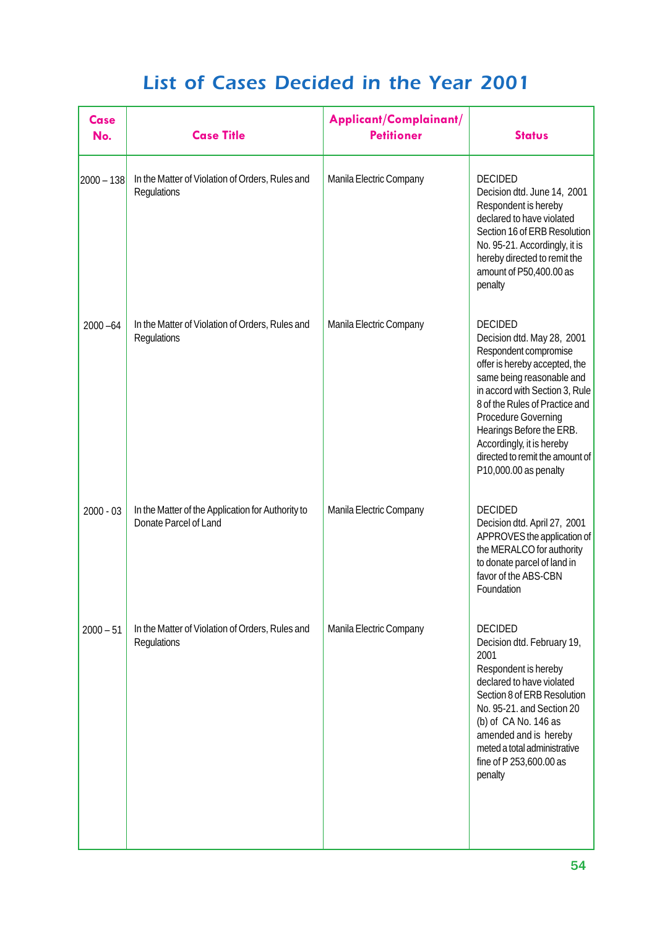| Case<br>No.  | <b>Case Title</b>                                                          | Applicant/Complainant/<br><b>Petitioner</b> | <b>Status</b>                                                                                                                                                                                                                                                                                                                                              |
|--------------|----------------------------------------------------------------------------|---------------------------------------------|------------------------------------------------------------------------------------------------------------------------------------------------------------------------------------------------------------------------------------------------------------------------------------------------------------------------------------------------------------|
| $2000 - 138$ | In the Matter of Violation of Orders, Rules and<br>Regulations             | Manila Electric Company                     | <b>DECIDED</b><br>Decision dtd. June 14, 2001<br>Respondent is hereby<br>declared to have violated<br>Section 16 of ERB Resolution<br>No. 95-21. Accordingly, it is<br>hereby directed to remit the<br>amount of P50,400.00 as<br>penalty                                                                                                                  |
| $2000 - 64$  | In the Matter of Violation of Orders, Rules and<br>Regulations             | Manila Electric Company                     | <b>DECIDED</b><br>Decision dtd. May 28, 2001<br>Respondent compromise<br>offer is hereby accepted, the<br>same being reasonable and<br>in accord with Section 3, Rule<br>8 of the Rules of Practice and<br><b>Procedure Governing</b><br>Hearings Before the ERB.<br>Accordingly, it is hereby<br>directed to remit the amount of<br>P10,000.00 as penalty |
| $2000 - 03$  | In the Matter of the Application for Authority to<br>Donate Parcel of Land | Manila Electric Company                     | <b>DECIDED</b><br>Decision dtd. April 27, 2001<br>APPROVES the application of<br>the MERALCO for authority<br>to donate parcel of land in<br>favor of the ABS-CBN<br>Foundation                                                                                                                                                                            |
| $2000 - 51$  | In the Matter of Violation of Orders, Rules and<br>Regulations             | Manila Electric Company                     | <b>DECIDED</b><br>Decision dtd. February 19,<br>2001<br>Respondent is hereby<br>declared to have violated<br>Section 8 of ERB Resolution<br>No. 95-21. and Section 20<br>(b) of CA No. 146 as<br>amended and is hereby<br>meted a total administrative<br>fine of P 253,600.00 as<br>penalty                                                               |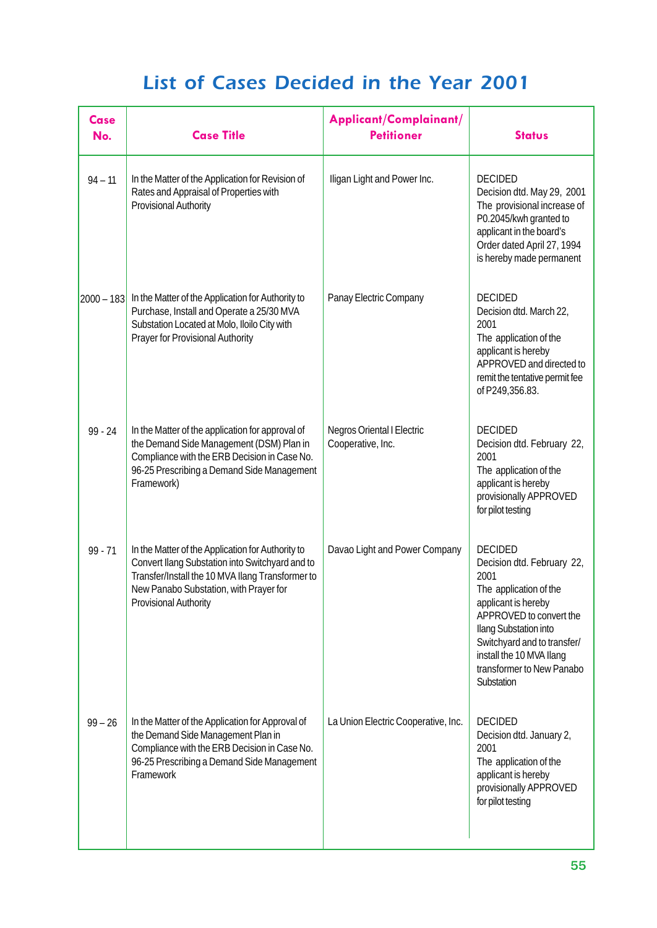| Case<br>No.  | <b>Case Title</b>                                                                                                                                                                                                                  | Applicant/Complainant/<br><b>Petitioner</b>            | <b>Status</b>                                                                                                                                                                                                                                                   |
|--------------|------------------------------------------------------------------------------------------------------------------------------------------------------------------------------------------------------------------------------------|--------------------------------------------------------|-----------------------------------------------------------------------------------------------------------------------------------------------------------------------------------------------------------------------------------------------------------------|
| $94 - 11$    | In the Matter of the Application for Revision of<br>Rates and Appraisal of Properties with<br>Provisional Authority                                                                                                                | Iligan Light and Power Inc.                            | <b>DECIDED</b><br>Decision dtd. May 29, 2001<br>The provisional increase of<br>P0.2045/kwh granted to<br>applicant in the board's<br>Order dated April 27, 1994<br>is hereby made permanent                                                                     |
| $2000 - 183$ | In the Matter of the Application for Authority to<br>Purchase, Install and Operate a 25/30 MVA<br>Substation Located at Molo, Iloilo City with<br>Prayer for Provisional Authority                                                 | Panay Electric Company                                 | <b>DECIDED</b><br>Decision dtd. March 22,<br>2001<br>The application of the<br>applicant is hereby<br>APPROVED and directed to<br>remit the tentative permit fee<br>of P249,356.83.                                                                             |
| $99 - 24$    | In the Matter of the application for approval of<br>the Demand Side Management (DSM) Plan in<br>Compliance with the ERB Decision in Case No.<br>96-25 Prescribing a Demand Side Management<br>Framework)                           | <b>Negros Oriental I Electric</b><br>Cooperative, Inc. | <b>DECIDED</b><br>Decision dtd. February 22,<br>2001<br>The application of the<br>applicant is hereby<br>provisionally APPROVED<br>for pilot testing                                                                                                            |
| $99 - 71$    | In the Matter of the Application for Authority to<br>Convert Ilang Substation into Switchyard and to<br>Transfer/Install the 10 MVA Ilang Transformer to<br>New Panabo Substation, with Prayer for<br><b>Provisional Authority</b> | Davao Light and Power Company                          | <b>DECIDED</b><br>Decision dtd. February 22,<br>2001<br>The application of the<br>applicant is hereby<br>APPROVED to convert the<br>Ilang Substation into<br>Switchyard and to transfer/<br>install the 10 MVA Ilang<br>transformer to New Panabo<br>Substation |
| $99 - 26$    | In the Matter of the Application for Approval of<br>the Demand Side Management Plan in<br>Compliance with the ERB Decision in Case No.<br>96-25 Prescribing a Demand Side Management<br>Framework                                  | La Union Electric Cooperative, Inc.                    | <b>DECIDED</b><br>Decision dtd. January 2,<br>2001<br>The application of the<br>applicant is hereby<br>provisionally APPROVED<br>for pilot testing                                                                                                              |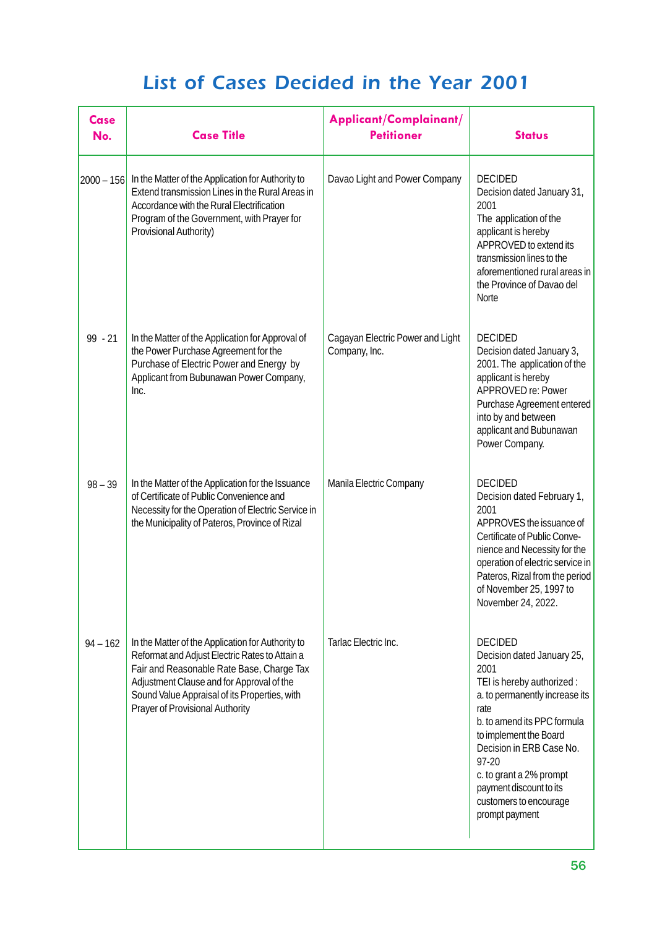| <b>Case</b><br>No. | <b>Case Title</b>                                                                                                                                                                                                                                                                 | Applicant/Complainant/<br><b>Petitioner</b>       | <b>Status</b>                                                                                                                                                                                                                                                                                                               |
|--------------------|-----------------------------------------------------------------------------------------------------------------------------------------------------------------------------------------------------------------------------------------------------------------------------------|---------------------------------------------------|-----------------------------------------------------------------------------------------------------------------------------------------------------------------------------------------------------------------------------------------------------------------------------------------------------------------------------|
| $2000 - 156$       | In the Matter of the Application for Authority to<br>Extend transmission Lines in the Rural Areas in<br>Accordance with the Rural Electrification<br>Program of the Government, with Prayer for<br>Provisional Authority)                                                         | Davao Light and Power Company                     | <b>DECIDED</b><br>Decision dated January 31,<br>2001<br>The application of the<br>applicant is hereby<br>APPROVED to extend its<br>transmission lines to the<br>aforementioned rural areas in<br>the Province of Davao del<br><b>Norte</b>                                                                                  |
| $99 - 21$          | In the Matter of the Application for Approval of<br>the Power Purchase Agreement for the<br>Purchase of Electric Power and Energy by<br>Applicant from Bubunawan Power Company,<br>Inc.                                                                                           | Cagayan Electric Power and Light<br>Company, Inc. | <b>DECIDED</b><br>Decision dated January 3,<br>2001. The application of the<br>applicant is hereby<br>APPROVED re: Power<br>Purchase Agreement entered<br>into by and between<br>applicant and Bubunawan<br>Power Company.                                                                                                  |
| $98 - 39$          | In the Matter of the Application for the Issuance<br>of Certificate of Public Convenience and<br>Necessity for the Operation of Electric Service in<br>the Municipality of Pateros, Province of Rizal                                                                             | Manila Electric Company                           | <b>DECIDED</b><br>Decision dated February 1,<br>2001<br>APPROVES the issuance of<br>Certificate of Public Conve-<br>nience and Necessity for the<br>operation of electric service in<br>Pateros, Rizal from the period<br>of November 25, 1997 to<br>November 24, 2022.                                                     |
| $94 - 162$         | In the Matter of the Application for Authority to<br>Reformat and Adjust Electric Rates to Attain a<br>Fair and Reasonable Rate Base, Charge Tax<br>Adjustment Clause and for Approval of the<br>Sound Value Appraisal of its Properties, with<br>Prayer of Provisional Authority | Tarlac Electric Inc.                              | <b>DECIDED</b><br>Decision dated January 25,<br>2001<br>TEI is hereby authorized:<br>a. to permanently increase its<br>rate<br>b. to amend its PPC formula<br>to implement the Board<br>Decision in ERB Case No.<br>97-20<br>c. to grant a 2% prompt<br>payment discount to its<br>customers to encourage<br>prompt payment |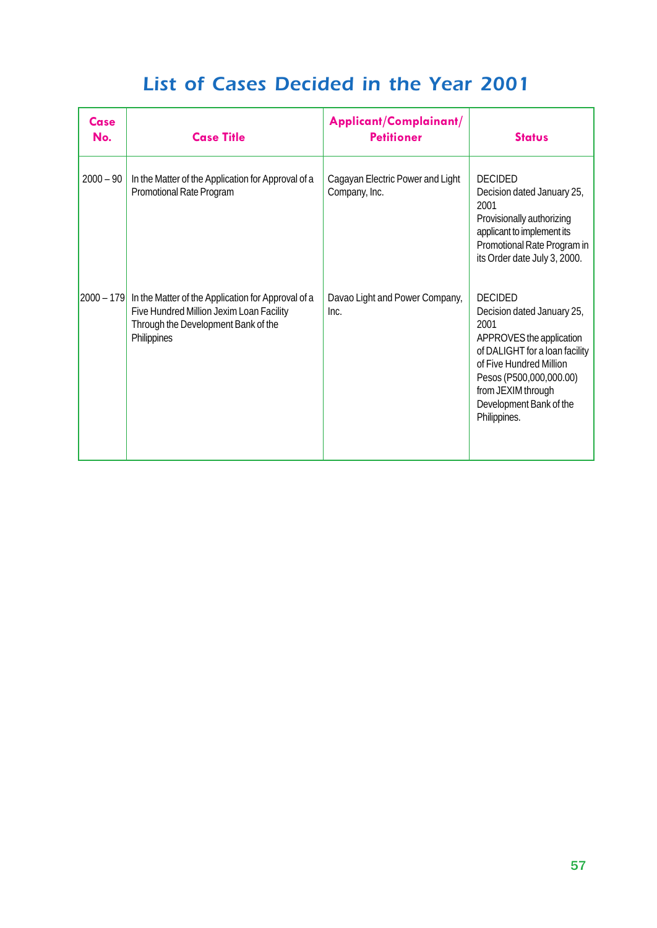| Case<br>No.    | <b>Case Title</b>                                                                                                                                    | Applicant/Complainant/<br><b>Petitioner</b>       | <b>Status</b>                                                                                                                                                                                                                             |
|----------------|------------------------------------------------------------------------------------------------------------------------------------------------------|---------------------------------------------------|-------------------------------------------------------------------------------------------------------------------------------------------------------------------------------------------------------------------------------------------|
| $2000 - 90$    | In the Matter of the Application for Approval of a<br>Promotional Rate Program                                                                       | Cagayan Electric Power and Light<br>Company, Inc. | <b>DECIDED</b><br>Decision dated January 25,<br>2001<br>Provisionally authorizing<br>applicant to implement its<br>Promotional Rate Program in<br>its Order date July 3, 2000.                                                            |
| $ 2000 - 179 $ | In the Matter of the Application for Approval of a<br>Five Hundred Million Jexim Loan Facility<br>Through the Development Bank of the<br>Philippines | Davao Light and Power Company,<br>Inc.            | <b>DECIDED</b><br>Decision dated January 25,<br>2001<br>APPROVES the application<br>of DALIGHT for a loan facility<br>of Five Hundred Million<br>Pesos (P500,000,000.00)<br>from JEXIM through<br>Development Bank of the<br>Philippines. |